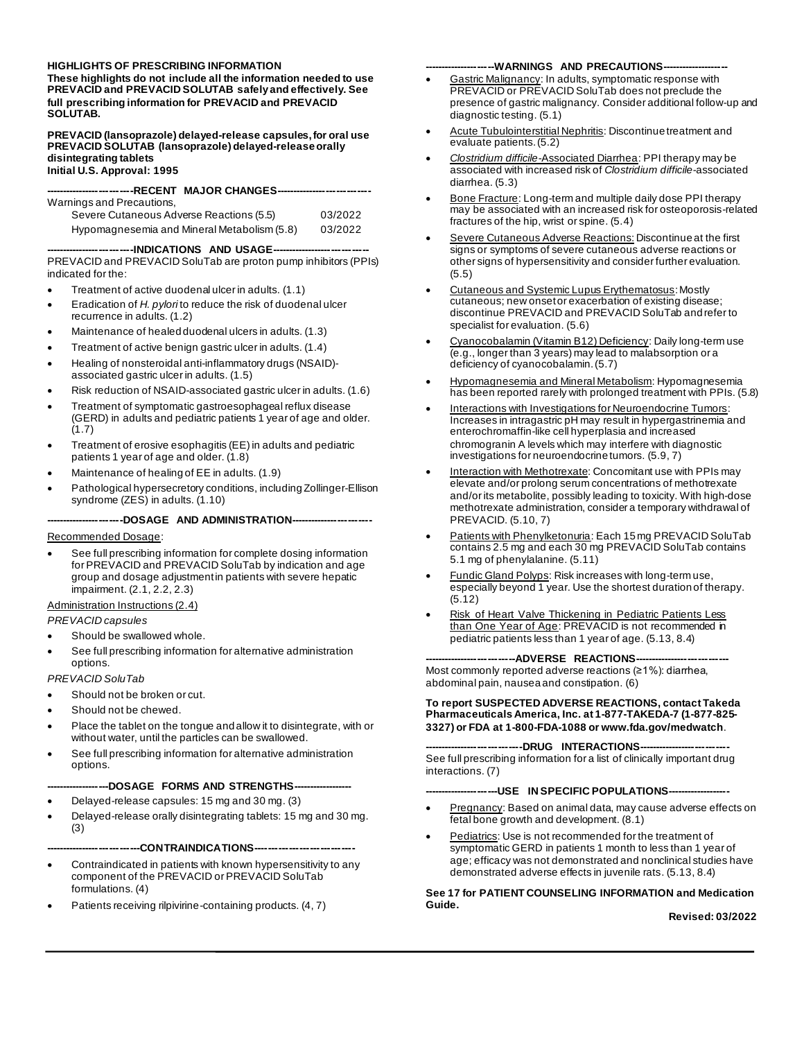#### **HIGHLIGHTS OF PRESCRIBING INFORMATION**

**These highlights do not include all the information needed to use PREVACID and PREVACID SOLUTAB safely and effectively. See full prescribing information for PREVACID and PREVACID SOLUTAB.** 

#### **PREVACID (lansoprazole) delayed-release capsules, for oral use PREVACID SOLUTAB (lansoprazole) delayed-release orally disintegrating tablets Initial U.S. Approval: 1995**

| ---------------------------RECENT MAJOR CHANGES--------------------------------- |         |
|----------------------------------------------------------------------------------|---------|
| Warnings and Precautions,                                                        |         |
| Severe Cutaneous Adverse Reactions (5.5)                                         | 03/2022 |
| Hypomagnesemia and Mineral Metabolism (5.8)                                      | 03/2022 |

#### **--------------------------INDICATIONS AND USAGE-----------------------------**

PREVACID and PREVACID SoluTab are proton pump inhibitors (PPIs) indicated for the:

- Treatment of active duodenal ulcer in adults. (1.1)
- Eradication of *H. pylori* to reduce the risk of duodenal ulcer recurrence in adults. (1.2)
- Maintenance of healed duodenal ulcers in adults. (1.3)
- Treatment of active benign gastric ulcer in adults. (1.4)
- Healing of nonsteroidal anti-inflammatory drugs (NSAID) associated gastric ulcer in adults. (1.5)
- Risk reduction of NSAID-associated gastric ulcer in adults. (1.6)
- Treatment of symptomatic gastroesophageal reflux disease (GERD) in adults and pediatric patients 1 year of age and older. (1.7)
- Treatment of erosive esophagitis (EE) in adults and pediatric patients 1 year of age and older. (1.8)
- Maintenance of healing of EE in adults. (1.9)
- Pathological hypersecretory conditions, including Zollinger-Ellison syndrome (ZES) in adults. (1.10)

#### **-----------------------DOSAGE AND ADMINISTRATION------------------------**

#### Recommended Dosage:

See full prescribing information for complete dosing information for PREVACID and PREVACID SoluTab by indication and age group and dosage adjustment in patients with severe hepatic impairment. (2.1, 2.2, 2.3)

### Administration Instructions (2.4)

*PREVACID capsules*

- Should be swallowed whole.
- See full prescribing information for alternative administration options.

#### *PREVACID SoluTab*

- Should not be broken or cut.
- Should not be chewed.
- Place the tablet on the tongue and allow it to disintegrate, with or without water, until the particles can be swallowed.
- See full prescribing information for alternative administration options.

#### -DOSAGE FORMS AND STRENGTHS----

- Delayed-release capsules: 15 mg and 30 mg. (3)
- Delayed-release orally disintegrating tablets: 15 mg and 30 mg. (3)

----CONTRAINDICATIONS-----

- Contraindicated in patients with known hypersensitivity to any component of the PREVACID or PREVACID SoluTab formulations. (4)
- Patients receiving rilpivirine-containing products. (4, 7)

#### -WARNINGS AND PRECAUTIONS-

- Gastric Malignancy: In adults, symptomatic response with PREVACID or PREVACID SoluTab does not preclude the presence of gastric malignancy. Consider additional follow-up and diagnostic testing. (5.1)
- Acute Tubulointerstitial Nephritis: Discontinue treatment and evaluate patients.(5.2)
- *Clostridium difficile*-Associated Diarrhea: PPI therapy may be associated with increased risk of *Clostridium difficile*-associated diarrhea. (5.3)
- Bone Fracture: Long-term and multiple daily dose PPI therapy may be associated with an increased risk for osteoporosis-related fractures of the hip, wrist or spine. (5.4)
- Severe Cutaneous Adverse Reactions: Discontinue at the first signs or symptoms of severe cutaneous adverse reactions or other signs of hypersensitivity and consider further evaluation. (5.5)
- Cutaneous and Systemic Lupus Erythematosus: Mostly cutaneous; new onset or exacerbation of existing disease; discontinue PREVACID and PREVACID SoluTab and refer to specialist for evaluation. (5.6)
- Cyanocobalamin (Vitamin B12) Deficiency: Daily long-term use (e.g., longer than 3 years) may lead to malabsorption or a deficiency of cyanocobalamin. (5.7)
- Hypomagnesemia and Mineral Metabolism: Hypomagnesemia has been reported rarely with prolonged treatment with PPIs. (5.8)
- Interactions with Investigations for Neuroendocrine Tumors Increases in intragastric pH may result in hypergastrinemia and enterochromaffin-like cell hyperplasia and increased chromogranin A levels which may interfere with diagnostic investigations for neuroendocrine tumors. (5.9, 7)
- Interaction with Methotrexate: Concomitant use with PPIs may elevate and/or prolong serum concentrations of methotrexate and/or its metabolite, possibly leading to toxicity. With high-dose methotrexate administration, consider a temporary withdrawal of PREVACID. (5.10, 7)
- Patients with Phenylketonuria: Each 15 mg PREVACID SoluTab contains 2.5 mg and each 30 mg PREVACID SoluTab contains 5.1 mg of phenylalanine. (5.11)
- Fundic Gland Polyps: Risk increases with long-term use, especially beyond 1 year. Use the shortest duration of therapy. (5.12)
- Risk of Heart Valve Thickening in Pediatric Patients Less than One Year of Age: PREVACID is not recommended in pediatric patients less than 1 year of age. (5.13, 8.4)

----ADVERSE REACTIONS-Most commonly reported adverse reactions (≥1%): diarrhea, abdominal pain, nausea and constipation. (6)

#### **To report SUSPECTED ADVERSE REACTIONS, contact Takeda Pharmaceuticals America, Inc. at 1-877-TAKEDA-7 (1-877-825- 3327) or FDA at 1-800-FDA-1088 or www.fda.gov/medwatch**.

----DRUG INTERACTIONS-See full prescribing information for a list of clinically important drug interactions. (7)

#### ---USE IN SPECIFIC POPULATIONS--

- Pregnancy: Based on animal data, may cause adverse effects on fetal bone growth and development. (8.1)
- Pediatrics: Use is not recommended for the treatment of symptomatic GERD in patients 1 month to less than 1 year of age; efficacy was not demonstrated and nonclinical studies have demonstrated adverse effects in juvenile rats. (5.13, 8.4)

#### **See 17 for PATIENT COUNSELING INFORMATION and Medication Guide.**

**Revised: 03/2022**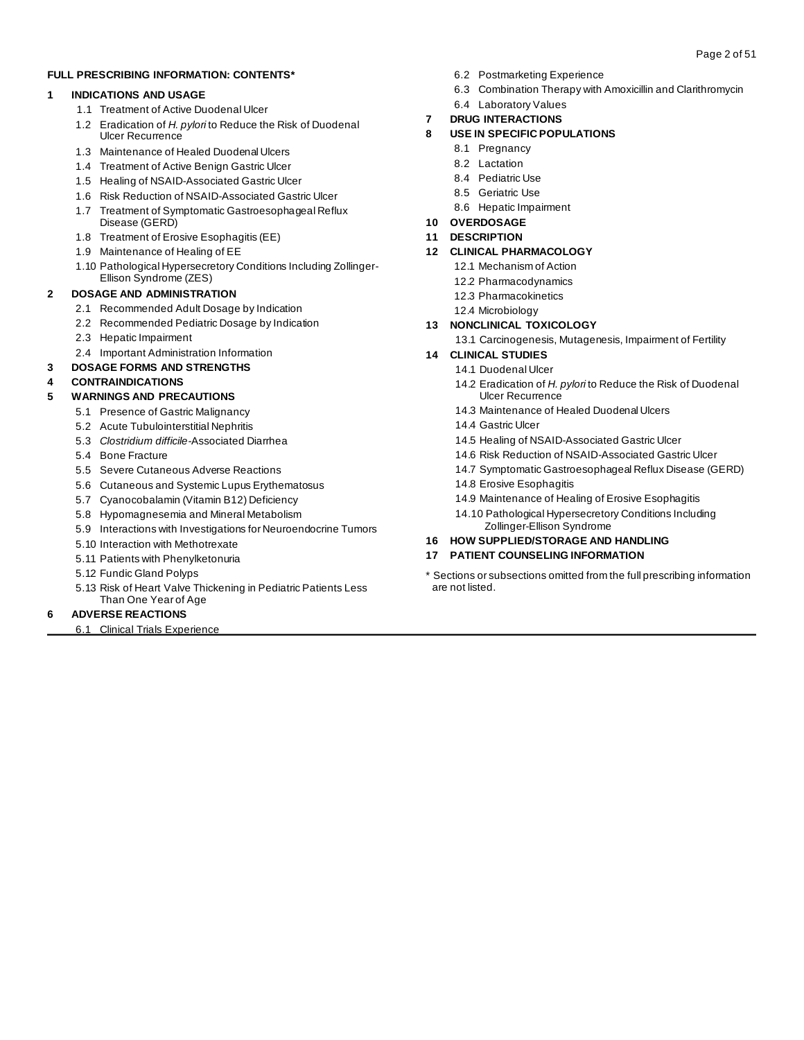#### **FULL PRESCRIBING INFORMATION: CONTENTS\***

#### **1 INDICATIONS AND USAGE**

- 1.1 Treatment of Active Duodenal Ulcer
- 1.2 Eradication of *H. pylori* to Reduce the Risk of Duodenal Ulcer Recurrence
- 1.3 Maintenance of Healed Duodenal Ulcers
- 1.4 Treatment of Active Benign Gastric Ulcer
- 1.5 Healing of NSAID-Associated Gastric Ulcer
- 1.6 Risk Reduction of NSAID-Associated Gastric Ulcer
- 1.7 Treatment of Symptomatic Gastroesophageal Reflux Disease (GERD)
- 1.8 Treatment of Erosive Esophagitis (EE)
- 1.9 Maintenance of Healing of EE
- 1.10 Pathological Hypersecretory Conditions Including Zollinger-Ellison Syndrome (ZES)

#### **2 DOSAGE AND ADMINISTRATION**

- 2.1 Recommended Adult Dosage by Indication
- 2.2 Recommended Pediatric Dosage by Indication
- 2.3 Hepatic Impairment
- 2.4 Important Administration Information
- **3 DOSAGE FORMS AND STRENGTHS**

#### **4 CONTRAINDICATIONS**

#### **5 WARNINGS AND PRECAUTIONS**

- 5.1 Presence of Gastric Malignancy
- 5.2 Acute Tubulointerstitial Nephritis
- 5.3 *Clostridium difficile*-Associated Diarrhea
- 5.4 Bone Fracture
- 5.5 Severe Cutaneous Adverse Reactions
- 5.6 Cutaneous and Systemic Lupus Erythematosus
- 5.7 Cyanocobalamin (Vitamin B12) Deficiency
- 5.8 Hypomagnesemia and Mineral Metabolism
- 5.9 Interactions with Investigations for Neuroendocrine Tumors
- 5.10 Interaction with Methotrexate
- 5.11 Patients with Phenylketonuria
- 5.12 Fundic Gland Polyps
- 5.13 Risk of Heart Valve Thickening in Pediatric Patients Less Than One Year of Age

#### **6 ADVERSE REACTIONS**

6.1 Clinical Trials Experience

- 6.2 Postmarketing Experience
- 6.3 Combination Therapy with Amoxicillin and Clarithromycin
- 6.4 Laboratory Values

#### **7 DRUG INTERACTIONS**

#### **8 USE IN SPECIFIC POPULATIONS**

- 8.1 Pregnancy
- 8.2 Lactation
- 8.4 Pediatric Use
- 8.5 Geriatric Use
- 8.6 Hepatic Impairment
- **10 OVERDOSAGE**
- **11 DESCRIPTION**
- **12 CLINICAL PHARMACOLOGY**
	- 12.1 Mechanism of Action
	- 12.2 Pharmacodynamics
	- 12.3 Pharmacokinetics
	- 12.4 Microbiology
- **13 NONCLINICAL TOXICOLOGY**
	- 13.1 Carcinogenesis, Mutagenesis, Impairment of Fertility

#### **14 CLINICAL STUDIES**

- 14.1 Duodenal Ulcer
	- 14.2 Eradication of *H. pylori* to Reduce the Risk of Duodenal Ulcer Recurrence
	- 14.3 Maintenance of Healed Duodenal Ulcers
- 14.4 Gastric Ulcer
- 14.5 Healing of NSAID-Associated Gastric Ulcer
- 14.6 Risk Reduction of NSAID-Associated Gastric Ulcer
- 14.7 Symptomatic Gastroesophageal Reflux Disease (GERD)
- 14.8 Erosive Esophagitis
- 14.9 Maintenance of Healing of Erosive Esophagitis
- 14.10 Pathological Hypersecretory Conditions Including Zollinger-Ellison Syndrome
- **16 HOW SUPPLIED/STORAGE AND HANDLING**

#### **17 PATIENT COUNSELING INFORMATION**

\* Sections or subsections omitted from the full prescribing information are not listed.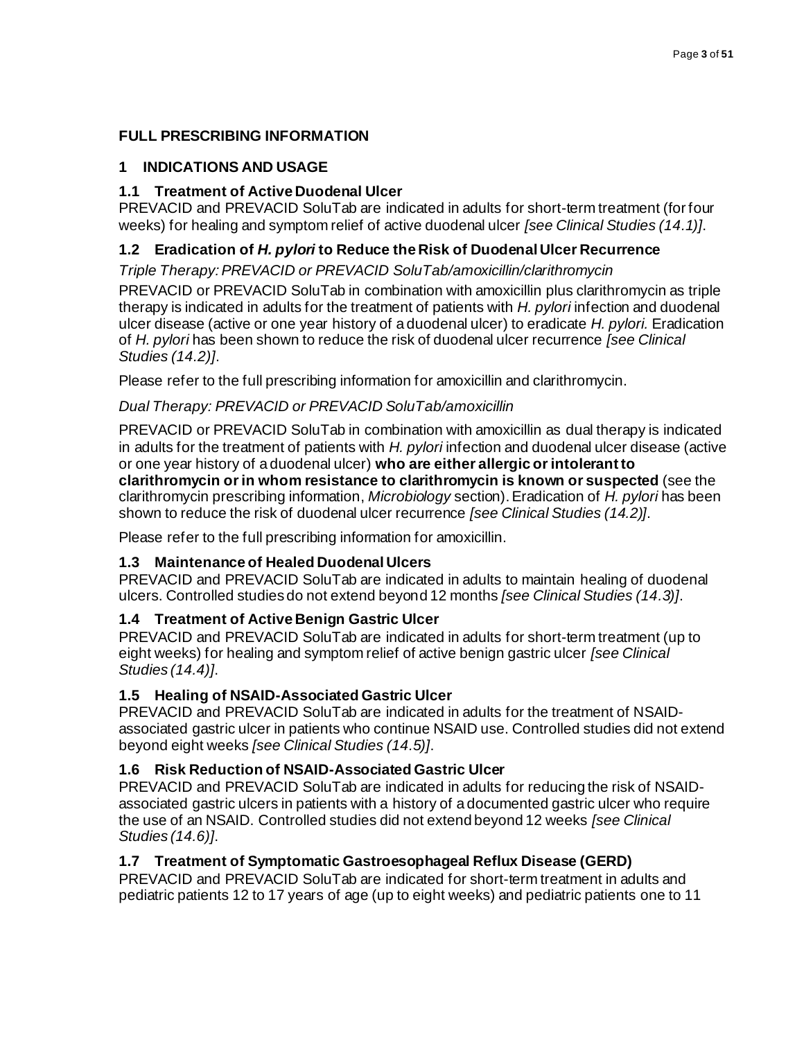# **FULL PRESCRIBING INFORMATION**

# **1 INDICATIONS AND USAGE**

# **1.1 Treatment of Active Duodenal Ulcer**

PREVACID and PREVACID SoluTab are indicated in adults for short-term treatment (for four weeks) for healing and symptom relief of active duodenal ulcer *[see Clinical Studies (14.1)]*.

# **1.2 Eradication of** *H. pylori* **to Reduce the Risk of Duodenal Ulcer Recurrence**

## *Triple Therapy: PREVACID or PREVACID SoluTab/amoxicillin/clarithromycin*

PREVACID or PREVACID SoluTab in combination with amoxicillin plus clarithromycin as triple therapy is indicated in adults for the treatment of patients with *H. pylori* infection and duodenal ulcer disease (active or one year history of a duodenal ulcer) to eradicate *H. pylori.* Eradication of *H. pylori* has been shown to reduce the risk of duodenal ulcer recurrence *[see Clinical Studies (14.2)]*.

Please refer to the full prescribing information for amoxicillin and clarithromycin.

## *Dual Therapy: PREVACID or PREVACID SoluTab/amoxicillin*

PREVACID or PREVACID SoluTab in combination with amoxicillin as dual therapy is indicated in adults for the treatment of patients with *H. pylori* infection and duodenal ulcer disease (active or one year history of a duodenal ulcer) **who are either allergic or intolerant to clarithromycin or in whom resistance to clarithromycin is known or suspected** (see the clarithromycin prescribing information, *Microbiology* section). Eradication of *H. pylori* has been shown to reduce the risk of duodenal ulcer recurrence *[see Clinical Studies (14.2)]*.

Please refer to the full prescribing information for amoxicillin.

### **1.3 Maintenance of Healed Duodenal Ulcers**

PREVACID and PREVACID SoluTab are indicated in adults to maintain healing of duodenal ulcers. Controlled studies do not extend beyond 12 months *[see Clinical Studies (14.3)]*.

### **1.4 Treatment of Active Benign Gastric Ulcer**

PREVACID and PREVACID SoluTab are indicated in adults for short-term treatment (up to eight weeks) for healing and symptom relief of active benign gastric ulcer *[see Clinical Studies (14.4)]*.

# **1.5 Healing of NSAID-Associated Gastric Ulcer**

PREVACID and PREVACID SoluTab are indicated in adults for the treatment of NSAIDassociated gastric ulcer in patients who continue NSAID use. Controlled studies did not extend beyond eight weeks *[see Clinical Studies (14.5)]*.

# **1.6 Risk Reduction of NSAID-Associated Gastric Ulcer**

PREVACID and PREVACID SoluTab are indicated in adults for reducing the risk of NSAIDassociated gastric ulcers in patients with a history of a documented gastric ulcer who require the use of an NSAID. Controlled studies did not extend beyond 12 weeks *[see Clinical Studies (14.6)]*.

### **1.7 Treatment of Symptomatic Gastroesophageal Reflux Disease (GERD)**

PREVACID and PREVACID SoluTab are indicated for short-term treatment in adults and pediatric patients 12 to 17 years of age (up to eight weeks) and pediatric patients one to 11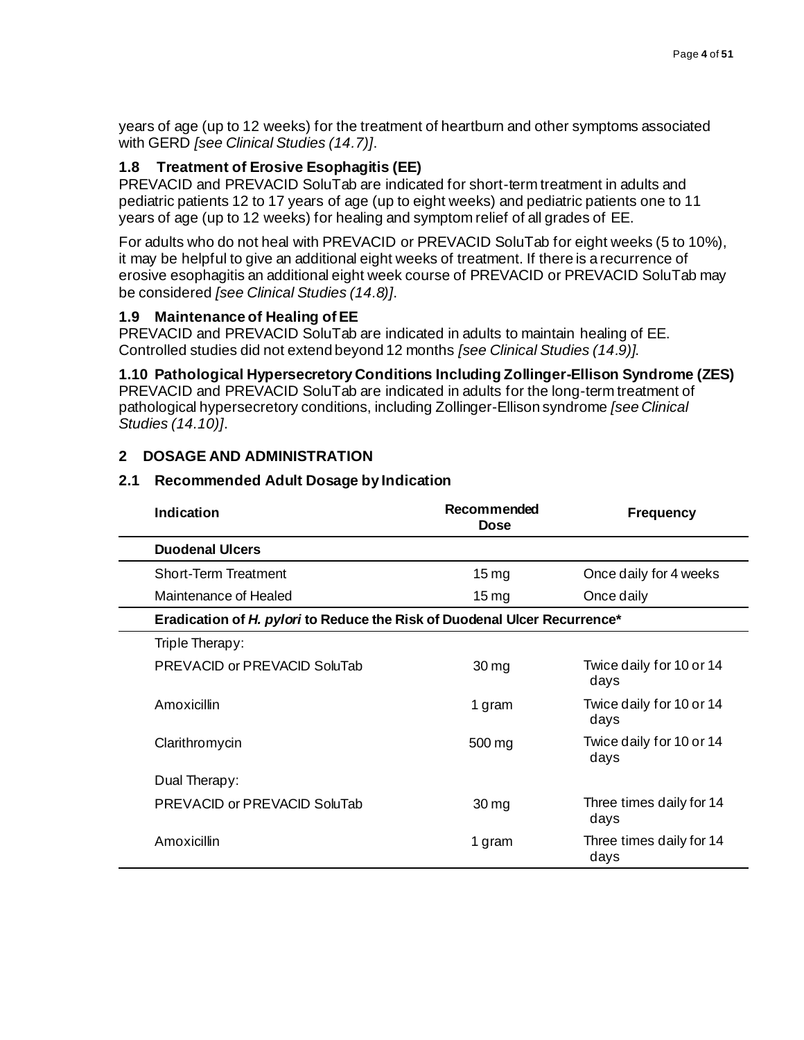years of age (up to 12 weeks) for the treatment of heartburn and other symptoms associated with GERD *[see Clinical Studies (14.7)]*.

# **1.8 Treatment of Erosive Esophagitis (EE)**

PREVACID and PREVACID SoluTab are indicated for short-term treatment in adults and pediatric patients 12 to 17 years of age (up to eight weeks) and pediatric patients one to 11 years of age (up to 12 weeks) for healing and symptom relief of all grades of EE.

For adults who do not heal with PREVACID or PREVACID SoluTab for eight weeks (5 to 10%), it may be helpful to give an additional eight weeks of treatment. If there is a recurrence of erosive esophagitis an additional eight week course of PREVACID or PREVACID SoluTab may be considered *[see Clinical Studies (14.8)]*.

## **1.9 Maintenance of Healing of EE**

PREVACID and PREVACID SoluTab are indicated in adults to maintain healing of EE. Controlled studies did not extend beyond 12 months *[see Clinical Studies (14.9)]*.

## **1.10 Pathological Hypersecretory Conditions Including Zollinger-Ellison Syndrome (ZES)**

PREVACID and PREVACID SoluTab are indicated in adults for the long-term treatment of pathological hypersecretory conditions, including Zollinger-Ellison syndrome *[see Clinical Studies (14.10)]*.

# **2 DOSAGE AND ADMINISTRATION**

### **2.1 Recommended Adult Dosage by Indication**

| <b>Indication</b>                   | Recommended<br><b>Dose</b>                                                | <b>Frequency</b>                 |  |
|-------------------------------------|---------------------------------------------------------------------------|----------------------------------|--|
| <b>Duodenal Ulcers</b>              |                                                                           |                                  |  |
| <b>Short-Term Treatment</b>         | 15 <sub>mg</sub>                                                          | Once daily for 4 weeks           |  |
| Maintenance of Healed               | $15 \,\mathrm{mg}$                                                        | Once daily                       |  |
|                                     | Eradication of H. pylori to Reduce the Risk of Duodenal Ulcer Recurrence* |                                  |  |
| Triple Therapy:                     |                                                                           |                                  |  |
| <b>PREVACID or PREVACID SoluTab</b> | 30 <sub>mg</sub>                                                          | Twice daily for 10 or 14<br>days |  |
| Amoxicillin                         | 1 gram                                                                    | Twice daily for 10 or 14<br>days |  |
| Clarithromycin                      | 500 mg                                                                    | Twice daily for 10 or 14<br>days |  |
| Dual Therapy:                       |                                                                           |                                  |  |
| <b>PREVACID or PREVACID SoluTab</b> | 30 <sub>mg</sub>                                                          | Three times daily for 14<br>days |  |
| Amoxicillin                         | 1 gram                                                                    | Three times daily for 14<br>days |  |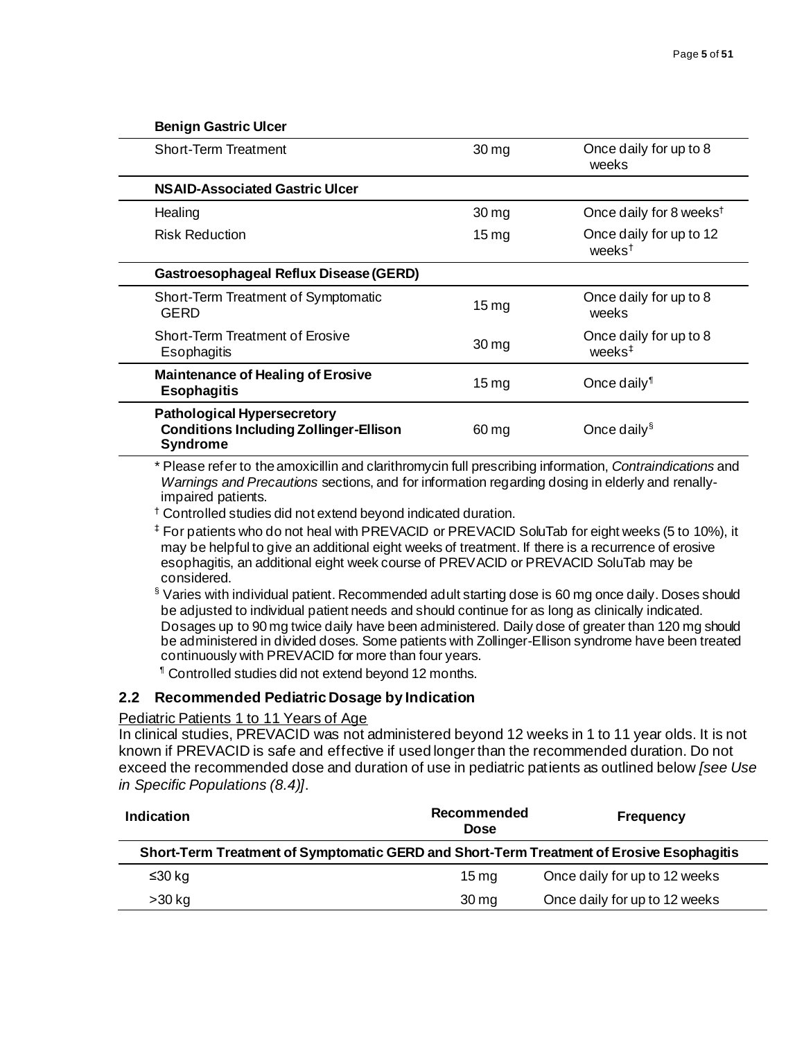#### **Benign Gastric Ulcer**

| <b>Short-Term Treatment</b>                                                                            | 30 <sub>mg</sub>   | Once daily for up to 8<br>weeks                        |
|--------------------------------------------------------------------------------------------------------|--------------------|--------------------------------------------------------|
| <b>NSAID-Associated Gastric Ulcer</b>                                                                  |                    |                                                        |
| Healing                                                                                                | 30 <sub>mg</sub>   | Once daily for 8 weeks <sup><math>\dagger</math></sup> |
| <b>Risk Reduction</b>                                                                                  | $15 \,\mathrm{mg}$ | Once daily for up to 12<br>weeks $†$                   |
| <b>Gastroesophageal Reflux Disease (GERD)</b>                                                          |                    |                                                        |
| Short-Term Treatment of Symptomatic<br>GERD                                                            | $15 \,\mathrm{mg}$ | Once daily for up to 8<br>weeks                        |
| Short-Term Treatment of Erosive<br>Esophagitis                                                         | 30 <sub>mg</sub>   | Once daily for up to 8<br>weeks $‡$                    |
| <b>Maintenance of Healing of Erosive</b><br><b>Esophagitis</b>                                         | $15 \,\mathrm{mg}$ | Once daily <sup>1</sup>                                |
| <b>Pathological Hypersecretory</b><br><b>Conditions Including Zollinger-Ellison</b><br><b>Syndrome</b> | $60 \,\mathrm{mg}$ | Once daily $\frac{1}{3}$                               |

\* Please refer to the amoxicillin and clarithromycin full prescribing information, *Contraindications* and *Warnings and Precautions* sections, and for information regarding dosing in elderly and renallyimpaired patients.

<sup>†</sup> Controlled studies did not extend beyond indicated duration.

‡ For patients who do not heal with PREVACID or PREVACID SoluTab for eight weeks (5 to 10%), it may be helpful to give an additional eight weeks of treatment. If there is a recurrence of erosive esophagitis, an additional eight week course of PREVACID or PREVACID SoluTab may be considered.

 $\sqrt[6]{8}$  Varies with individual patient. Recommended adult starting dose is 60 mg once daily. Doses should be adjusted to individual patient needs and should continue for as long as clinically indicated. Dosages up to 90 mg twice daily have been administered. Daily dose of greater than 120 mg should be administered in divided doses. Some patients with Zollinger-Ellison syndrome have been treated continuously with PREVACID for more than four years.

¶ Controlled studies did not extend beyond 12 months.

#### **2.2 Recommended Pediatric Dosage by Indication**

#### Pediatric Patients 1 to 11 Years of Age

In clinical studies, PREVACID was not administered beyond 12 weeks in 1 to 11 year olds. It is not known if PREVACID is safe and effective if used longer than the recommended duration. Do not exceed the recommended dose and duration of use in pediatric patients as outlined below *[see Use in Specific Populations (8.4)]*.

| <b>Indication</b> | <b>Recommended</b><br><b>Dose</b>                                                        | <b>Frequency</b>              |
|-------------------|------------------------------------------------------------------------------------------|-------------------------------|
|                   | Short-Term Treatment of Symptomatic GERD and Short-Term Treatment of Erosive Esophagitis |                               |
| ≤30 kg            | $15 \,\mathrm{mg}$                                                                       | Once daily for up to 12 weeks |
| $>30$ kg          | 30 <sub>mg</sub>                                                                         | Once daily for up to 12 weeks |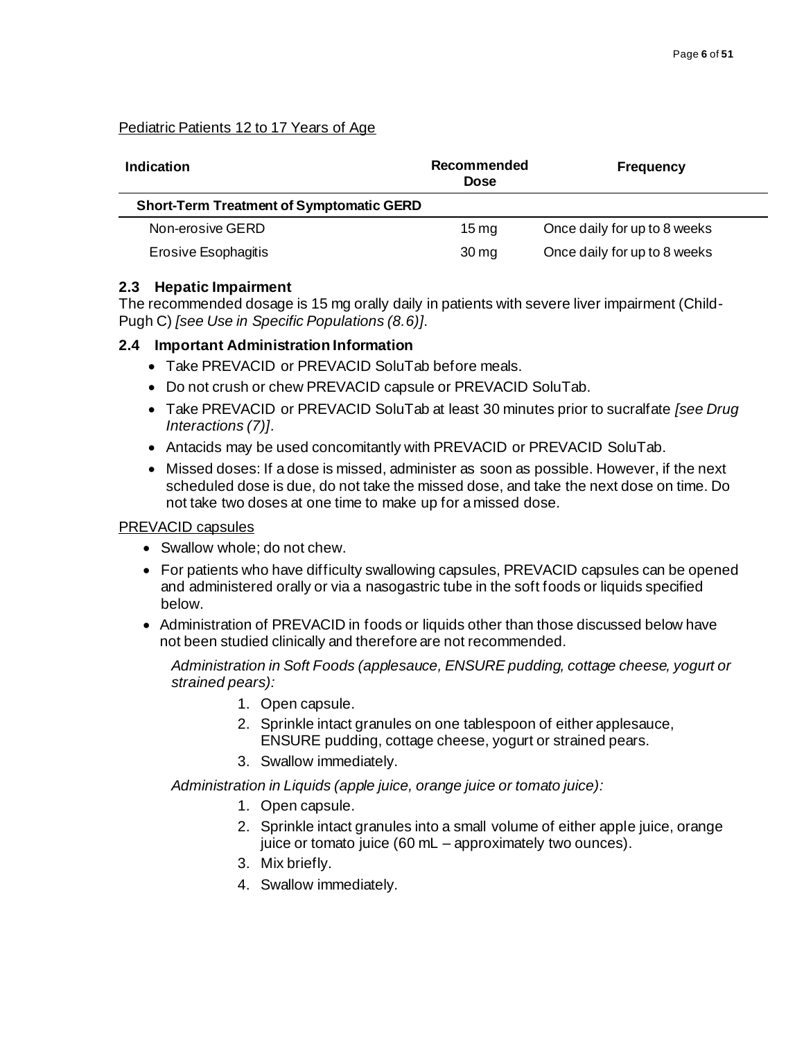### Pediatric Patients 12 to 17 Years of Age

| <b>Indication</b>                               | Recommended<br><b>Dose</b> | <b>Frequency</b>             |
|-------------------------------------------------|----------------------------|------------------------------|
| <b>Short-Term Treatment of Symptomatic GERD</b> |                            |                              |
| Non-erosive GERD                                | $15 \,\mathrm{mg}$         | Once daily for up to 8 weeks |
| Erosive Esophagitis                             | 30 mg                      | Once daily for up to 8 weeks |

## **2.3 Hepatic Impairment**

The recommended dosage is 15 mg orally daily in patients with severe liver impairment (Child-Pugh C) *[see Use in Specific Populations (8.6)]*.

# **2.4 Important Administration Information**

- Take PREVACID or PREVACID SoluTab before meals.
- Do not crush or chew PREVACID capsule or PREVACID SoluTab.
- Take PREVACID or PREVACID SoluTab at least 30 minutes prior to sucralfate *[see Drug Interactions (7)]*.
- Antacids may be used concomitantly with PREVACID or PREVACID SoluTab.
- Missed doses: If a dose is missed, administer as soon as possible. However, if the next scheduled dose is due, do not take the missed dose, and take the next dose on time. Do not take two doses at one time to make up for a missed dose.

# PREVACID capsules

- Swallow whole; do not chew.
- For patients who have difficulty swallowing capsules, PREVACID capsules can be opened and administered orally or via a nasogastric tube in the soft foods or liquids specified below.
- Administration of PREVACID in foods or liquids other than those discussed below have not been studied clinically and therefore are not recommended.

*Administration in Soft Foods (applesauce, ENSURE pudding, cottage cheese, yogurt or strained pears):*

- 1. Open capsule.
- 2. Sprinkle intact granules on one tablespoon of either applesauce, ENSURE pudding, cottage cheese, yogurt or strained pears.
- 3. Swallow immediately.

*Administration in Liquids (apple juice, orange juice or tomato juice):*

- 1. Open capsule.
- 2. Sprinkle intact granules into a small volume of either apple juice, orange juice or tomato juice (60 mL – approximately two ounces).
- 3. Mix briefly.
- 4. Swallow immediately.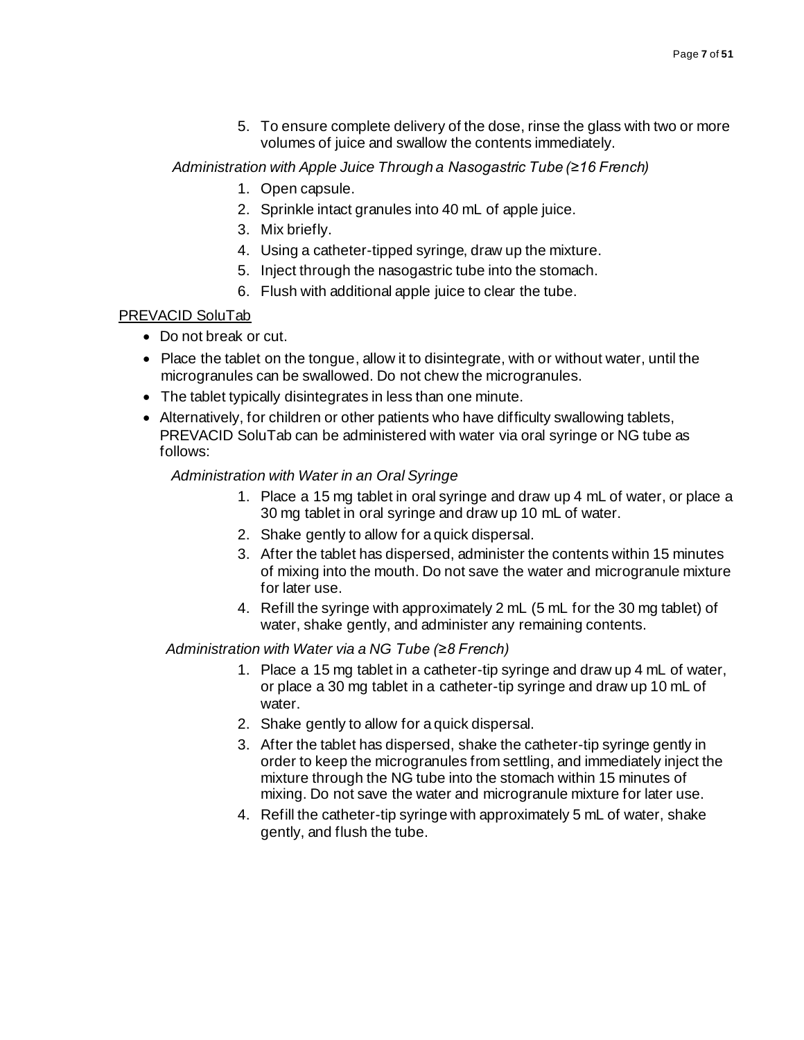5. To ensure complete delivery of the dose, rinse the glass with two or more volumes of juice and swallow the contents immediately.

*Administration with Apple Juice Through a Nasogastric Tube (≥16 French)*

- 1. Open capsule.
- 2. Sprinkle intact granules into 40 mL of apple juice.
- 3. Mix briefly.
- 4. Using a catheter-tipped syringe, draw up the mixture.
- 5. Inject through the nasogastric tube into the stomach.
- 6. Flush with additional apple juice to clear the tube.

### PREVACID SoluTab

- Do not break or cut.
- Place the tablet on the tongue, allow it to disintegrate, with or without water, until the microgranules can be swallowed. Do not chew the microgranules.
- The tablet typically disintegrates in less than one minute.
- Alternatively, for children or other patients who have difficulty swallowing tablets, PREVACID SoluTab can be administered with water via oral syringe or NG tube as follows:

## *Administration with Water in an Oral Syringe*

- 1. Place a 15 mg tablet in oral syringe and draw up 4 mL of water, or place a 30 mg tablet in oral syringe and draw up 10 mL of water.
- 2. Shake gently to allow for a quick dispersal.
- 3. After the tablet has dispersed, administer the contents within 15 minutes of mixing into the mouth. Do not save the water and microgranule mixture for later use.
- 4. Refill the syringe with approximately 2 mL (5 mL for the 30 mg tablet) of water, shake gently, and administer any remaining contents.

### *Administration with Water via a NG Tube (≥8 French)*

- 1. Place a 15 mg tablet in a catheter-tip syringe and draw up 4 mL of water, or place a 30 mg tablet in a catheter-tip syringe and draw up 10 mL of water.
- 2. Shake gently to allow for a quick dispersal.
- 3. After the tablet has dispersed, shake the catheter-tip syringe gently in order to keep the microgranules from settling, and immediately inject the mixture through the NG tube into the stomach within 15 minutes of mixing. Do not save the water and microgranule mixture for later use.
- 4. Refill the catheter-tip syringe with approximately 5 mL of water, shake gently, and flush the tube.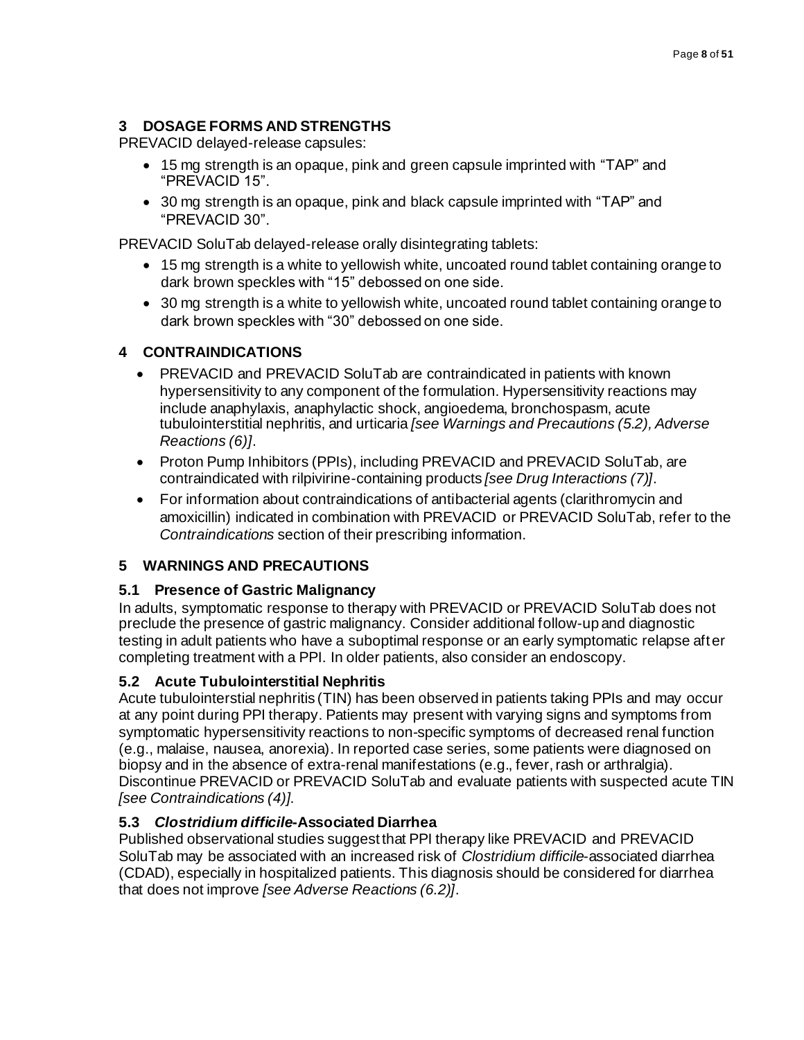# **3 DOSAGE FORMS AND STRENGTHS**

PREVACID delayed-release capsules:

- 15 mg strength is an opaque, pink and green capsule imprinted with "TAP" and "PREVACID 15".
- 30 mg strength is an opaque, pink and black capsule imprinted with "TAP" and "PREVACID 30".

PREVACID SoluTab delayed-release orally disintegrating tablets:

- 15 mg strength is a white to yellowish white, uncoated round tablet containing orange to dark brown speckles with "15" debossed on one side.
- 30 mg strength is a white to yellowish white, uncoated round tablet containing orange to dark brown speckles with "30" debossed on one side.

# **4 CONTRAINDICATIONS**

- PREVACID and PREVACID SoluTab are contraindicated in patients with known hypersensitivity to any component of the formulation. Hypersensitivity reactions may include anaphylaxis, anaphylactic shock, angioedema, bronchospasm, acute tubulointerstitial nephritis, and urticaria *[see Warnings and Precautions (5.2), Adverse Reactions (6)]*.
- Proton Pump Inhibitors (PPIs), including PREVACID and PREVACID SoluTab, are contraindicated with rilpivirine-containing products *[see Drug Interactions (7)]*.
- For information about contraindications of antibacterial agents (clarithromycin and amoxicillin) indicated in combination with PREVACID or PREVACID SoluTab, refer to the *Contraindications* section of their prescribing information.

# **5 WARNINGS AND PRECAUTIONS**

# **5.1 Presence of Gastric Malignancy**

In adults, symptomatic response to therapy with PREVACID or PREVACID SoluTab does not preclude the presence of gastric malignancy. Consider additional follow-up and diagnostic testing in adult patients who have a suboptimal response or an early symptomatic relapse after completing treatment with a PPI. In older patients, also consider an endoscopy.

# **5.2 Acute Tubulointerstitial Nephritis**

Acute tubulointerstial nephritis (TIN) has been observed in patients taking PPIs and may occur at any point during PPI therapy. Patients may present with varying signs and symptoms from symptomatic hypersensitivity reactions to non-specific symptoms of decreased renal function (e.g., malaise, nausea, anorexia). In reported case series, some patients were diagnosed on biopsy and in the absence of extra-renal manifestations (e.g., fever, rash or arthralgia). Discontinue PREVACID or PREVACID SoluTab and evaluate patients with suspected acute TIN *[see Contraindications (4)]*.

# **5.3** *Clostridium difficile***-Associated Diarrhea**

Published observational studies suggest that PPI therapy like PREVACID and PREVACID SoluTab may be associated with an increased risk of *Clostridium difficile*-associated diarrhea (CDAD), especially in hospitalized patients. This diagnosis should be considered for diarrhea that does not improve *[see Adverse Reactions (6.2)]*.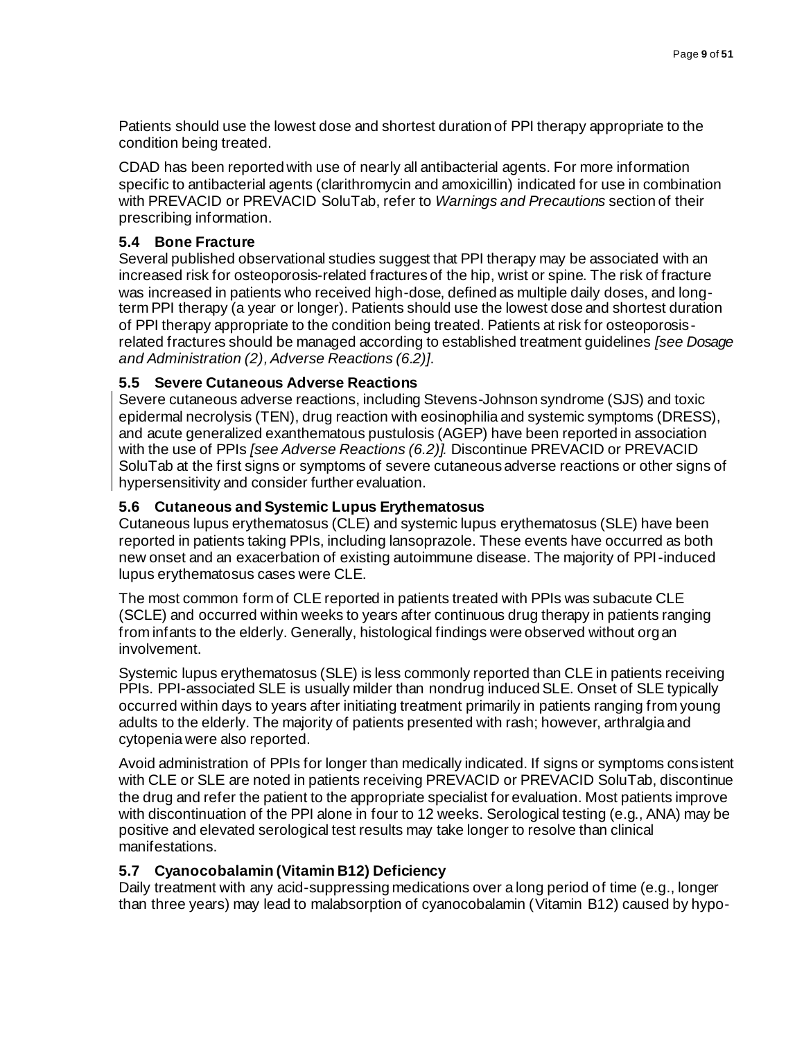Patients should use the lowest dose and shortest duration of PPI therapy appropriate to the condition being treated.

CDAD has been reported with use of nearly all antibacterial agents. For more information specific to antibacterial agents (clarithromycin and amoxicillin) indicated for use in combination with PREVACID or PREVACID SoluTab, refer to *Warnings and Precautions* section of their prescribing information.

# **5.4 Bone Fracture**

Several published observational studies suggest that PPI therapy may be associated with an increased risk for osteoporosis-related fractures of the hip, wrist or spine. The risk of fracture was increased in patients who received high-dose, defined as multiple daily doses, and longterm PPI therapy (a year or longer). Patients should use the lowest dose and shortest duration of PPI therapy appropriate to the condition being treated. Patients at risk for osteoporosisrelated fractures should be managed according to established treatment guidelines *[see Dosage and Administration (2), Adverse Reactions (6.2)]*.

## **5.5 Severe Cutaneous Adverse Reactions**

Severe cutaneous adverse reactions, including Stevens-Johnson syndrome (SJS) and toxic epidermal necrolysis (TEN), drug reaction with eosinophilia and systemic symptoms (DRESS), and acute generalized exanthematous pustulosis (AGEP) have been reported in association with the use of PPIs *[see Adverse Reactions (6.2)].* Discontinue PREVACID or PREVACID SoluTab at the first signs or symptoms of severe cutaneous adverse reactions or other signs of hypersensitivity and consider further evaluation.

## **5.6 Cutaneous and Systemic Lupus Erythematosus**

Cutaneous lupus erythematosus (CLE) and systemic lupus erythematosus (SLE) have been reported in patients taking PPIs, including lansoprazole. These events have occurred as both new onset and an exacerbation of existing autoimmune disease. The majority of PPI-induced lupus erythematosus cases were CLE.

The most common form of CLE reported in patients treated with PPIs was subacute CLE (SCLE) and occurred within weeks to years after continuous drug therapy in patients ranging from infants to the elderly. Generally, histological findings were observed without organ involvement.

Systemic lupus erythematosus (SLE) is less commonly reported than CLE in patients receiving PPIs. PPI-associated SLE is usually milder than nondrug induced SLE. Onset of SLE typically occurred within days to years after initiating treatment primarily in patients ranging from young adults to the elderly. The majority of patients presented with rash; however, arthralgia and cytopenia were also reported.

Avoid administration of PPIs for longer than medically indicated. If signs or symptoms consistent with CLE or SLE are noted in patients receiving PREVACID or PREVACID SoluTab, discontinue the drug and refer the patient to the appropriate specialist for evaluation. Most patients improve with discontinuation of the PPI alone in four to 12 weeks. Serological testing (e.g., ANA) may be positive and elevated serological test results may take longer to resolve than clinical manifestations.

### **5.7 Cyanocobalamin (Vitamin B12) Deficiency**

Daily treatment with any acid-suppressing medications over a long period of time (e.g., longer than three years) may lead to malabsorption of cyanocobalamin (Vitamin B12) caused by hypo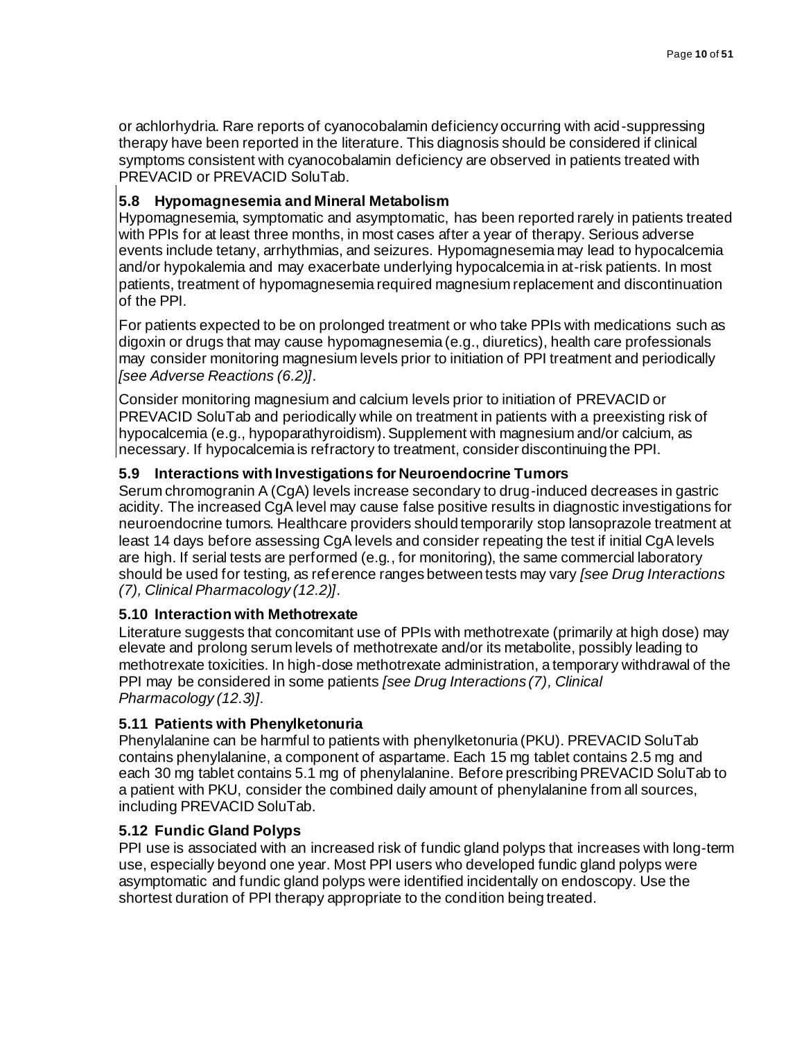or achlorhydria. Rare reports of cyanocobalamin deficiency occurring with acid-suppressing therapy have been reported in the literature. This diagnosis should be considered if clinical symptoms consistent with cyanocobalamin deficiency are observed in patients treated with PREVACID or PREVACID SoluTab.

# **5.8 Hypomagnesemia and Mineral Metabolism**

Hypomagnesemia, symptomatic and asymptomatic, has been reported rarely in patients treated with PPIs for at least three months, in most cases after a year of therapy. Serious adverse events include tetany, arrhythmias, and seizures. Hypomagnesemia may lead to hypocalcemia and/or hypokalemia and may exacerbate underlying hypocalcemia in at-risk patients. In most patients, treatment of hypomagnesemia required magnesium replacement and discontinuation of the PPI.

For patients expected to be on prolonged treatment or who take PPIs with medications such as digoxin or drugs that may cause hypomagnesemia (e.g., diuretics), health care professionals may consider monitoring magnesium levels prior to initiation of PPI treatment and periodically *[see Adverse Reactions (6.2)]*.

Consider monitoring magnesium and calcium levels prior to initiation of PREVACID or PREVACID SoluTab and periodically while on treatment in patients with a preexisting risk of hypocalcemia (e.g., hypoparathyroidism). Supplement with magnesium and/or calcium, as necessary. If hypocalcemia is refractory to treatment, consider discontinuing the PPI.

## **5.9 Interactions with Investigations for Neuroendocrine Tumors**

Serum chromogranin A (CgA) levels increase secondary to drug-induced decreases in gastric acidity. The increased CgA level may cause false positive results in diagnostic investigations for neuroendocrine tumors. Healthcare providers should temporarily stop lansoprazole treatment at least 14 days before assessing CgA levels and consider repeating the test if initial CgA levels are high. If serial tests are performed (e.g., for monitoring), the same commercial laboratory should be used for testing, as reference ranges between tests may vary *[see Drug Interactions (7), Clinical Pharmacology (12.2)]*.

### **5.10 Interaction with Methotrexate**

Literature suggests that concomitant use of PPIs with methotrexate (primarily at high dose) may elevate and prolong serum levels of methotrexate and/or its metabolite, possibly leading to methotrexate toxicities. In high-dose methotrexate administration, a temporary withdrawal of the PPI may be considered in some patients *[see Drug Interactions (7), Clinical Pharmacology (12.3)]*.

### **5.11 Patients with Phenylketonuria**

Phenylalanine can be harmful to patients with phenylketonuria (PKU). PREVACID SoluTab contains phenylalanine, a component of aspartame. Each 15 mg tablet contains 2.5 mg and each 30 mg tablet contains 5.1 mg of phenylalanine. Before prescribing PREVACID SoluTab to a patient with PKU, consider the combined daily amount of phenylalanine from all sources, including PREVACID SoluTab.

### **5.12 Fundic Gland Polyps**

PPI use is associated with an increased risk of fundic gland polyps that increases with long-term use, especially beyond one year. Most PPI users who developed fundic gland polyps were asymptomatic and fundic gland polyps were identified incidentally on endoscopy. Use the shortest duration of PPI therapy appropriate to the condition being treated.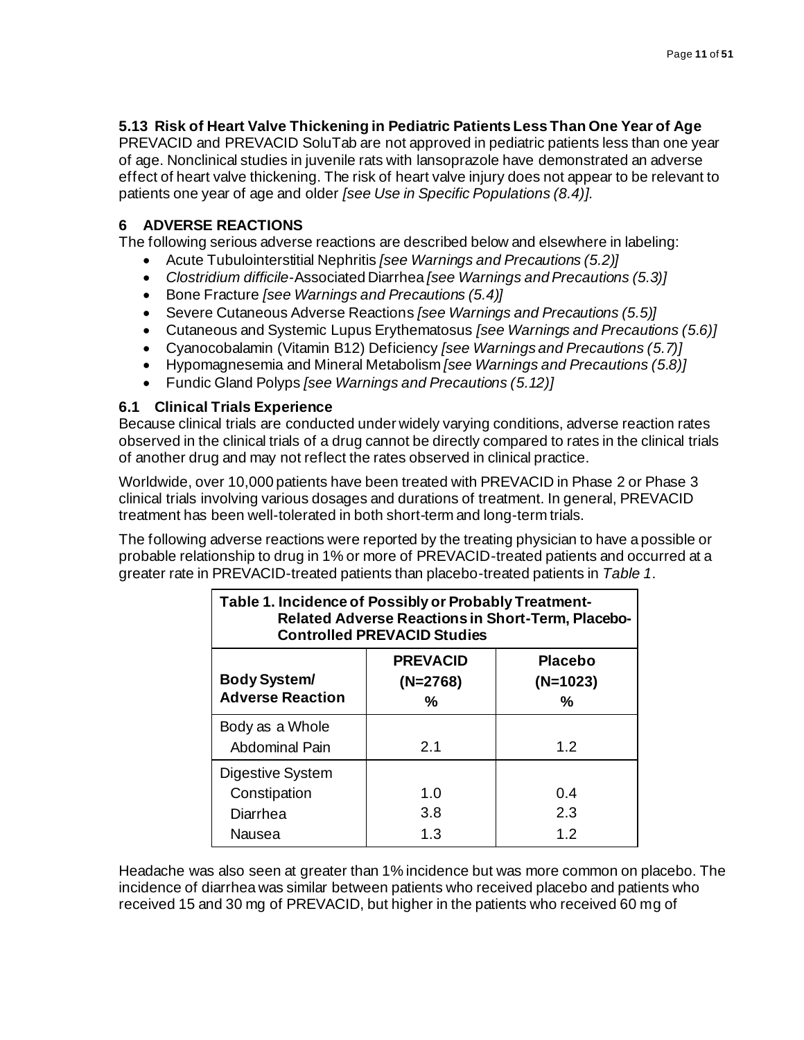# **5.13 Risk of Heart Valve Thickening in Pediatric Patients Less Than One Year of Age**

PREVACID and PREVACID SoluTab are not approved in pediatric patients less than one year of age. Nonclinical studies in juvenile rats with lansoprazole have demonstrated an adverse effect of heart valve thickening. The risk of heart valve injury does not appear to be relevant to patients one year of age and older *[see Use in Specific Populations (8.4)].*

# **6 ADVERSE REACTIONS**

The following serious adverse reactions are described below and elsewhere in labeling:

- Acute Tubulointerstitial Nephritis *[see Warnings and Precautions (5.2)]*
- *Clostridium difficile*-Associated Diarrhea *[see Warnings and Precautions (5.3)]*
- Bone Fracture *[see Warnings and Precautions (5.4)]*
- Severe Cutaneous Adverse Reactions *[see Warnings and Precautions (5.5)]*
- Cutaneous and Systemic Lupus Erythematosus *[see Warnings and Precautions (5.6)]*
- Cyanocobalamin (Vitamin B12) Deficiency *[see Warnings and Precautions (5.7)]*
- Hypomagnesemia and Mineral Metabolism *[see Warnings and Precautions (5.8)]*
- Fundic Gland Polyps *[see Warnings and Precautions (5.12)]*

## **6.1 Clinical Trials Experience**

Because clinical trials are conducted under widely varying conditions, adverse reaction rates observed in the clinical trials of a drug cannot be directly compared to rates in the clinical trials of another drug and may not reflect the rates observed in clinical practice.

Worldwide, over 10,000 patients have been treated with PREVACID in Phase 2 or Phase 3 clinical trials involving various dosages and durations of treatment. In general, PREVACID treatment has been well-tolerated in both short-term and long-term trials.

The following adverse reactions were reported by the treating physician to have a possible or probable relationship to drug in 1% or more of PREVACID-treated patients and occurred at a greater rate in PREVACID-treated patients than placebo-treated patients in *Table 1*.

| Table 1. Incidence of Possibly or Probably Treatment-<br><b>Related Adverse Reactions in Short-Term, Placebo-</b><br><b>Controlled PREVACID Studies</b> |                                    |                                   |
|---------------------------------------------------------------------------------------------------------------------------------------------------------|------------------------------------|-----------------------------------|
| <b>Body System/</b><br><b>Adverse Reaction</b>                                                                                                          | <b>PREVACID</b><br>$(N=2768)$<br>% | <b>Placebo</b><br>$(N=1023)$<br>% |
| Body as a Whole<br><b>Abdominal Pain</b>                                                                                                                | 2.1                                | 1.2                               |
| Digestive System<br>Constipation<br>Diarrhea<br>Nausea                                                                                                  | 1.0<br>3.8<br>1.3                  | 0.4<br>2.3<br>1.2                 |

Headache was also seen at greater than 1% incidence but was more common on placebo. The incidence of diarrhea was similar between patients who received placebo and patients who received 15 and 30 mg of PREVACID, but higher in the patients who received 60 mg of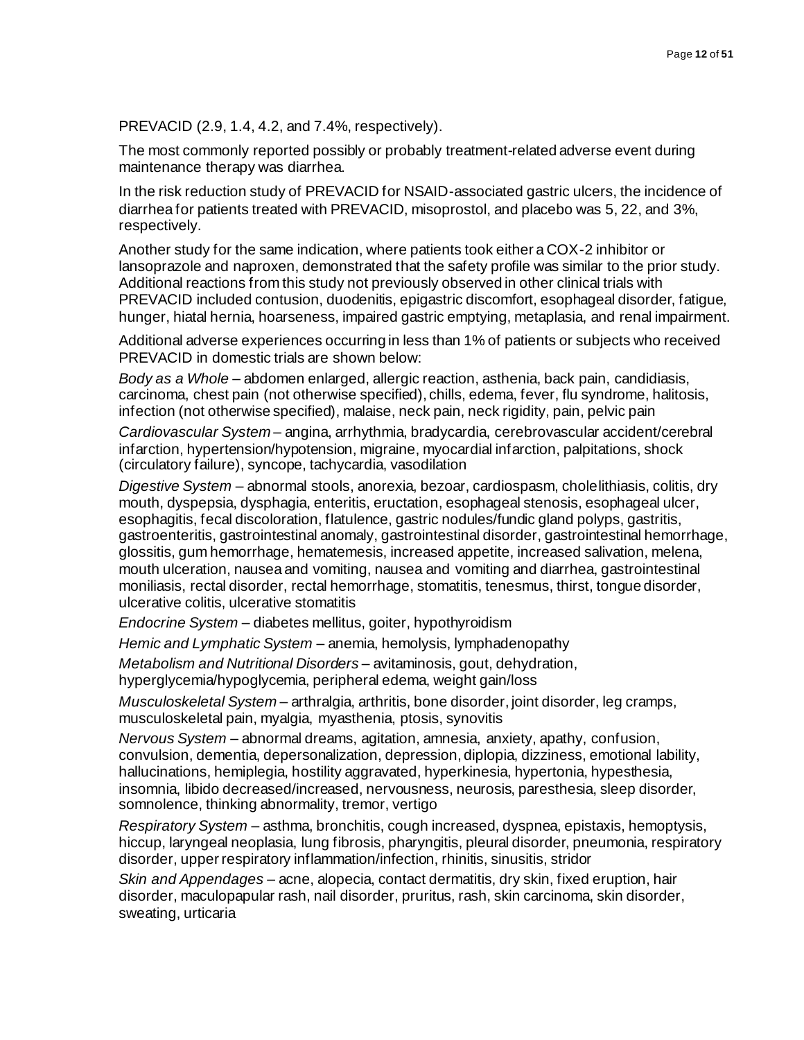PREVACID (2.9, 1.4, 4.2, and 7.4%, respectively).

The most commonly reported possibly or probably treatment-related adverse event during maintenance therapy was diarrhea.

In the risk reduction study of PREVACID for NSAID-associated gastric ulcers, the incidence of diarrhea for patients treated with PREVACID, misoprostol, and placebo was 5, 22, and 3%, respectively.

Another study for the same indication, where patients took either a COX-2 inhibitor or lansoprazole and naproxen, demonstrated that the safety profile was similar to the prior study. Additional reactions from this study not previously observed in other clinical trials with PREVACID included contusion, duodenitis, epigastric discomfort, esophageal disorder, fatigue, hunger, hiatal hernia, hoarseness, impaired gastric emptying, metaplasia, and renal impairment.

Additional adverse experiences occurring in less than 1% of patients or subjects who received PREVACID in domestic trials are shown below:

*Body as a Whole* – abdomen enlarged, allergic reaction, asthenia, back pain, candidiasis, carcinoma, chest pain (not otherwise specified), chills, edema, fever, flu syndrome, halitosis, infection (not otherwise specified), malaise, neck pain, neck rigidity, pain, pelvic pain

*Cardiovascular System –* angina, arrhythmia, bradycardia, cerebrovascular accident/cerebral infarction, hypertension/hypotension, migraine, myocardial infarction, palpitations, shock (circulatory failure), syncope, tachycardia, vasodilation

*Digestive System –* abnormal stools, anorexia, bezoar, cardiospasm, cholelithiasis, colitis, dry mouth, dyspepsia, dysphagia, enteritis, eructation, esophageal stenosis, esophageal ulcer, esophagitis, fecal discoloration, flatulence, gastric nodules/fundic gland polyps, gastritis, gastroenteritis, gastrointestinal anomaly, gastrointestinal disorder, gastrointestinal hemorrhage, glossitis, gum hemorrhage, hematemesis, increased appetite, increased salivation, melena, mouth ulceration, nausea and vomiting, nausea and vomiting and diarrhea, gastrointestinal moniliasis, rectal disorder, rectal hemorrhage, stomatitis, tenesmus, thirst, tongue disorder, ulcerative colitis, ulcerative stomatitis

*Endocrine System –* diabetes mellitus, goiter, hypothyroidism

*Hemic and Lymphatic System –* anemia, hemolysis, lymphadenopathy

*Metabolism and Nutritional Disorders –* avitaminosis, gout, dehydration,

hyperglycemia/hypoglycemia, peripheral edema, weight gain/loss

*Musculoskeletal System –* arthralgia, arthritis, bone disorder, joint disorder, leg cramps, musculoskeletal pain, myalgia, myasthenia, ptosis, synovitis

*Nervous System –* abnormal dreams, agitation, amnesia, anxiety, apathy, confusion, convulsion, dementia, depersonalization, depression, diplopia, dizziness, emotional lability, hallucinations, hemiplegia, hostility aggravated, hyperkinesia, hypertonia, hypesthesia, insomnia, libido decreased/increased, nervousness, neurosis, paresthesia, sleep disorder, somnolence, thinking abnormality, tremor, vertigo

*Respiratory System –* asthma, bronchitis, cough increased, dyspnea, epistaxis, hemoptysis, hiccup, laryngeal neoplasia, lung fibrosis, pharyngitis, pleural disorder, pneumonia, respiratory disorder, upper respiratory inflammation/infection, rhinitis, sinusitis, stridor

*Skin and Appendages –* acne, alopecia, contact dermatitis, dry skin, fixed eruption, hair disorder, maculopapular rash, nail disorder, pruritus, rash, skin carcinoma, skin disorder, sweating, urticaria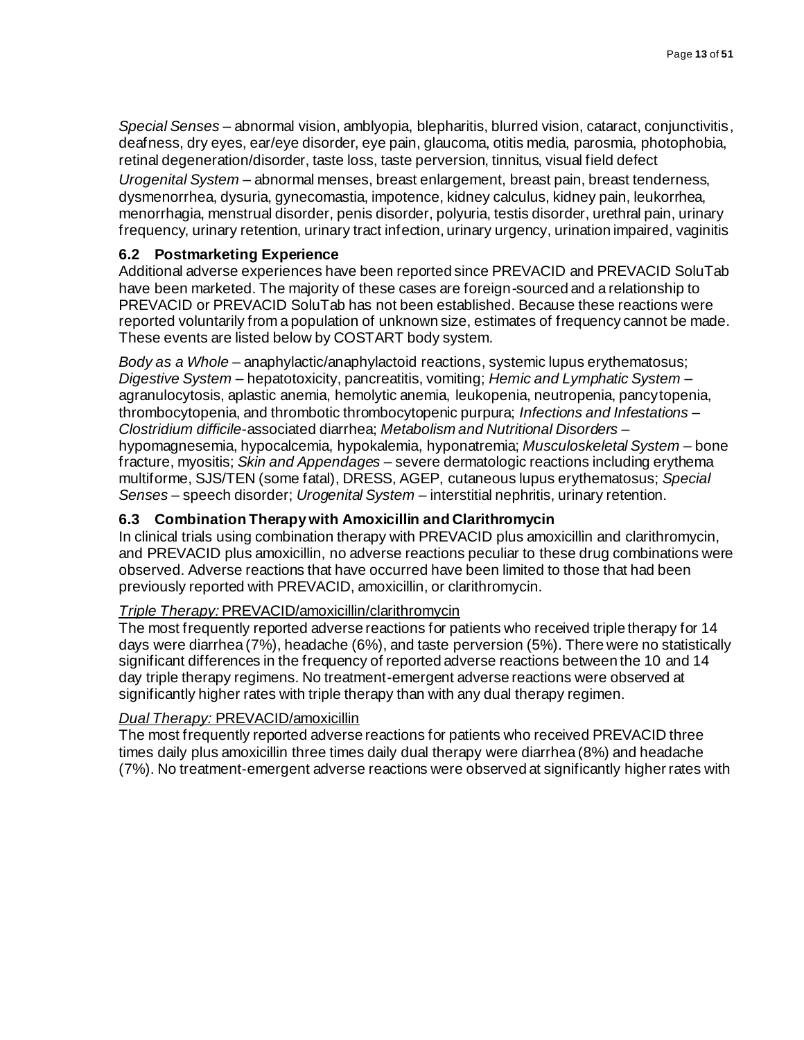*Special Senses –* abnormal vision, amblyopia, blepharitis, blurred vision, cataract, conjunctivitis, deafness, dry eyes, ear/eye disorder, eye pain, glaucoma, otitis media, parosmia, photophobia, retinal degeneration/disorder, taste loss, taste perversion, tinnitus, visual field defect

*Urogenital System –* abnormal menses, breast enlargement, breast pain, breast tenderness, dysmenorrhea, dysuria, gynecomastia, impotence, kidney calculus, kidney pain, leukorrhea, menorrhagia, menstrual disorder, penis disorder, polyuria, testis disorder, urethral pain, urinary frequency, urinary retention, urinary tract infection, urinary urgency, urination impaired, vaginitis

### **6.2 Postmarketing Experience**

Additional adverse experiences have been reported since PREVACID and PREVACID SoluTab have been marketed. The majority of these cases are foreign-sourced and a relationship to PREVACID or PREVACID SoluTab has not been established. Because these reactions were reported voluntarily from a population of unknown size, estimates of frequency cannot be made. These events are listed below by COSTART body system.

*Body as a Whole –* anaphylactic/anaphylactoid reactions, systemic lupus erythematosus; *Digestive System –* hepatotoxicity, pancreatitis, vomiting; *Hemic and Lymphatic System –* agranulocytosis, aplastic anemia, hemolytic anemia, leukopenia, neutropenia, pancytopenia, thrombocytopenia, and thrombotic thrombocytopenic purpura; *Infections and Infestations – Clostridium difficile*-associated diarrhea; *Metabolism and Nutritional Disorders –* hypomagnesemia, hypocalcemia, hypokalemia, hyponatremia; *Musculoskeletal System –* bone fracture, myositis; *Skin and Appendages –* severe dermatologic reactions including erythema multiforme, SJS/TEN (some fatal), DRESS, AGEP, cutaneous lupus erythematosus; *Special Senses –* speech disorder; *Urogenital System –* interstitial nephritis, urinary retention.

### **6.3 Combination Therapy with Amoxicillin and Clarithromycin**

In clinical trials using combination therapy with PREVACID plus amoxicillin and clarithromycin, and PREVACID plus amoxicillin, no adverse reactions peculiar to these drug combinations were observed. Adverse reactions that have occurred have been limited to those that had been previously reported with PREVACID, amoxicillin, or clarithromycin.

### *Triple Therapy:* PREVACID/amoxicillin/clarithromycin

The most frequently reported adverse reactions for patients who received triple therapy for 14 days were diarrhea (7%), headache (6%), and taste perversion (5%). There were no statistically significant differences in the frequency of reported adverse reactions between the 10 and 14 day triple therapy regimens. No treatment-emergent adverse reactions were observed at significantly higher rates with triple therapy than with any dual therapy regimen.

### *Dual Therapy:* PREVACID/amoxicillin

The most frequently reported adverse reactions for patients who received PREVACID three times daily plus amoxicillin three times daily dual therapy were diarrhea (8%) and headache (7%). No treatment-emergent adverse reactions were observed at significantly higher rates with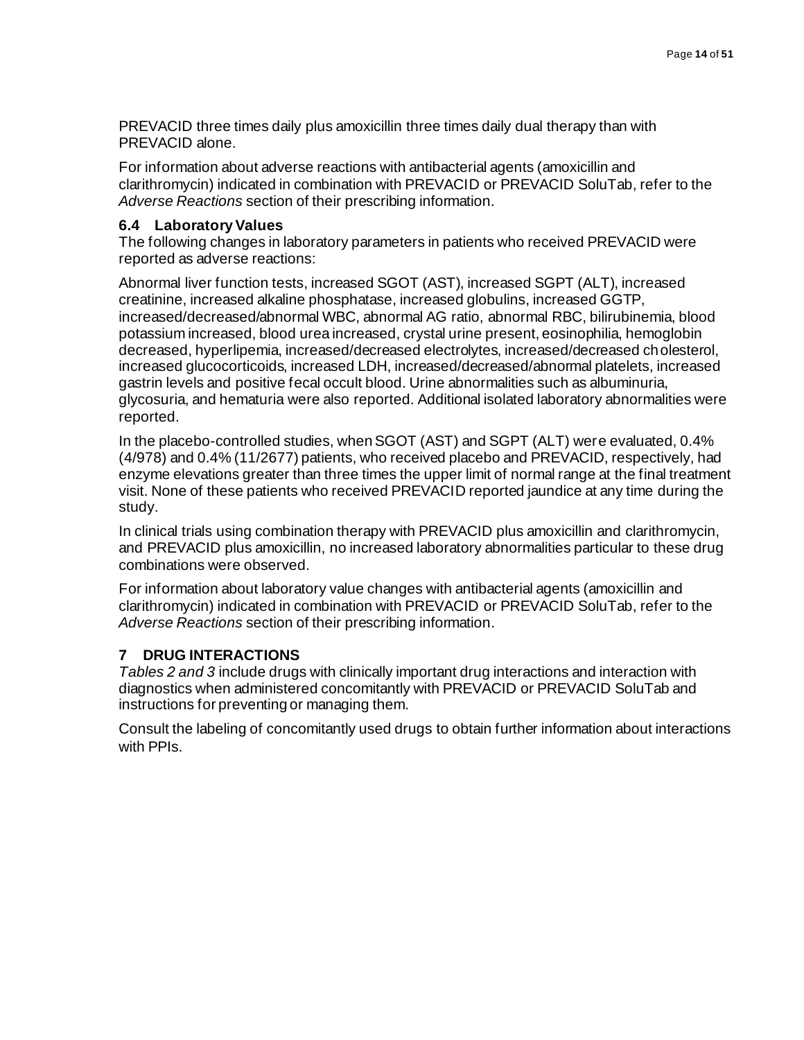PREVACID three times daily plus amoxicillin three times daily dual therapy than with PREVACID alone.

For information about adverse reactions with antibacterial agents (amoxicillin and clarithromycin) indicated in combination with PREVACID or PREVACID SoluTab, refer to the *Adverse Reactions* section of their prescribing information.

### **6.4 Laboratory Values**

The following changes in laboratory parameters in patients who received PREVACID were reported as adverse reactions:

Abnormal liver function tests, increased SGOT (AST), increased SGPT (ALT), increased creatinine, increased alkaline phosphatase, increased globulins, increased GGTP, increased/decreased/abnormal WBC, abnormal AG ratio, abnormal RBC, bilirubinemia, blood potassium increased, blood urea increased, crystal urine present, eosinophilia, hemoglobin decreased, hyperlipemia, increased/decreased electrolytes, increased/decreased cholesterol, increased glucocorticoids, increased LDH, increased/decreased/abnormal platelets, increased gastrin levels and positive fecal occult blood. Urine abnormalities such as albuminuria, glycosuria, and hematuria were also reported. Additional isolated laboratory abnormalities were reported.

In the placebo-controlled studies, when SGOT (AST) and SGPT (ALT) were evaluated, 0.4% (4/978) and 0.4% (11/2677) patients, who received placebo and PREVACID, respectively, had enzyme elevations greater than three times the upper limit of normal range at the final treatment visit. None of these patients who received PREVACID reported jaundice at any time during the study.

In clinical trials using combination therapy with PREVACID plus amoxicillin and clarithromycin, and PREVACID plus amoxicillin, no increased laboratory abnormalities particular to these drug combinations were observed.

For information about laboratory value changes with antibacterial agents (amoxicillin and clarithromycin) indicated in combination with PREVACID or PREVACID SoluTab, refer to the *Adverse Reactions* section of their prescribing information.

### **7 DRUG INTERACTIONS**

*Tables 2 and 3* include drugs with clinically important drug interactions and interaction with diagnostics when administered concomitantly with PREVACID or PREVACID SoluTab and instructions for preventing or managing them.

Consult the labeling of concomitantly used drugs to obtain further information about interactions with PPIs.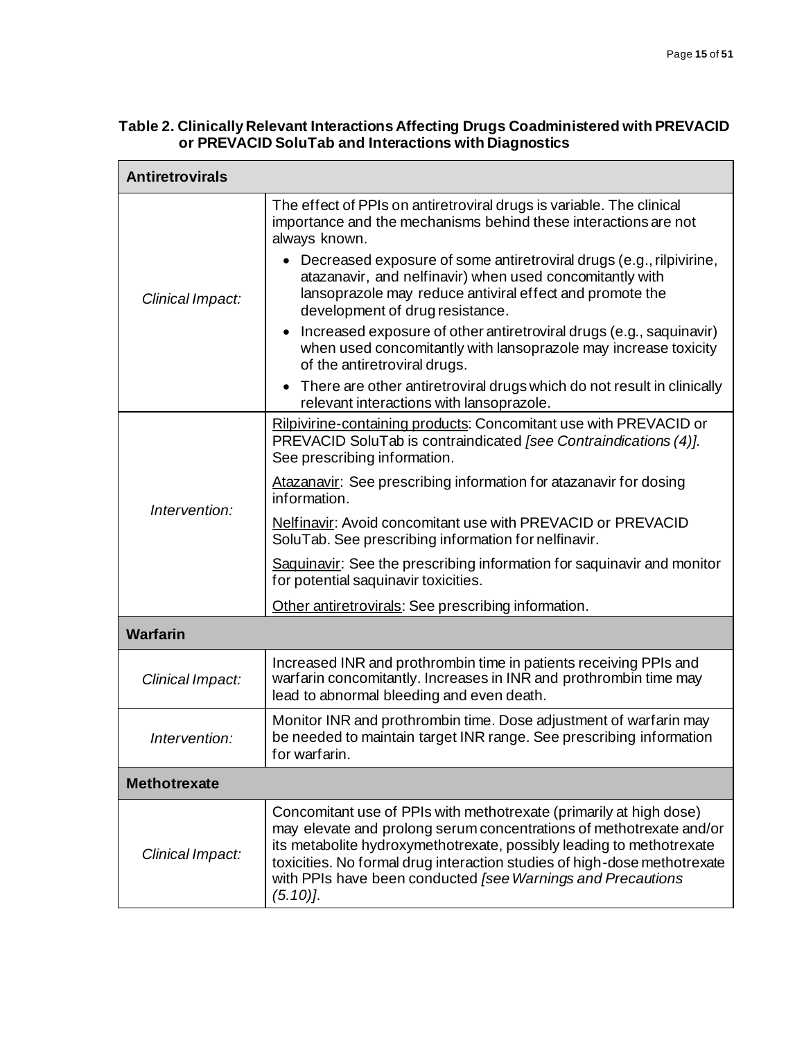| <b>Antiretrovirals</b> |                                                                                                                                                                                                                                                                                                                                                                             |  |
|------------------------|-----------------------------------------------------------------------------------------------------------------------------------------------------------------------------------------------------------------------------------------------------------------------------------------------------------------------------------------------------------------------------|--|
| Clinical Impact:       | The effect of PPIs on antiretroviral drugs is variable. The clinical<br>importance and the mechanisms behind these interactions are not<br>always known.                                                                                                                                                                                                                    |  |
|                        | • Decreased exposure of some antiretroviral drugs (e.g., rilpivirine,<br>atazanavir, and nelfinavir) when used concomitantly with<br>lansoprazole may reduce antiviral effect and promote the<br>development of drug resistance.                                                                                                                                            |  |
|                        | Increased exposure of other antiretroviral drugs (e.g., saquinavir)<br>when used concomitantly with lansoprazole may increase toxicity<br>of the antiretroviral drugs.                                                                                                                                                                                                      |  |
|                        | There are other antiretroviral drugs which do not result in clinically<br>$\bullet$<br>relevant interactions with lansoprazole.                                                                                                                                                                                                                                             |  |
| Intervention:          | Rilpivirine-containing products: Concomitant use with PREVACID or<br>PREVACID SoluTab is contraindicated [see Contraindications (4)].<br>See prescribing information.                                                                                                                                                                                                       |  |
|                        | Atazanavir: See prescribing information for atazanavir for dosing<br>information.                                                                                                                                                                                                                                                                                           |  |
|                        | Nelfinavir: Avoid concomitant use with PREVACID or PREVACID<br>SoluTab. See prescribing information for nelfinavir.                                                                                                                                                                                                                                                         |  |
|                        | Saquinavir: See the prescribing information for saquinavir and monitor<br>for potential saquinavir toxicities.                                                                                                                                                                                                                                                              |  |
|                        | Other antiretrovirals: See prescribing information.                                                                                                                                                                                                                                                                                                                         |  |
| <b>Warfarin</b>        |                                                                                                                                                                                                                                                                                                                                                                             |  |
| Clinical Impact:       | Increased INR and prothrombin time in patients receiving PPIs and<br>warfarin concomitantly. Increases in INR and prothrombin time may<br>lead to abnormal bleeding and even death.                                                                                                                                                                                         |  |
| Intervention:          | Monitor INR and prothrombin time. Dose adjustment of warfarin may<br>be needed to maintain target INR range. See prescribing information<br>for warfarin.                                                                                                                                                                                                                   |  |
| <b>Methotrexate</b>    |                                                                                                                                                                                                                                                                                                                                                                             |  |
| Clinical Impact:       | Concomitant use of PPIs with methotrexate (primarily at high dose)<br>may elevate and prolong serum concentrations of methotrexate and/or<br>its metabolite hydroxymethotrexate, possibly leading to methotrexate<br>toxicities. No formal drug interaction studies of high-dose methotrexate<br>with PPIs have been conducted [see Warnings and Precautions<br>$(5.10)$ ]. |  |

# **Table 2. Clinically Relevant Interactions Affecting Drugs Coadministered with PREVACID or PREVACID SoluTab and Interactions with Diagnostics**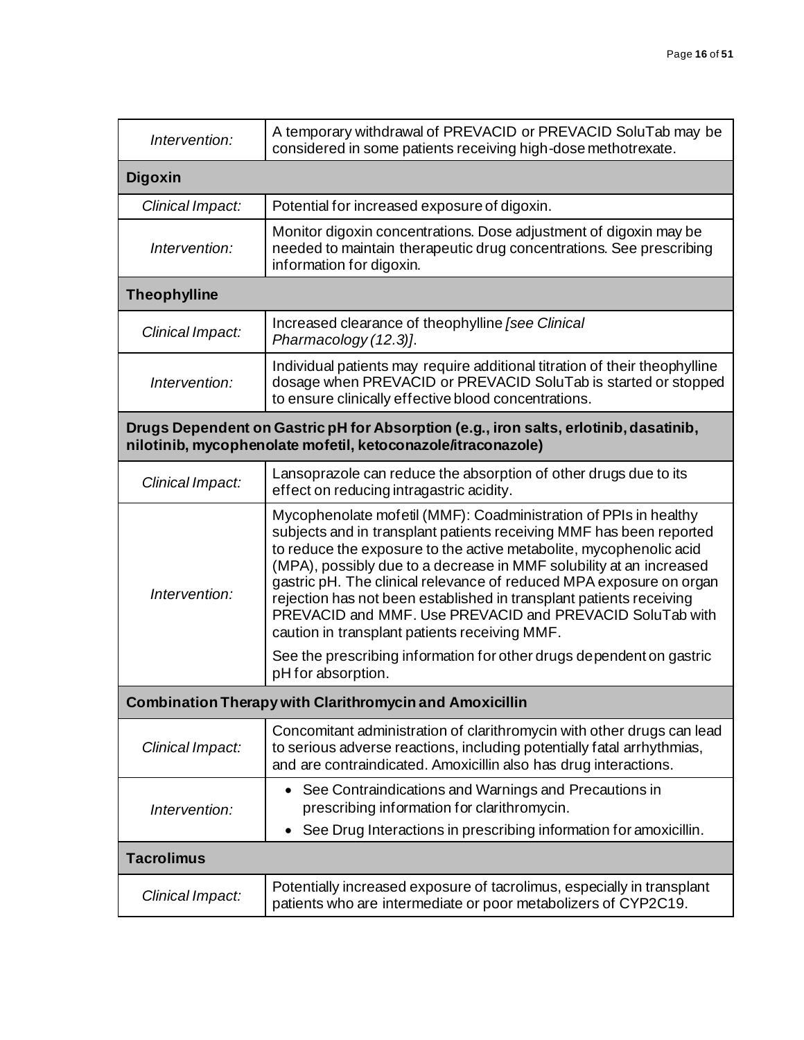| Intervention:       | A temporary withdrawal of PREVACID or PREVACID SoluTab may be<br>considered in some patients receiving high-dose methotrexate.                                                                                                                                                                                                                                                                                                                                                                                                                  |  |
|---------------------|-------------------------------------------------------------------------------------------------------------------------------------------------------------------------------------------------------------------------------------------------------------------------------------------------------------------------------------------------------------------------------------------------------------------------------------------------------------------------------------------------------------------------------------------------|--|
| <b>Digoxin</b>      |                                                                                                                                                                                                                                                                                                                                                                                                                                                                                                                                                 |  |
| Clinical Impact:    | Potential for increased exposure of digoxin.                                                                                                                                                                                                                                                                                                                                                                                                                                                                                                    |  |
| Intervention:       | Monitor digoxin concentrations. Dose adjustment of digoxin may be<br>needed to maintain therapeutic drug concentrations. See prescribing<br>information for digoxin.                                                                                                                                                                                                                                                                                                                                                                            |  |
| <b>Theophylline</b> |                                                                                                                                                                                                                                                                                                                                                                                                                                                                                                                                                 |  |
| Clinical Impact:    | Increased clearance of theophylline [see Clinical<br>Pharmacology (12.3)].                                                                                                                                                                                                                                                                                                                                                                                                                                                                      |  |
| Intervention:       | Individual patients may require additional titration of their theophylline<br>dosage when PREVACID or PREVACID SoluTab is started or stopped<br>to ensure clinically effective blood concentrations.                                                                                                                                                                                                                                                                                                                                            |  |
|                     | Drugs Dependent on Gastric pH for Absorption (e.g., iron salts, erlotinib, dasatinib,<br>nilotinib, mycophenolate mofetil, ketoconazole/itraconazole)                                                                                                                                                                                                                                                                                                                                                                                           |  |
| Clinical Impact:    | Lansoprazole can reduce the absorption of other drugs due to its<br>effect on reducing intragastric acidity.                                                                                                                                                                                                                                                                                                                                                                                                                                    |  |
| Intervention:       | Mycophenolate mofetil (MMF): Coadministration of PPIs in healthy<br>subjects and in transplant patients receiving MMF has been reported<br>to reduce the exposure to the active metabolite, mycophenolic acid<br>(MPA), possibly due to a decrease in MMF solubility at an increased<br>gastric pH. The clinical relevance of reduced MPA exposure on organ<br>rejection has not been established in transplant patients receiving<br>PREVACID and MMF, Use PREVACID and PREVACID SoluTab with<br>caution in transplant patients receiving MMF. |  |
|                     | See the prescribing information for other drugs dependent on gastric<br>pH for absorption.                                                                                                                                                                                                                                                                                                                                                                                                                                                      |  |
|                     | <b>Combination Therapy with Clarithromycin and Amoxicillin</b>                                                                                                                                                                                                                                                                                                                                                                                                                                                                                  |  |
| Clinical Impact:    | Concomitant administration of clarithromycin with other drugs can lead<br>to serious adverse reactions, including potentially fatal arrhythmias,<br>and are contraindicated. Amoxicillin also has drug interactions.                                                                                                                                                                                                                                                                                                                            |  |
| Intervention:       | See Contraindications and Warnings and Precautions in<br>$\bullet$<br>prescribing information for clarithromycin.<br>See Drug Interactions in prescribing information for amoxicillin.                                                                                                                                                                                                                                                                                                                                                          |  |
| <b>Tacrolimus</b>   |                                                                                                                                                                                                                                                                                                                                                                                                                                                                                                                                                 |  |
| Clinical Impact:    | Potentially increased exposure of tacrolimus, especially in transplant<br>patients who are intermediate or poor metabolizers of CYP2C19.                                                                                                                                                                                                                                                                                                                                                                                                        |  |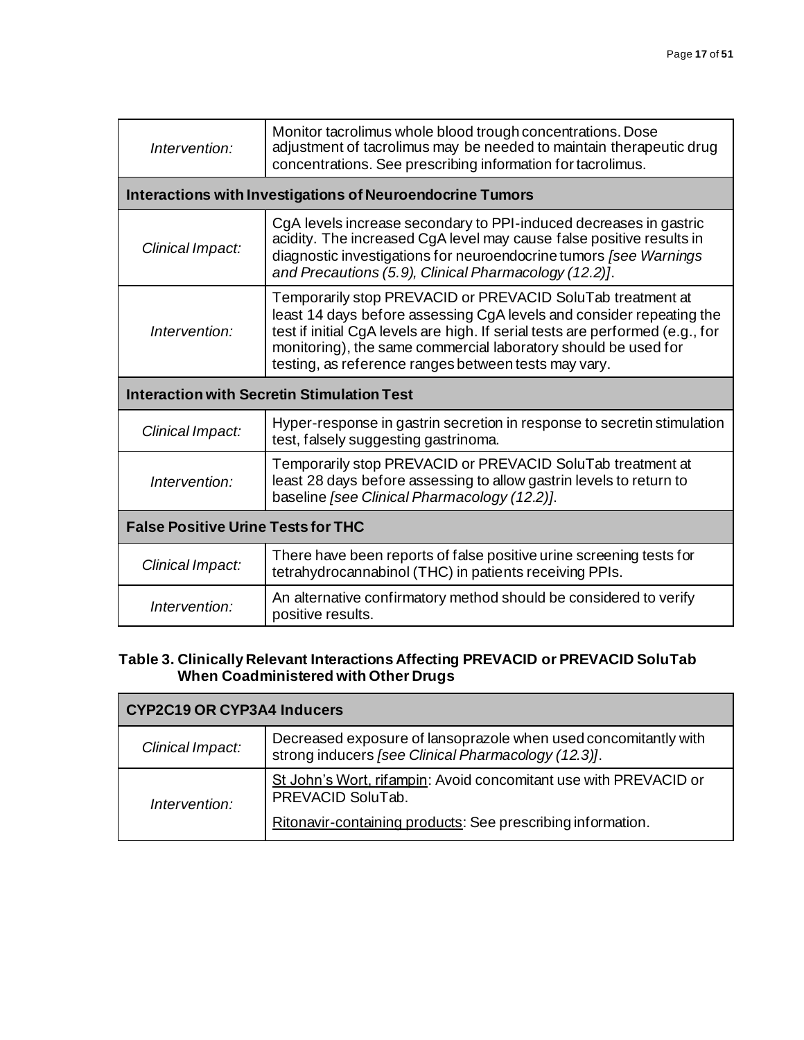| Intervention:                             | Monitor tacrolimus whole blood trough concentrations. Dose<br>adjustment of tacrolimus may be needed to maintain therapeutic drug<br>concentrations. See prescribing information for tacrolimus.                                                                                                                                              |  |  |
|-------------------------------------------|-----------------------------------------------------------------------------------------------------------------------------------------------------------------------------------------------------------------------------------------------------------------------------------------------------------------------------------------------|--|--|
|                                           | <b>Interactions with Investigations of Neuroendocrine Tumors</b>                                                                                                                                                                                                                                                                              |  |  |
| Clinical Impact:                          | CgA levels increase secondary to PPI-induced decreases in gastric<br>acidity. The increased CgA level may cause false positive results in<br>diagnostic investigations for neuroendocrine tumors [see Warnings<br>and Precautions (5.9), Clinical Pharmacology (12.2)].                                                                       |  |  |
| Intervention:                             | Temporarily stop PREVACID or PREVACID SoluTab treatment at<br>least 14 days before assessing CgA levels and consider repeating the<br>test if initial CgA levels are high. If serial tests are performed (e.g., for<br>monitoring), the same commercial laboratory should be used for<br>testing, as reference ranges between tests may vary. |  |  |
|                                           | <b>Interaction with Secretin Stimulation Test</b>                                                                                                                                                                                                                                                                                             |  |  |
| Clinical Impact:                          | Hyper-response in gastrin secretion in response to secretin stimulation<br>test, falsely suggesting gastrinoma.                                                                                                                                                                                                                               |  |  |
| Intervention:                             | Temporarily stop PREVACID or PREVACID SoluTab treatment at<br>least 28 days before assessing to allow gastrin levels to return to<br>baseline [see Clinical Pharmacology (12.2)].                                                                                                                                                             |  |  |
| <b>False Positive Urine Tests for THC</b> |                                                                                                                                                                                                                                                                                                                                               |  |  |
| Clinical Impact:                          | There have been reports of false positive urine screening tests for<br>tetrahydrocannabinol (THC) in patients receiving PPIs.                                                                                                                                                                                                                 |  |  |
| Intervention:                             | An alternative confirmatory method should be considered to verify<br>positive results.                                                                                                                                                                                                                                                        |  |  |

### **Table 3. Clinically Relevant Interactions Affecting PREVACID or PREVACID SoluTab When Coadministered with Other Drugs**

| <b>CYP2C19 OR CYP3A4 Inducers</b> |                                                                                                                        |  |
|-----------------------------------|------------------------------------------------------------------------------------------------------------------------|--|
| Clinical Impact:                  | Decreased exposure of lansoprazole when used concomitantly with<br>strong inducers [see Clinical Pharmacology (12.3)]. |  |
| Intervention:                     | St John's Wort, rifampin: Avoid concomitant use with PREVACID or<br>PREVACID SoluTab.                                  |  |
|                                   | Ritonavir-containing products: See prescribing information.                                                            |  |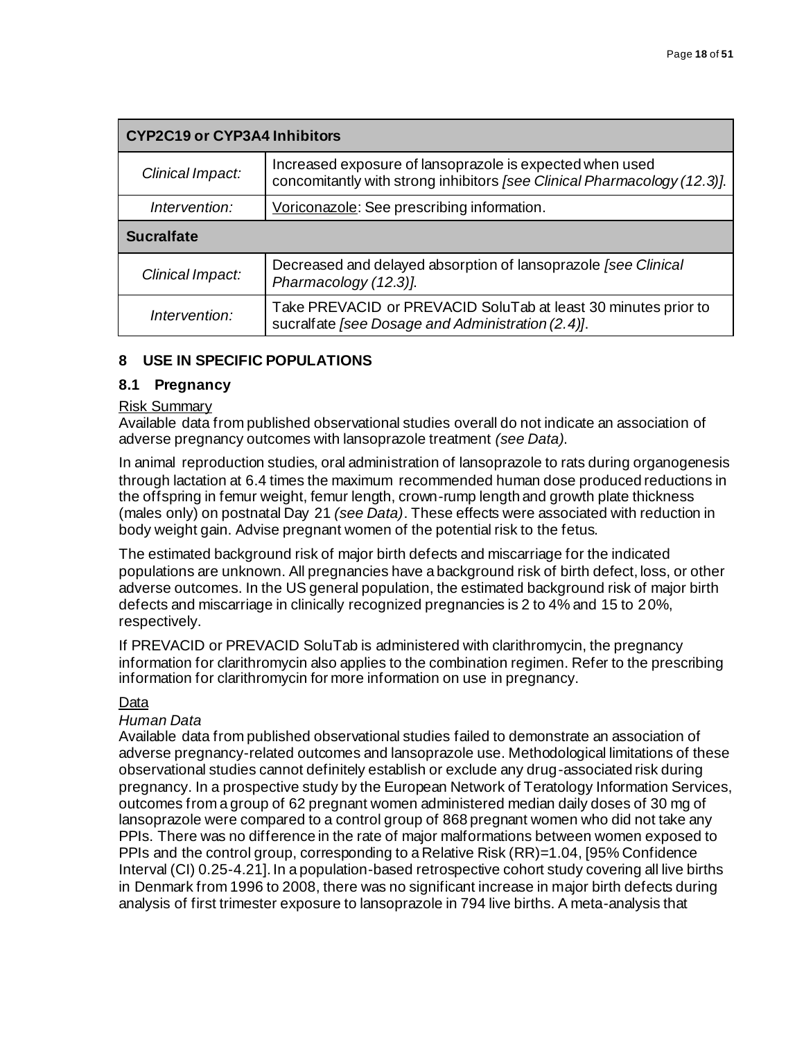| <b>CYP2C19 or CYP3A4 Inhibitors</b> |                                                                                                                                      |  |
|-------------------------------------|--------------------------------------------------------------------------------------------------------------------------------------|--|
| Clinical Impact:                    | Increased exposure of lansoprazole is expected when used<br>concomitantly with strong inhibitors [see Clinical Pharmacology (12.3)]. |  |
| Intervention:                       | Voriconazole: See prescribing information.                                                                                           |  |
| <b>Sucralfate</b>                   |                                                                                                                                      |  |
| Clinical Impact:                    | Decreased and delayed absorption of lansoprazole [see Clinical]<br>Pharmacology (12.3)].                                             |  |
| Intervention:                       | Take PREVACID or PREVACID SoluTab at least 30 minutes prior to<br>sucralfate [see Dosage and Administration (2.4)].                  |  |

## **8 USE IN SPECIFIC POPULATIONS**

### **8.1 Pregnancy**

### Risk Summary

Available data from published observational studies overall do not indicate an association of adverse pregnancy outcomes with lansoprazole treatment *(see Data)*.

In animal reproduction studies, oral administration of lansoprazole to rats during organogenesis through lactation at 6.4 times the maximum recommended human dose produced reductions in the offspring in femur weight, femur length, crown-rump length and growth plate thickness (males only) on postnatal Day 21 *(see Data)*. These effects were associated with reduction in body weight gain. Advise pregnant women of the potential risk to the fetus.

The estimated background risk of major birth defects and miscarriage for the indicated populations are unknown. All pregnancies have a background risk of birth defect, loss, or other adverse outcomes. In the US general population, the estimated background risk of major birth defects and miscarriage in clinically recognized pregnancies is 2 to 4% and 15 to 20%, respectively.

If PREVACID or PREVACID SoluTab is administered with clarithromycin, the pregnancy information for clarithromycin also applies to the combination regimen. Refer to the prescribing information for clarithromycin for more information on use in pregnancy.

### Data

### *Human Data*

Available data from published observational studies failed to demonstrate an association of adverse pregnancy-related outcomes and lansoprazole use. Methodological limitations of these observational studies cannot definitely establish or exclude any drug-associated risk during pregnancy. In a prospective study by the European Network of Teratology Information Services, outcomes from a group of 62 pregnant women administered median daily doses of 30 mg of lansoprazole were compared to a control group of 868 pregnant women who did not take any PPIs. There was no difference in the rate of major malformations between women exposed to PPIs and the control group, corresponding to a Relative Risk (RR)=1.04, [95% Confidence Interval (CI) 0.25-4.21]. In a population-based retrospective cohort study covering all live births in Denmark from 1996 to 2008, there was no significant increase in major birth defects during analysis of first trimester exposure to lansoprazole in 794 live births. A meta-analysis that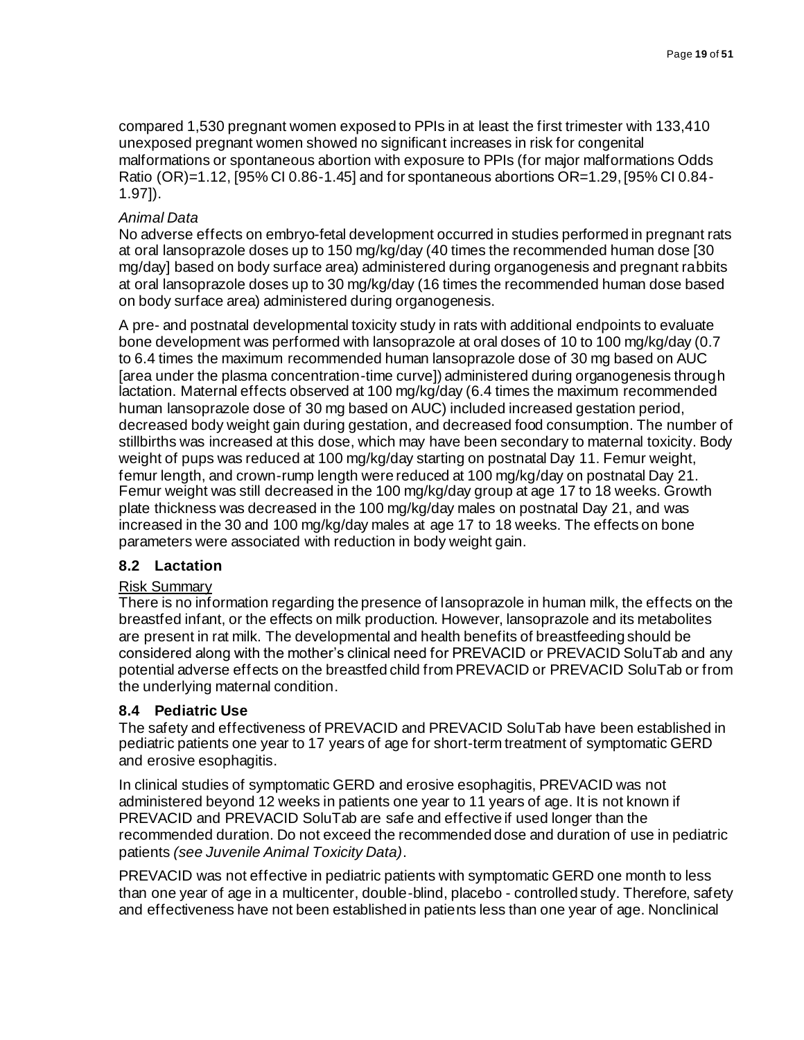compared 1,530 pregnant women exposed to PPIs in at least the first trimester with 133,410 unexposed pregnant women showed no significant increases in risk for congenital malformations or spontaneous abortion with exposure to PPIs (for major malformations Odds Ratio (OR)=1.12, [95% CI 0.86-1.45] and for spontaneous abortions OR=1.29, [95% CI 0.84- 1.97]).

# *Animal Data*

No adverse effects on embryo-fetal development occurred in studies performed in pregnant rats at oral lansoprazole doses up to 150 mg/kg/day (40 times the recommended human dose [30 mg/day] based on body surface area) administered during organogenesis and pregnant rabbits at oral lansoprazole doses up to 30 mg/kg/day (16 times the recommended human dose based on body surface area) administered during organogenesis.

A pre- and postnatal developmental toxicity study in rats with additional endpoints to evaluate bone development was performed with lansoprazole at oral doses of 10 to 100 mg/kg/day (0.7 to 6.4 times the maximum recommended human lansoprazole dose of 30 mg based on AUC [area under the plasma concentration-time curve]) administered during organogenesis through lactation. Maternal effects observed at 100 mg/kg/day (6.4 times the maximum recommended human lansoprazole dose of 30 mg based on AUC) included increased gestation period, decreased body weight gain during gestation, and decreased food consumption. The number of stillbirths was increased at this dose, which may have been secondary to maternal toxicity. Body weight of pups was reduced at 100 mg/kg/day starting on postnatal Day 11. Femur weight, femur length, and crown-rump length were reduced at 100 mg/kg/day on postnatal Day 21. Femur weight was still decreased in the 100 mg/kg/day group at age 17 to 18 weeks. Growth plate thickness was decreased in the 100 mg/kg/day males on postnatal Day 21, and was increased in the 30 and 100 mg/kg/day males at age 17 to 18 weeks. The effects on bone parameters were associated with reduction in body weight gain.

# **8.2 Lactation**

# Risk Summary

There is no information regarding the presence of lansoprazole in human milk, the effects on the breastfed infant, or the effects on milk production. However, lansoprazole and its metabolites are present in rat milk. The developmental and health benefits of breastfeeding should be considered along with the mother's clinical need for PREVACID or PREVACID SoluTab and any potential adverse effects on the breastfed child from PREVACID or PREVACID SoluTab or from the underlying maternal condition.

# **8.4 Pediatric Use**

The safety and effectiveness of PREVACID and PREVACID SoluTab have been established in pediatric patients one year to 17 years of age for short-term treatment of symptomatic GERD and erosive esophagitis.

In clinical studies of symptomatic GERD and erosive esophagitis, PREVACID was not administered beyond 12 weeks in patients one year to 11 years of age. It is not known if PREVACID and PREVACID SoluTab are safe and effective if used longer than the recommended duration. Do not exceed the recommended dose and duration of use in pediatric patients *(see Juvenile Animal Toxicity Data)*.

PREVACID was not effective in pediatric patients with symptomatic GERD one month to less than one year of age in a multicenter, double-blind, placebo - controlled study. Therefore, safety and effectiveness have not been established in patients less than one year of age. Nonclinical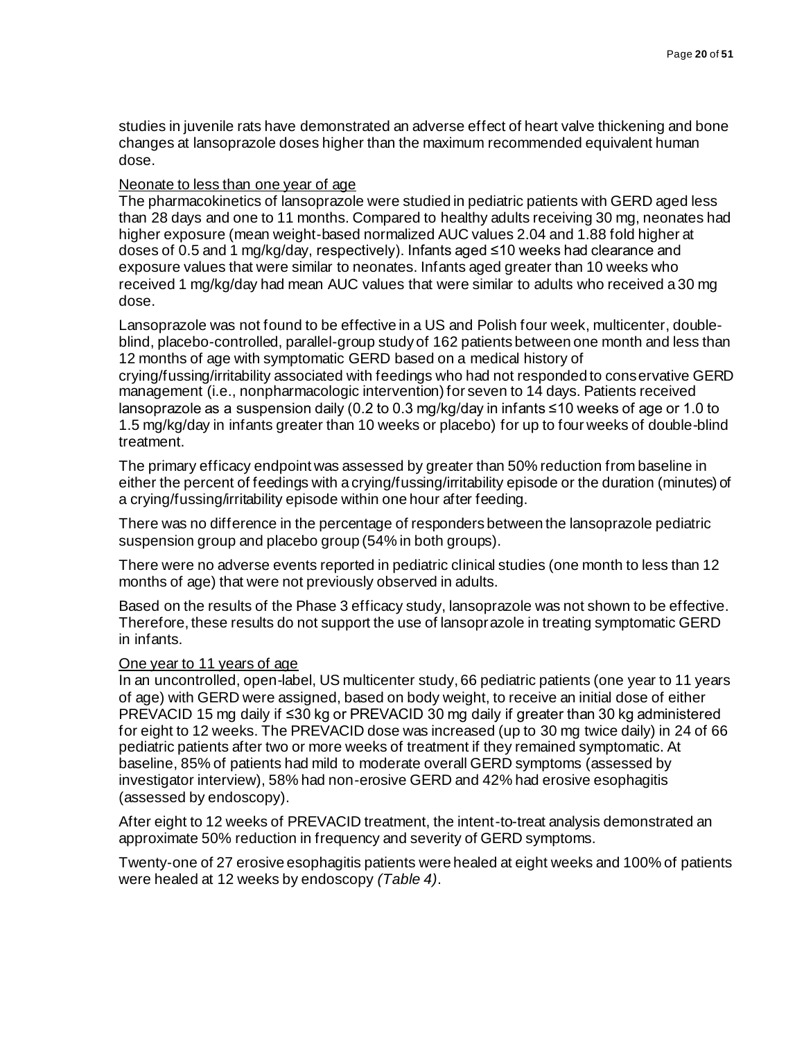studies in juvenile rats have demonstrated an adverse effect of heart valve thickening and bone changes at lansoprazole doses higher than the maximum recommended equivalent human dose.

### Neonate to less than one year of age

The pharmacokinetics of lansoprazole were studied in pediatric patients with GERD aged less than 28 days and one to 11 months. Compared to healthy adults receiving 30 mg, neonates had higher exposure (mean weight-based normalized AUC values 2.04 and 1.88 fold higher at doses of 0.5 and 1 mg/kg/day, respectively). Infants aged ≤10 weeks had clearance and exposure values that were similar to neonates. Infants aged greater than 10 weeks who received 1 mg/kg/day had mean AUC values that were similar to adults who received a 30 mg dose.

Lansoprazole was not found to be effective in a US and Polish four week, multicenter, doubleblind, placebo-controlled, parallel-group study of 162 patients between one month and less than 12 months of age with symptomatic GERD based on a medical history of crying/fussing/irritability associated with feedings who had not responded to conservative GERD management (i.e., nonpharmacologic intervention) for seven to 14 days. Patients received lansoprazole as a suspension daily (0.2 to 0.3 mg/kg/day in infants ≤10 weeks of age or 1.0 to 1.5 mg/kg/day in infants greater than 10 weeks or placebo) for up to four weeks of double-blind treatment.

The primary efficacy endpoint was assessed by greater than 50% reduction from baseline in either the percent of feedings with a crying/fussing/irritability episode or the duration (minutes) of a crying/fussing/irritability episode within one hour after feeding.

There was no difference in the percentage of responders between the lansoprazole pediatric suspension group and placebo group (54% in both groups).

There were no adverse events reported in pediatric clinical studies (one month to less than 12 months of age) that were not previously observed in adults.

Based on the results of the Phase 3 efficacy study, lansoprazole was not shown to be effective. Therefore, these results do not support the use of lansoprazole in treating symptomatic GERD in infants.

### One year to 11 years of age

In an uncontrolled, open-label, US multicenter study, 66 pediatric patients (one year to 11 years of age) with GERD were assigned, based on body weight, to receive an initial dose of either PREVACID 15 mg daily if ≤30 kg or PREVACID 30 mg daily if greater than 30 kg administered for eight to 12 weeks. The PREVACID dose was increased (up to 30 mg twice daily) in 24 of 66 pediatric patients after two or more weeks of treatment if they remained symptomatic. At baseline, 85% of patients had mild to moderate overall GERD symptoms (assessed by investigator interview), 58% had non-erosive GERD and 42% had erosive esophagitis (assessed by endoscopy).

After eight to 12 weeks of PREVACID treatment, the intent-to-treat analysis demonstrated an approximate 50% reduction in frequency and severity of GERD symptoms.

Twenty-one of 27 erosive esophagitis patients were healed at eight weeks and 100% of patients were healed at 12 weeks by endoscopy *(Table 4)*.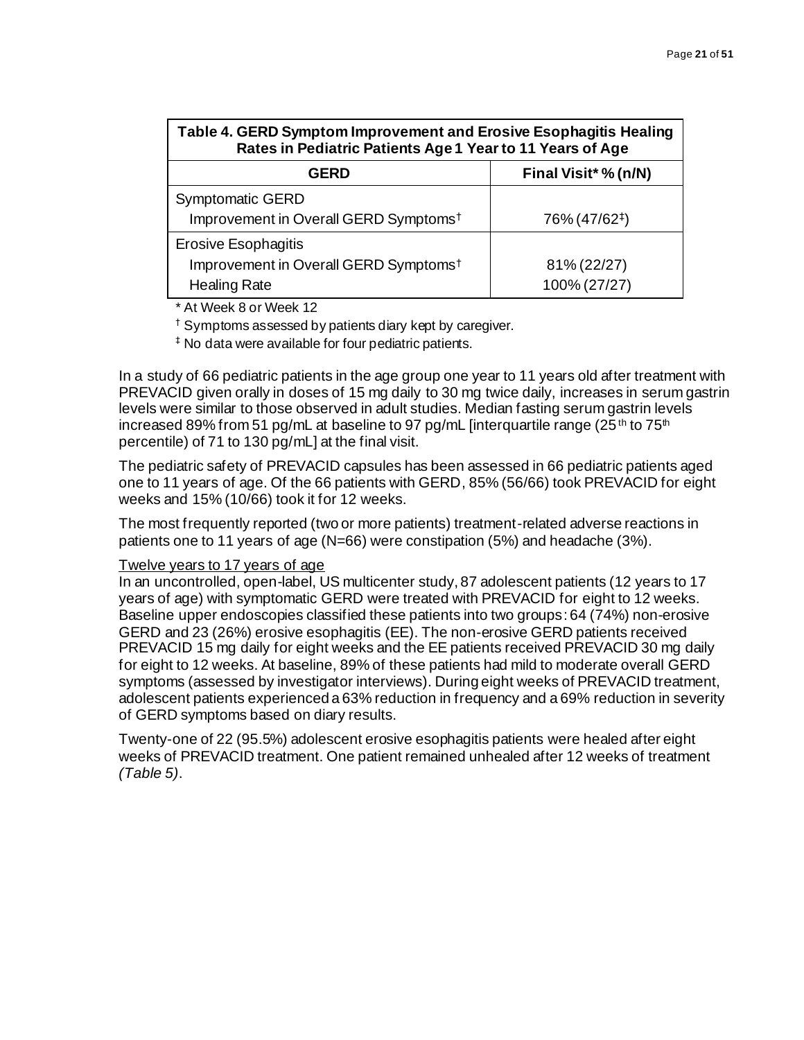| Table 4. GERD Symptom Improvement and Erosive Esophagitis Healing<br>Rates in Pediatric Patients Age 1 Year to 11 Years of Age |                             |  |
|--------------------------------------------------------------------------------------------------------------------------------|-----------------------------|--|
| GERD                                                                                                                           | Final Visit* % (n/N)        |  |
| <b>Symptomatic GERD</b><br>Improvement in Overall GERD Symptoms <sup>+</sup>                                                   | 76% (47/62 <sup>‡</sup> )   |  |
| <b>Erosive Esophagitis</b><br>Improvement in Overall GERD Symptoms <sup>+</sup><br><b>Healing Rate</b>                         | 81% (22/27)<br>100% (27/27) |  |

\* At Week 8 or Week 12

† Symptoms assessed by patients diary kept by caregiver.

‡ No data were available for four pediatric patients.

In a study of 66 pediatric patients in the age group one year to 11 years old after treatment with PREVACID given orally in doses of 15 mg daily to 30 mg twice daily, increases in serum gastrin levels were similar to those observed in adult studies. Median fasting serum gastrin levels increased 89% from 51 pg/mL at baseline to 97 pg/mL [interquartile range  $(25<sup>th</sup>$  to 75<sup>th</sup> percentile) of 71 to 130 pg/mL] at the final visit.

The pediatric safety of PREVACID capsules has been assessed in 66 pediatric patients aged one to 11 years of age. Of the 66 patients with GERD, 85% (56/66) took PREVACID for eight weeks and 15% (10/66) took it for 12 weeks.

The most frequently reported (two or more patients) treatment-related adverse reactions in patients one to 11 years of age (N=66) were constipation (5%) and headache (3%).

#### Twelve years to 17 years of age

In an uncontrolled, open-label, US multicenter study, 87 adolescent patients (12 years to 17 years of age) with symptomatic GERD were treated with PREVACID for eight to 12 weeks. Baseline upper endoscopies classified these patients into two groups: 64 (74%) non-erosive GERD and 23 (26%) erosive esophagitis (EE). The non-erosive GERD patients received PREVACID 15 mg daily for eight weeks and the EE patients received PREVACID 30 mg daily for eight to 12 weeks. At baseline, 89% of these patients had mild to moderate overall GERD symptoms (assessed by investigator interviews). During eight weeks of PREVACID treatment, adolescent patients experienced a 63% reduction in frequency and a 69% reduction in severity of GERD symptoms based on diary results.

Twenty-one of 22 (95.5%) adolescent erosive esophagitis patients were healed after eight weeks of PREVACID treatment. One patient remained unhealed after 12 weeks of treatment *(Table 5)*.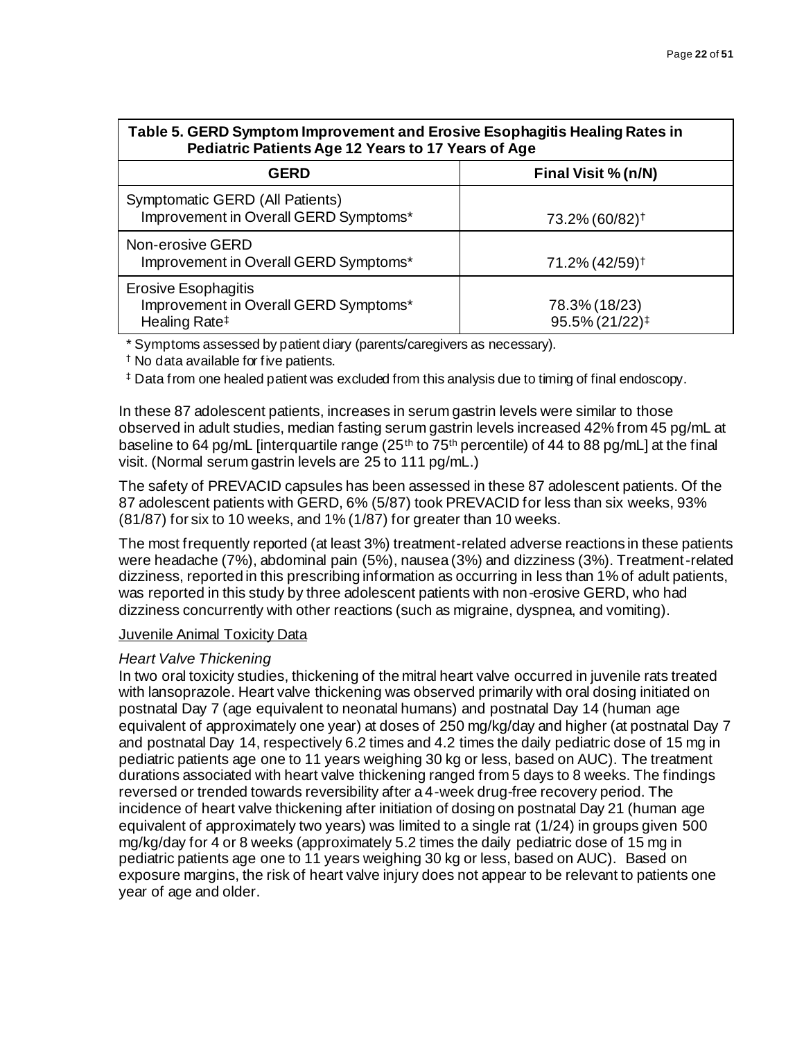| Table 5. GERD Symptom Improvement and Erosive Esophagitis Healing Rates in<br>Pediatric Patients Age 12 Years to 17 Years of Age |                                 |  |  |  |
|----------------------------------------------------------------------------------------------------------------------------------|---------------------------------|--|--|--|
| <b>GERD</b>                                                                                                                      | Final Visit % (n/N)             |  |  |  |
| Symptomatic GERD (All Patients)<br>Improvement in Overall GERD Symptoms*                                                         | 73.2% (60/82) <sup>†</sup>      |  |  |  |
| Non-erosive GERD<br>Improvement in Overall GERD Symptoms*                                                                        | 71.2% (42/59) <sup>†</sup>      |  |  |  |
| <b>Erosive Esophagitis</b><br>Improvement in Overall GERD Symptoms*<br>Healing Rate <sup>#</sup>                                 | 78.3% (18/23)<br>95.5% (21/22)‡ |  |  |  |

\* Symptoms assessed by patient diary (parents/caregivers as necessary).

† No data available for five patients.

‡ Data from one healed patient was excluded from this analysis due to timing of final endoscopy.

In these 87 adolescent patients, increases in serum gastrin levels were similar to those observed in adult studies, median fasting serum gastrin levels increased 42% from 45 pg/mL at baseline to 64 pg/mL [interquartile range  $(25<sup>th</sup>$  to 75<sup>th</sup> percentile) of 44 to 88 pg/mL] at the final visit. (Normal serum gastrin levels are 25 to 111 pg/mL.)

The safety of PREVACID capsules has been assessed in these 87 adolescent patients. Of the 87 adolescent patients with GERD, 6% (5/87) took PREVACID for less than six weeks, 93% (81/87) for six to 10 weeks, and 1% (1/87) for greater than 10 weeks.

The most frequently reported (at least 3%) treatment-related adverse reactions in these patients were headache (7%), abdominal pain (5%), nausea (3%) and dizziness (3%). Treatment-related dizziness, reported in this prescribing information as occurring in less than 1% of adult patients, was reported in this study by three adolescent patients with non-erosive GERD, who had dizziness concurrently with other reactions (such as migraine, dyspnea, and vomiting).

### Juvenile Animal Toxicity Data

### *Heart Valve Thickening*

In two oral toxicity studies, thickening of the mitral heart valve occurred in juvenile rats treated with lansoprazole. Heart valve thickening was observed primarily with oral dosing initiated on postnatal Day 7 (age equivalent to neonatal humans) and postnatal Day 14 (human age equivalent of approximately one year) at doses of 250 mg/kg/day and higher (at postnatal Day 7 and postnatal Day 14, respectively 6.2 times and 4.2 times the daily pediatric dose of 15 mg in pediatric patients age one to 11 years weighing 30 kg or less, based on AUC). The treatment durations associated with heart valve thickening ranged from 5 days to 8 weeks. The findings reversed or trended towards reversibility after a 4-week drug-free recovery period. The incidence of heart valve thickening after initiation of dosing on postnatal Day 21 (human age equivalent of approximately two years) was limited to a single rat (1/24) in groups given 500 mg/kg/day for 4 or 8 weeks (approximately 5.2 times the daily pediatric dose of 15 mg in pediatric patients age one to 11 years weighing 30 kg or less, based on AUC). Based on exposure margins, the risk of heart valve injury does not appear to be relevant to patients one year of age and older.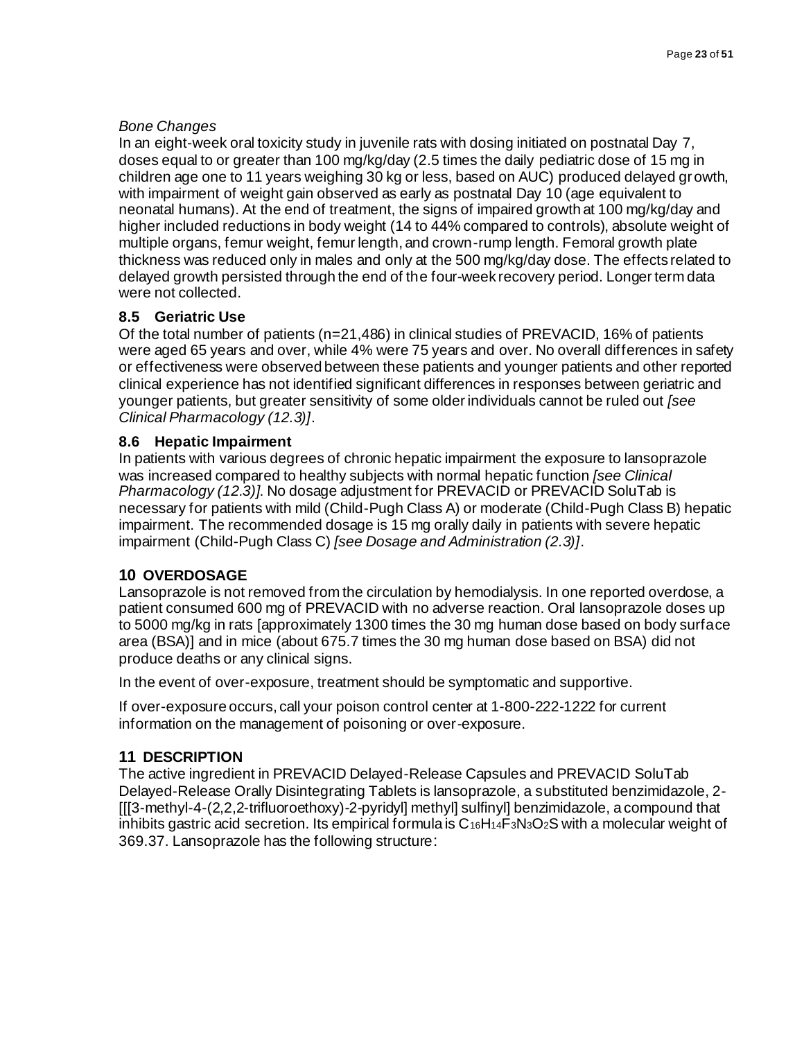# *Bone Changes*

In an eight-week oral toxicity study in juvenile rats with dosing initiated on postnatal Day 7, doses equal to or greater than 100 mg/kg/day (2.5 times the daily pediatric dose of 15 mg in children age one to 11 years weighing 30 kg or less, based on AUC) produced delayed growth, with impairment of weight gain observed as early as postnatal Day 10 (age equivalent to neonatal humans). At the end of treatment, the signs of impaired growth at 100 mg/kg/day and higher included reductions in body weight (14 to 44% compared to controls), absolute weight of multiple organs, femur weight, femur length, and crown-rump length. Femoral growth plate thickness was reduced only in males and only at the 500 mg/kg/day dose. The effects related to delayed growth persisted through the end of the four-week recovery period. Longer term data were not collected.

# **8.5 Geriatric Use**

Of the total number of patients (n=21,486) in clinical studies of PREVACID, 16% of patients were aged 65 years and over, while 4% were 75 years and over. No overall differences in safety or effectiveness were observed between these patients and younger patients and other reported clinical experience has not identified significant differences in responses between geriatric and younger patients, but greater sensitivity of some older individuals cannot be ruled out *[see Clinical Pharmacology (12.3)]*.

# **8.6 Hepatic Impairment**

In patients with various degrees of chronic hepatic impairment the exposure to lansoprazole was increased compared to healthy subjects with normal hepatic function *[see Clinical Pharmacology (12.3)]*. No dosage adjustment for PREVACID or PREVACID SoluTab is necessary for patients with mild (Child-Pugh Class A) or moderate (Child-Pugh Class B) hepatic impairment. The recommended dosage is 15 mg orally daily in patients with severe hepatic impairment (Child-Pugh Class C) *[see Dosage and Administration (2.3)]*.

# **10 OVERDOSAGE**

Lansoprazole is not removed from the circulation by hemodialysis. In one reported overdose, a patient consumed 600 mg of PREVACID with no adverse reaction. Oral lansoprazole doses up to 5000 mg/kg in rats [approximately 1300 times the 30 mg human dose based on body surface area (BSA)] and in mice (about 675.7 times the 30 mg human dose based on BSA) did not produce deaths or any clinical signs.

In the event of over-exposure, treatment should be symptomatic and supportive.

If over-exposure occurs, call your poison control center at 1-800-222-1222 for current information on the management of poisoning or over-exposure.

# **11 DESCRIPTION**

The active ingredient in PREVACID Delayed-Release Capsules and PREVACID SoluTab Delayed-Release Orally Disintegrating Tablets is lansoprazole, a substituted benzimidazole, 2- [[[3-methyl-4-(2,2,2-trifluoroethoxy)-2-pyridyl] methyl] sulfinyl] benzimidazole, a compound that inhibits gastric acid secretion. Its empirical formula is  $C_{16}H_{14}F_3N_3O_2S$  with a molecular weight of 369.37. Lansoprazole has the following structure: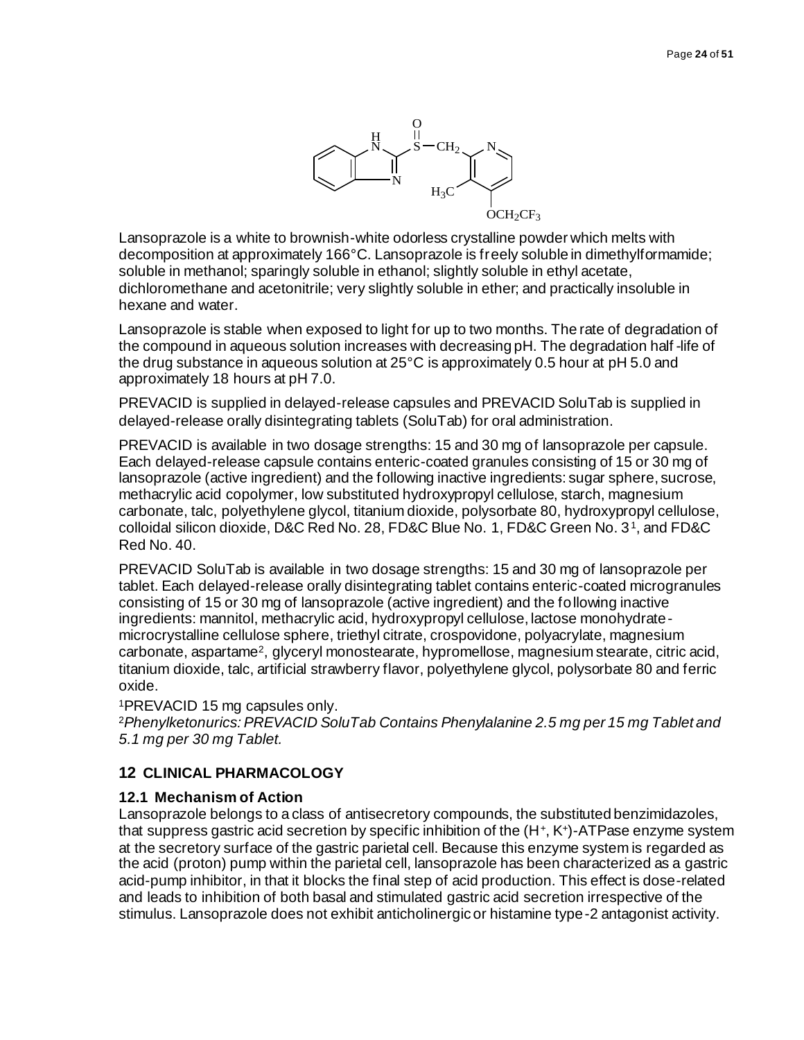

Lansoprazole is a white to brownish-white odorless crystalline powder which melts with decomposition at approximately 166°C. Lansoprazole is freely soluble in dimethylformamide; soluble in methanol; sparingly soluble in ethanol; slightly soluble in ethyl acetate, dichloromethane and acetonitrile; very slightly soluble in ether; and practically insoluble in hexane and water.

Lansoprazole is stable when exposed to light for up to two months. The rate of degradation of the compound in aqueous solution increases with decreasing pH. The degradation half -life of the drug substance in aqueous solution at 25°C is approximately 0.5 hour at pH 5.0 and approximately 18 hours at pH 7.0.

PREVACID is supplied in delayed-release capsules and PREVACID SoluTab is supplied in delayed-release orally disintegrating tablets (SoluTab) for oral administration.

PREVACID is available in two dosage strengths: 15 and 30 mg of lansoprazole per capsule. Each delayed-release capsule contains enteric-coated granules consisting of 15 or 30 mg of lansoprazole (active ingredient) and the following inactive ingredients: sugar sphere, sucrose, methacrylic acid copolymer, low substituted hydroxypropyl cellulose, starch, magnesium carbonate, talc, polyethylene glycol, titanium dioxide, polysorbate 80, hydroxypropyl cellulose, colloidal silicon dioxide, D&C Red No. 28, FD&C Blue No. 1, FD&C Green No. 3<sup>1</sup>, and FD&C Red No. 40.

PREVACID SoluTab is available in two dosage strengths: 15 and 30 mg of lansoprazole per tablet. Each delayed-release orally disintegrating tablet contains enteric-coated microgranules consisting of 15 or 30 mg of lansoprazole (active ingredient) and the following inactive ingredients: mannitol, methacrylic acid, hydroxypropyl cellulose, lactose monohydratemicrocrystalline cellulose sphere, triethyl citrate, crospovidone, polyacrylate, magnesium carbonate, aspartame<sup>2</sup>, glyceryl monostearate, hypromellose, magnesium stearate, citric acid, titanium dioxide, talc, artificial strawberry flavor, polyethylene glycol, polysorbate 80 and ferric oxide.

<sup>1</sup>PREVACID 15 mg capsules only. <sup>2</sup>*Phenylketonurics: PREVACID SoluTab Contains Phenylalanine 2.5 mg per 15 mg Tablet and*

*5.1 mg per 30 mg Tablet.*

# **12 CLINICAL PHARMACOLOGY**

### **12.1 Mechanism of Action**

Lansoprazole belongs to a class of antisecretory compounds, the substituted benzimidazoles, that suppress gastric acid secretion by specific inhibition of the (H<sup>+</sup>, K<sup>+</sup>)-ATPase enzyme system at the secretory surface of the gastric parietal cell. Because this enzyme system is regarded as the acid (proton) pump within the parietal cell, lansoprazole has been characterized as a gastric acid-pump inhibitor, in that it blocks the final step of acid production. This effect is dose-related and leads to inhibition of both basal and stimulated gastric acid secretion irrespective of the stimulus. Lansoprazole does not exhibit anticholinergic or histamine type-2 antagonist activity.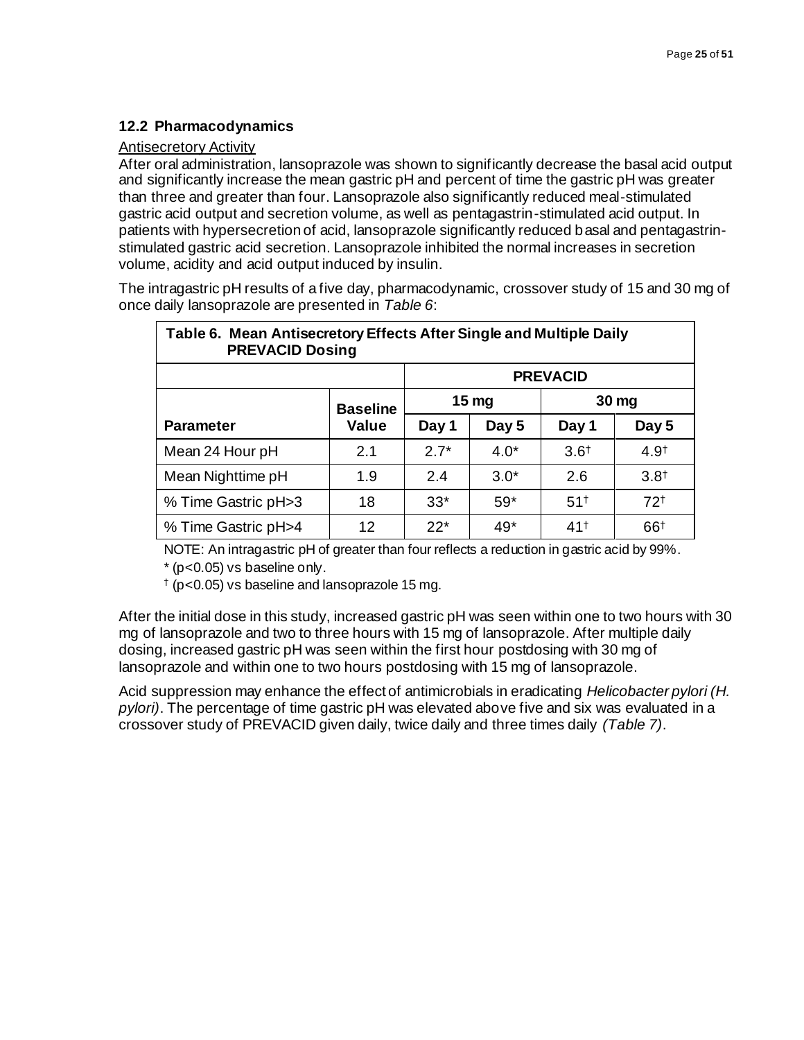# **12.2 Pharmacodynamics**

## Antisecretory Activity

After oral administration, lansoprazole was shown to significantly decrease the basal acid output and significantly increase the mean gastric pH and percent of time the gastric pH was greater than three and greater than four. Lansoprazole also significantly reduced meal-stimulated gastric acid output and secretion volume, as well as pentagastrin-stimulated acid output. In patients with hypersecretion of acid, lansoprazole significantly reduced basal and pentagastrinstimulated gastric acid secretion. Lansoprazole inhibited the normal increases in secretion volume, acidity and acid output induced by insulin.

The intragastric pH results of a five day, pharmacodynamic, crossover study of 15 and 30 mg of once daily lansoprazole are presented in *Table 6*:

| Table 6. Mean Antisecretory Effects After Single and Multiple Daily<br><b>PREVACID Dosing</b> |                 |                                      |        |                  |           |
|-----------------------------------------------------------------------------------------------|-----------------|--------------------------------------|--------|------------------|-----------|
|                                                                                               | <b>PREVACID</b> |                                      |        |                  |           |
|                                                                                               | <b>Baseline</b> | 15 <sub>mg</sub><br>30 <sub>mg</sub> |        |                  |           |
| <b>Parameter</b>                                                                              | <b>Value</b>    | Day 1                                | Day 5  | Day 1            | Day 5     |
| Mean 24 Hour pH                                                                               | 2.1             | $2.7*$                               | $4.0*$ | 3.6 <sup>†</sup> | $4.9^{+}$ |
| Mean Nighttime pH                                                                             | 1.9             | 2.4                                  | $3.0*$ | 2.6              | $3.8^{+}$ |
| % Time Gastric pH>3                                                                           | 18              | $33*$                                | $59*$  | 51 <sup>†</sup>  | $72^{+}$  |
| % Time Gastric pH>4                                                                           | 12              | $22*$                                | $49*$  | $41^{\dagger}$   | 66†       |

NOTE: An intragastric pH of greater than four reflects a reduction in gastric acid by 99%.

 $*(p<0.05)$  vs baseline only.

† (p<0.05) vs baseline and lansoprazole 15 mg.

After the initial dose in this study, increased gastric pH was seen within one to two hours with 30 mg of lansoprazole and two to three hours with 15 mg of lansoprazole. After multiple daily dosing, increased gastric pH was seen within the first hour postdosing with 30 mg of lansoprazole and within one to two hours postdosing with 15 mg of lansoprazole.

Acid suppression may enhance the effect of antimicrobials in eradicating *Helicobacter pylori (H. pylori)*. The percentage of time gastric pH was elevated above five and six was evaluated in a crossover study of PREVACID given daily, twice daily and three times daily *(Table 7)*.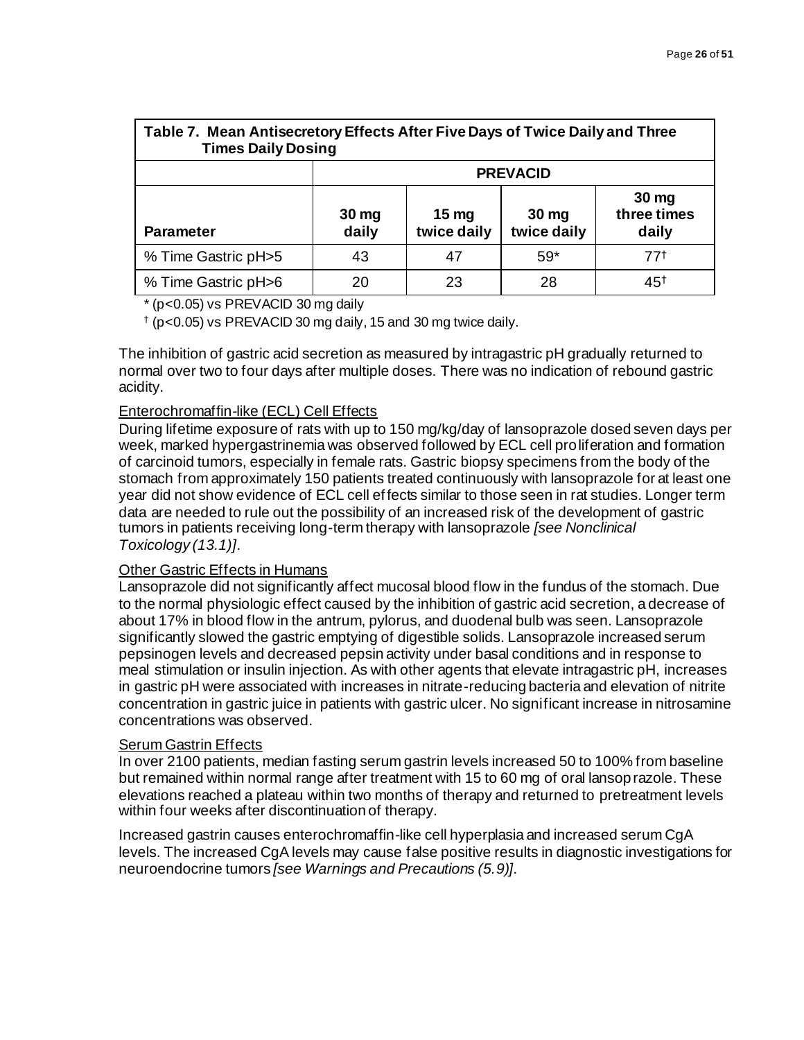| Table 7. Mean Antisecretory Effects After Five Days of Twice Daily and Three<br><b>Times Daily Dosing</b> |                                                                                                                       |    |       |                 |  |  |
|-----------------------------------------------------------------------------------------------------------|-----------------------------------------------------------------------------------------------------------------------|----|-------|-----------------|--|--|
|                                                                                                           | <b>PREVACID</b>                                                                                                       |    |       |                 |  |  |
| <b>Parameter</b>                                                                                          | 30 <sub>mg</sub><br>three times<br>15 <sub>mg</sub><br>30 mg<br>30 mg<br>twice daily<br>twice daily<br>daily<br>daily |    |       |                 |  |  |
| % Time Gastric pH>5                                                                                       | 43                                                                                                                    | 47 | $59*$ | 77 <sup>†</sup> |  |  |
| % Time Gastric pH>6                                                                                       | 20                                                                                                                    | 23 | 28    | $45^{\dagger}$  |  |  |

\* (p<0.05) vs PREVACID 30 mg daily

† (p<0.05) vs PREVACID 30 mg daily, 15 and 30 mg twice daily.

The inhibition of gastric acid secretion as measured by intragastric pH gradually returned to normal over two to four days after multiple doses. There was no indication of rebound gastric acidity.

### Enterochromaffin-like (ECL) Cell Effects

During lifetime exposure of rats with up to 150 mg/kg/day of lansoprazole dosed seven days per week, marked hypergastrinemia was observed followed by ECL cell proliferation and formation of carcinoid tumors, especially in female rats. Gastric biopsy specimens from the body of the stomach from approximately 150 patients treated continuously with lansoprazole for at least one year did not show evidence of ECL cell effects similar to those seen in rat studies. Longer term data are needed to rule out the possibility of an increased risk of the development of gastric tumors in patients receiving long-term therapy with lansoprazole *[see Nonclinical Toxicology (13.1)]*.

### Other Gastric Effects in Humans

Lansoprazole did not significantly affect mucosal blood flow in the fundus of the stomach. Due to the normal physiologic effect caused by the inhibition of gastric acid secretion, a decrease of about 17% in blood flow in the antrum, pylorus, and duodenal bulb was seen. Lansoprazole significantly slowed the gastric emptying of digestible solids. Lansoprazole increased serum pepsinogen levels and decreased pepsin activity under basal conditions and in response to meal stimulation or insulin injection. As with other agents that elevate intragastric pH, increases in gastric pH were associated with increases in nitrate-reducing bacteria and elevation of nitrite concentration in gastric juice in patients with gastric ulcer. No significant increase in nitrosamine concentrations was observed.

### Serum Gastrin Effects

In over 2100 patients, median fasting serum gastrin levels increased 50 to 100% from baseline but remained within normal range after treatment with 15 to 60 mg of oral lansoprazole. These elevations reached a plateau within two months of therapy and returned to pretreatment levels within four weeks after discontinuation of therapy.

Increased gastrin causes enterochromaffin-like cell hyperplasia and increased serum CgA levels. The increased CgA levels may cause false positive results in diagnostic investigations for neuroendocrine tumors *[see Warnings and Precautions (5.9)]*.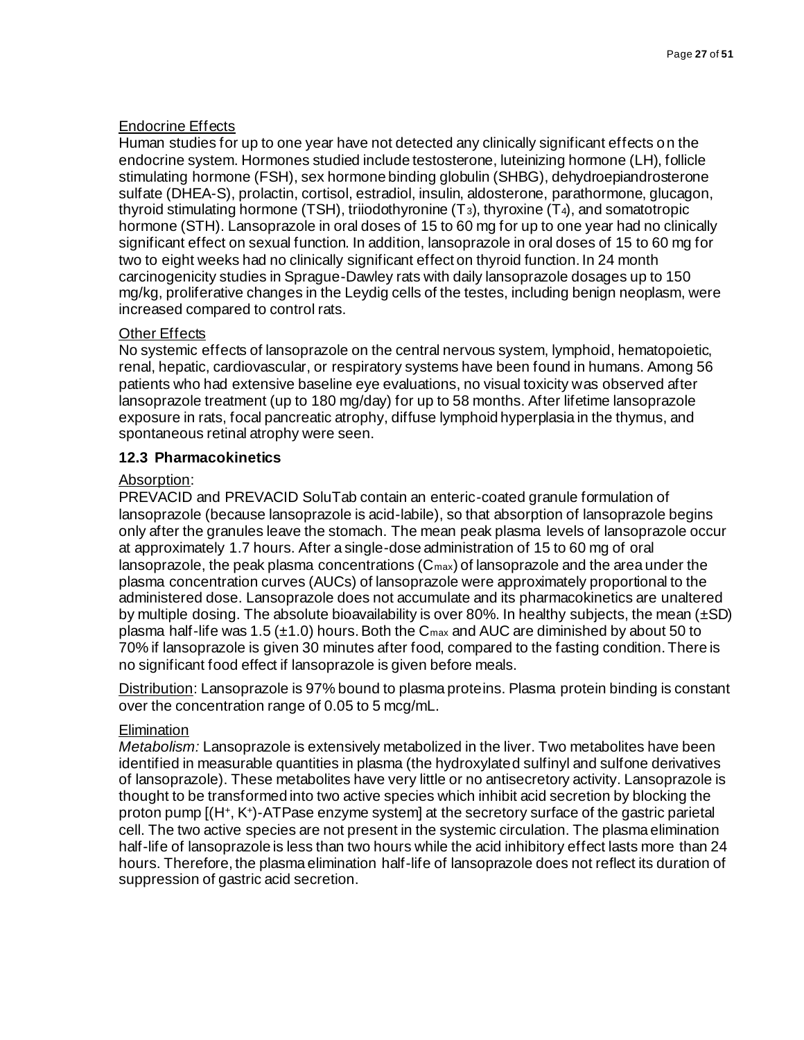# Endocrine Effects

Human studies for up to one year have not detected any clinically significant effects on the endocrine system. Hormones studied include testosterone, luteinizing hormone (LH), follicle stimulating hormone (FSH), sex hormone binding globulin (SHBG), dehydroepiandrosterone sulfate (DHEA-S), prolactin, cortisol, estradiol, insulin, aldosterone, parathormone, glucagon, thyroid stimulating hormone (TSH), triiodothyronine  $(T_3)$ , thyroxine  $(T_4)$ , and somatotropic hormone (STH). Lansoprazole in oral doses of 15 to 60 mg for up to one year had no clinically significant effect on sexual function. In addition, lansoprazole in oral doses of 15 to 60 mg for two to eight weeks had no clinically significant effect on thyroid function. In 24 month carcinogenicity studies in Sprague-Dawley rats with daily lansoprazole dosages up to 150 mg/kg, proliferative changes in the Leydig cells of the testes, including benign neoplasm, were increased compared to control rats.

## Other Effects

No systemic effects of lansoprazole on the central nervous system, lymphoid, hematopoietic, renal, hepatic, cardiovascular, or respiratory systems have been found in humans. Among 56 patients who had extensive baseline eye evaluations, no visual toxicity was observed after lansoprazole treatment (up to 180 mg/day) for up to 58 months. After lifetime lansoprazole exposure in rats, focal pancreatic atrophy, diffuse lymphoid hyperplasia in the thymus, and spontaneous retinal atrophy were seen.

# **12.3 Pharmacokinetics**

# Absorption:

PREVACID and PREVACID SoluTab contain an enteric-coated granule formulation of lansoprazole (because lansoprazole is acid-labile), so that absorption of lansoprazole begins only after the granules leave the stomach. The mean peak plasma levels of lansoprazole occur at approximately 1.7 hours. After a single-dose administration of 15 to 60 mg of oral lansoprazole, the peak plasma concentrations  $(C_{\text{max}})$  of lansoprazole and the area under the plasma concentration curves (AUCs) of lansoprazole were approximately proportional to the administered dose. Lansoprazole does not accumulate and its pharmacokinetics are unaltered by multiple dosing. The absolute bioavailability is over 80%. In healthy subjects, the mean  $(\pm SD)$ plasma half-life was 1.5 ( $\pm$ 1.0) hours. Both the C<sub>max</sub> and AUC are diminished by about 50 to 70% if lansoprazole is given 30 minutes after food, compared to the fasting condition. There is no significant food effect if lansoprazole is given before meals.

Distribution: Lansoprazole is 97% bound to plasma proteins. Plasma protein binding is constant over the concentration range of 0.05 to 5 mcg/mL.

# **Elimination**

*Metabolism:* Lansoprazole is extensively metabolized in the liver. Two metabolites have been identified in measurable quantities in plasma (the hydroxylated sulfinyl and sulfone derivatives of lansoprazole). These metabolites have very little or no antisecretory activity. Lansoprazole is thought to be transformed into two active species which inhibit acid secretion by blocking the proton pump [(H+, K+)-ATPase enzyme system] at the secretory surface of the gastric parietal cell. The two active species are not present in the systemic circulation. The plasma elimination half-life of lansoprazole is less than two hours while the acid inhibitory effect lasts more than 24 hours. Therefore, the plasma elimination half-life of lansoprazole does not reflect its duration of suppression of gastric acid secretion.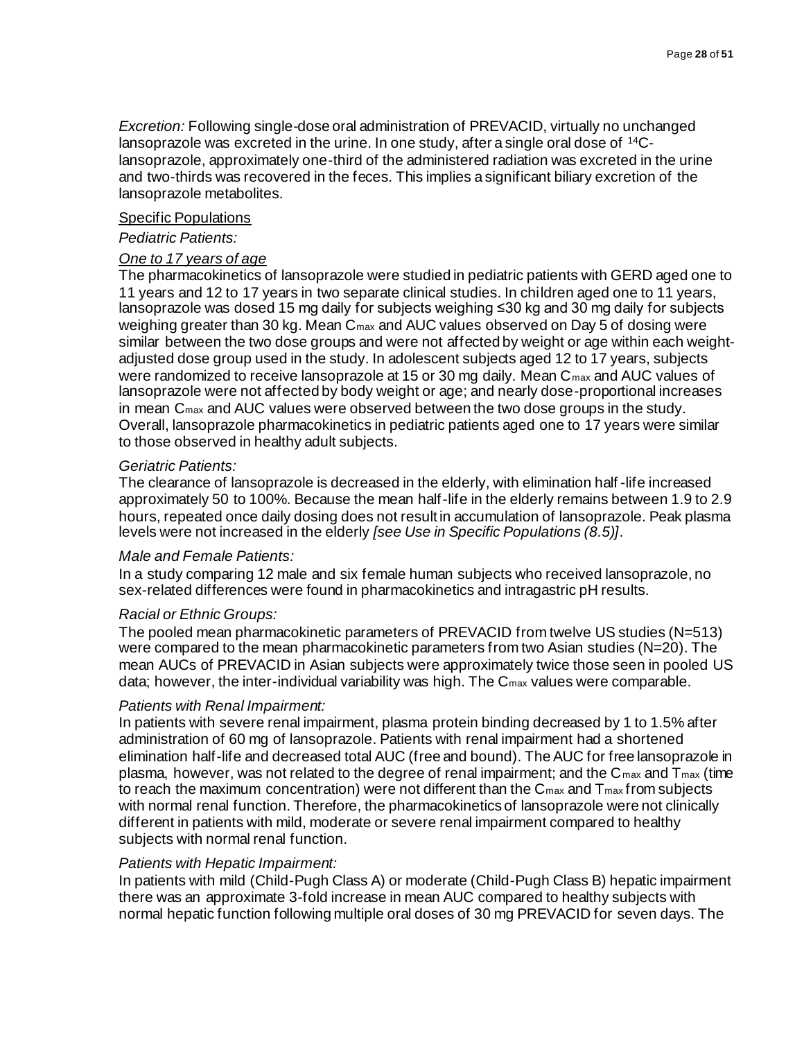*Excretion:* Following single-dose oral administration of PREVACID, virtually no unchanged lansoprazole was excreted in the urine. In one study, after a single oral dose of 14Clansoprazole, approximately one-third of the administered radiation was excreted in the urine and two-thirds was recovered in the feces. This implies a significant biliary excretion of the lansoprazole metabolites.

### Specific Populations

### *Pediatric Patients:*

### *One to 17 years of age*

The pharmacokinetics of lansoprazole were studied in pediatric patients with GERD aged one to 11 years and 12 to 17 years in two separate clinical studies. In children aged one to 11 years, lansoprazole was dosed 15 mg daily for subjects weighing ≤30 kg and 30 mg daily for subjects weighing greater than 30 kg. Mean C<sub>max</sub> and AUC values observed on Day 5 of dosing were similar between the two dose groups and were not affected by weight or age within each weightadjusted dose group used in the study. In adolescent subjects aged 12 to 17 years, subjects were randomized to receive lansoprazole at 15 or 30 mg daily. Mean C<sub>max</sub> and AUC values of lansoprazole were not affected by body weight or age; and nearly dose-proportional increases in mean Cmax and AUC values were observed between the two dose groups in the study. Overall, lansoprazole pharmacokinetics in pediatric patients aged one to 17 years were similar to those observed in healthy adult subjects.

### *Geriatric Patients:*

The clearance of lansoprazole is decreased in the elderly, with elimination half -life increased approximately 50 to 100%. Because the mean half-life in the elderly remains between 1.9 to 2.9 hours, repeated once daily dosing does not result in accumulation of lansoprazole. Peak plasma levels were not increased in the elderly *[see Use in Specific Populations (8.5)]*.

### *Male and Female Patients:*

In a study comparing 12 male and six female human subjects who received lansoprazole, no sex-related differences were found in pharmacokinetics and intragastric pH results.

### *Racial or Ethnic Groups:*

The pooled mean pharmacokinetic parameters of PREVACID from twelve US studies (N=513) were compared to the mean pharmacokinetic parameters from two Asian studies (N=20). The mean AUCs of PREVACID in Asian subjects were approximately twice those seen in pooled US data; however, the inter-individual variability was high. The C<sub>max</sub> values were comparable.

### *Patients with Renal Impairment:*

In patients with severe renal impairment, plasma protein binding decreased by 1 to 1.5% after administration of 60 mg of lansoprazole. Patients with renal impairment had a shortened elimination half-life and decreased total AUC (free and bound). The AUC for free lansoprazole in plasma, however, was not related to the degree of renal impairment; and the  $C_{\text{max}}$  and  $T_{\text{max}}$  (time to reach the maximum concentration) were not different than the  $C_{\text{max}}$  and  $T_{\text{max}}$  from subjects with normal renal function. Therefore, the pharmacokinetics of lansoprazole were not clinically different in patients with mild, moderate or severe renal impairment compared to healthy subjects with normal renal function.

### *Patients with Hepatic Impairment:*

In patients with mild (Child-Pugh Class A) or moderate (Child-Pugh Class B) hepatic impairment there was an approximate 3-fold increase in mean AUC compared to healthy subjects with normal hepatic function following multiple oral doses of 30 mg PREVACID for seven days. The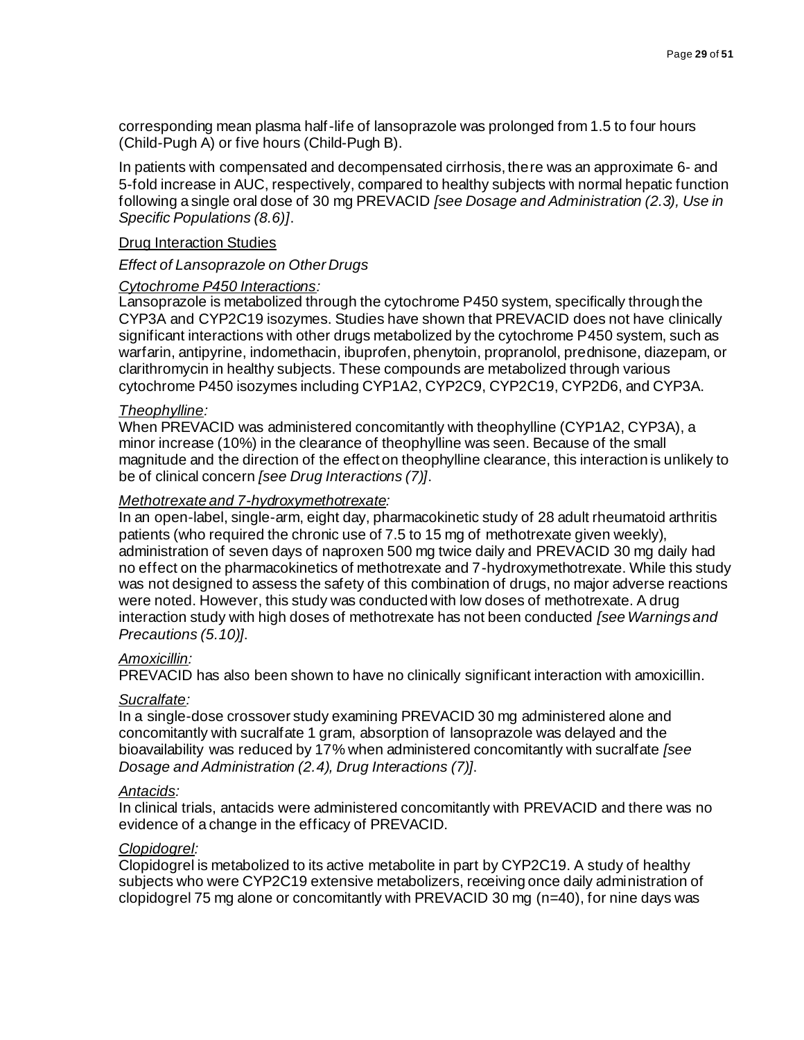corresponding mean plasma half-life of lansoprazole was prolonged from 1.5 to four hours (Child-Pugh A) or five hours (Child-Pugh B).

In patients with compensated and decompensated cirrhosis, there was an approximate 6- and 5-fold increase in AUC, respectively, compared to healthy subjects with normal hepatic function following a single oral dose of 30 mg PREVACID *[see Dosage and Administration (2.3), Use in Specific Populations (8.6)]*.

### Drug Interaction Studies

### *Effect of Lansoprazole on Other Drugs*

### *Cytochrome P450 Interactions:*

Lansoprazole is metabolized through the cytochrome P450 system, specifically through the CYP3A and CYP2C19 isozymes. Studies have shown that PREVACID does not have clinically significant interactions with other drugs metabolized by the cytochrome P450 system, such as warfarin, antipyrine, indomethacin, ibuprofen, phenytoin, propranolol, prednisone, diazepam, or clarithromycin in healthy subjects. These compounds are metabolized through various cytochrome P450 isozymes including CYP1A2, CYP2C9, CYP2C19, CYP2D6, and CYP3A.

### *Theophylline:*

When PREVACID was administered concomitantly with theophylline (CYP1A2, CYP3A), a minor increase (10%) in the clearance of theophylline was seen. Because of the small magnitude and the direction of the effect on theophylline clearance, this interaction is unlikely to be of clinical concern *[see Drug Interactions (7)]*.

### *Methotrexate and 7-hydroxymethotrexate:*

In an open-label, single-arm, eight day, pharmacokinetic study of 28 adult rheumatoid arthritis patients (who required the chronic use of 7.5 to 15 mg of methotrexate given weekly), administration of seven days of naproxen 500 mg twice daily and PREVACID 30 mg daily had no effect on the pharmacokinetics of methotrexate and 7-hydroxymethotrexate. While this study was not designed to assess the safety of this combination of drugs, no major adverse reactions were noted. However, this study was conducted with low doses of methotrexate. A drug interaction study with high doses of methotrexate has not been conducted *[see Warnings and Precautions (5.10)]*.

### *Amoxicillin:*

PREVACID has also been shown to have no clinically significant interaction with amoxicillin.

### *Sucralfate:*

In a single-dose crossover study examining PREVACID 30 mg administered alone and concomitantly with sucralfate 1 gram, absorption of lansoprazole was delayed and the bioavailability was reduced by 17% when administered concomitantly with sucralfate *[see Dosage and Administration (2.4), Drug Interactions (7)]*.

### *Antacids:*

In clinical trials, antacids were administered concomitantly with PREVACID and there was no evidence of a change in the efficacy of PREVACID.

### *Clopidogrel:*

Clopidogrel is metabolized to its active metabolite in part by CYP2C19. A study of healthy subjects who were CYP2C19 extensive metabolizers, receiving once daily administration of clopidogrel 75 mg alone or concomitantly with PREVACID 30 mg (n=40), for nine days was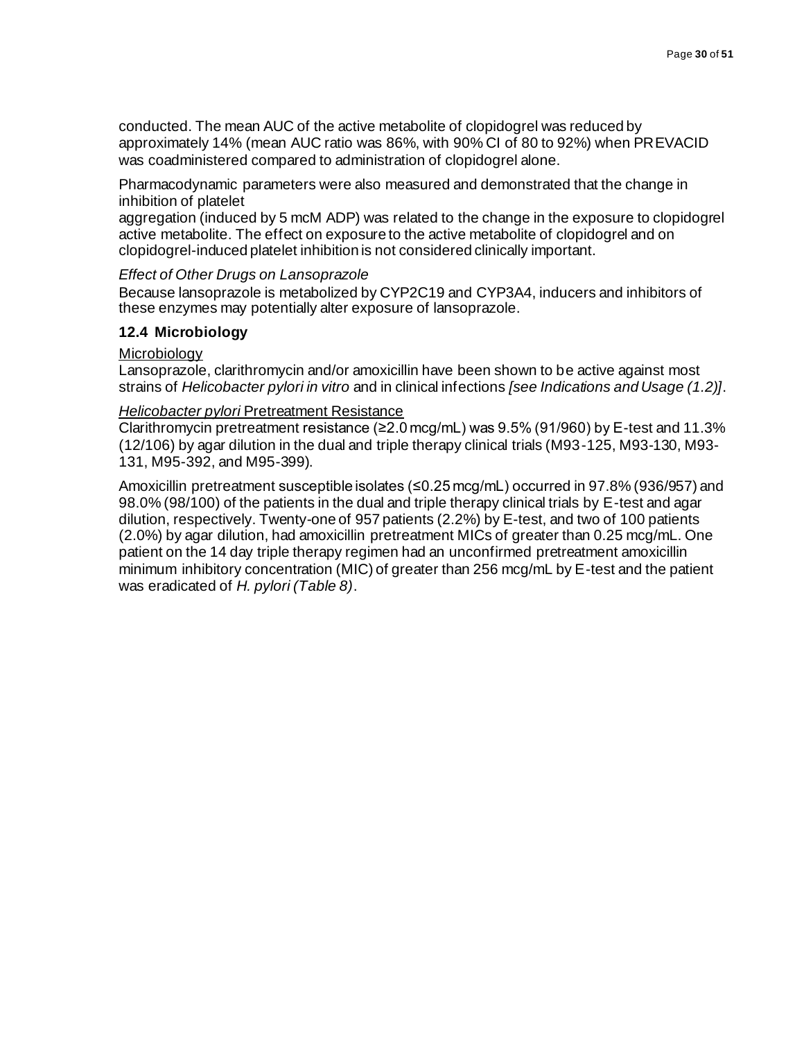conducted. The mean AUC of the active metabolite of clopidogrel was reduced by approximately 14% (mean AUC ratio was 86%, with 90% CI of 80 to 92%) when PREVACID was coadministered compared to administration of clopidogrel alone.

Pharmacodynamic parameters were also measured and demonstrated that the change in inhibition of platelet

aggregation (induced by 5 mcM ADP) was related to the change in the exposure to clopidogrel active metabolite. The effect on exposure to the active metabolite of clopidogrel and on clopidogrel-induced platelet inhibition is not considered clinically important.

#### *Effect of Other Drugs on Lansoprazole*

Because lansoprazole is metabolized by CYP2C19 and CYP3A4, inducers and inhibitors of these enzymes may potentially alter exposure of lansoprazole.

#### **12.4 Microbiology**

#### **Microbiology**

Lansoprazole, clarithromycin and/or amoxicillin have been shown to be active against most strains of *Helicobacter pylori in vitro* and in clinical infections *[see Indications and Usage (1.2)]*.

#### **Helicobacter pylori Pretreatment Resistance**

Clarithromycin pretreatment resistance ( $\geq$ 2.0 mcg/mL) was 9.5% (91/960) by E-test and 11.3% (12/106) by agar dilution in the dual and triple therapy clinical trials (M93-125, M93-130, M93- 131, M95-392, and M95-399).

Amoxicillin pretreatment susceptible isolates (≤0.25 mcg/mL) occurred in 97.8% (936/957) and 98.0% (98/100) of the patients in the dual and triple therapy clinical trials by E-test and agar dilution, respectively. Twenty-one of 957 patients (2.2%) by E-test, and two of 100 patients (2.0%) by agar dilution, had amoxicillin pretreatment MICs of greater than 0.25 mcg/mL. One patient on the 14 day triple therapy regimen had an unconfirmed pretreatment amoxicillin minimum inhibitory concentration (MIC) of greater than 256 mcg/mL by E-test and the patient was eradicated of *H. pylori (Table 8)*.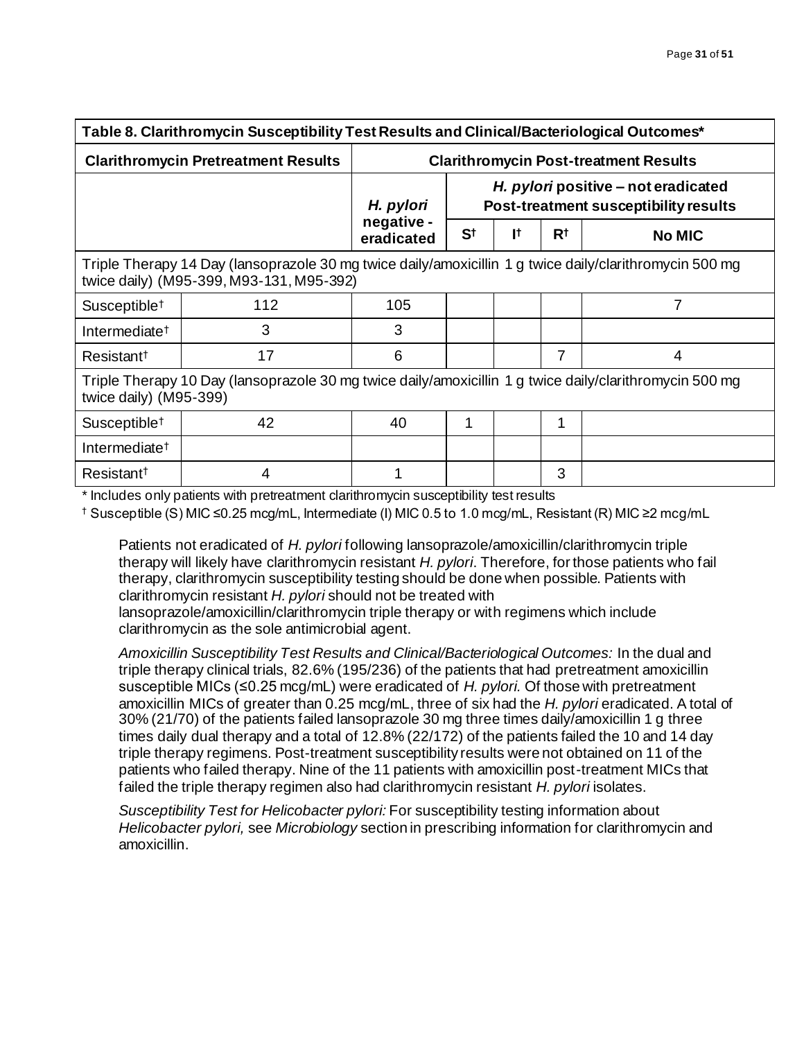| Table 8. Clarithromycin Susceptibility Test Results and Clinical/Bacteriological Outcomes*                                                          |                                                                                            |                          |                                                                              |    |               |               |
|-----------------------------------------------------------------------------------------------------------------------------------------------------|--------------------------------------------------------------------------------------------|--------------------------|------------------------------------------------------------------------------|----|---------------|---------------|
|                                                                                                                                                     | <b>Clarithromycin Pretreatment Results</b><br><b>Clarithromycin Post-treatment Results</b> |                          |                                                                              |    |               |               |
|                                                                                                                                                     |                                                                                            | H. pylori                | H. pylori positive – not eradicated<br>Post-treatment susceptibility results |    |               |               |
|                                                                                                                                                     |                                                                                            | negative -<br>eradicated | S <sup>†</sup>                                                               | 1t | $R^{\dagger}$ | <b>No MIC</b> |
| Triple Therapy 14 Day (lansoprazole 30 mg twice daily/amoxicillin 1 g twice daily/clarithromycin 500 mg<br>twice daily) (M95-399, M93-131, M95-392) |                                                                                            |                          |                                                                              |    |               |               |
| Susceptible <sup>+</sup>                                                                                                                            | 112                                                                                        | 105                      |                                                                              |    |               | 7             |
| Intermediate <sup>+</sup>                                                                                                                           | 3                                                                                          | 3                        |                                                                              |    |               |               |
| Resistant <sup>†</sup>                                                                                                                              | 17                                                                                         | 6                        |                                                                              |    | 7             | 4             |
| Triple Therapy 10 Day (lansoprazole 30 mg twice daily/amoxicillin 1 g twice daily/clarithromycin 500 mg<br>twice daily) (M95-399)                   |                                                                                            |                          |                                                                              |    |               |               |
| Susceptible <sup>+</sup>                                                                                                                            | 42                                                                                         | 40                       |                                                                              |    | 1             |               |
| Intermediate <sup>+</sup>                                                                                                                           |                                                                                            |                          |                                                                              |    |               |               |
| Resistant <sup>+</sup>                                                                                                                              | 4                                                                                          |                          |                                                                              |    | 3             |               |

\* Includes only patients with pretreatment clarithromycin susceptibility test results

† Susceptible (S) MIC ≤0.25 mcg/mL, Intermediate (I) MIC 0.5 to 1.0 mcg/mL, Resistant (R) MIC ≥2 mcg/mL

Patients not eradicated of *H. pylori* following lansoprazole/amoxicillin/clarithromycin triple therapy will likely have clarithromycin resistant *H. pylori*. Therefore, for those patients who fail therapy, clarithromycin susceptibility testing should be done when possible. Patients with clarithromycin resistant *H. pylori* should not be treated with lansoprazole/amoxicillin/clarithromycin triple therapy or with regimens which include clarithromycin as the sole antimicrobial agent.

*Amoxicillin Susceptibility Test Results and Clinical/Bacteriological Outcomes:* In the dual and triple therapy clinical trials, 82.6% (195/236) of the patients that had pretreatment amoxicillin susceptible MICs (≤0.25 mcg/mL) were eradicated of *H. pylori.* Of those with pretreatment amoxicillin MICs of greater than 0.25 mcg/mL, three of six had the *H. pylori* eradicated. A total of 30% (21/70) of the patients failed lansoprazole 30 mg three times daily/amoxicillin 1 g three times daily dual therapy and a total of 12.8% (22/172) of the patients failed the 10 and 14 day triple therapy regimens. Post-treatment susceptibility results were not obtained on 11 of the patients who failed therapy. Nine of the 11 patients with amoxicillin post-treatment MICs that failed the triple therapy regimen also had clarithromycin resistant *H. pylori* isolates.

*Susceptibility Test for Helicobacter pylori:* For susceptibility testing information about *Helicobacter pylori,* see *Microbiology* section in prescribing information for clarithromycin and amoxicillin.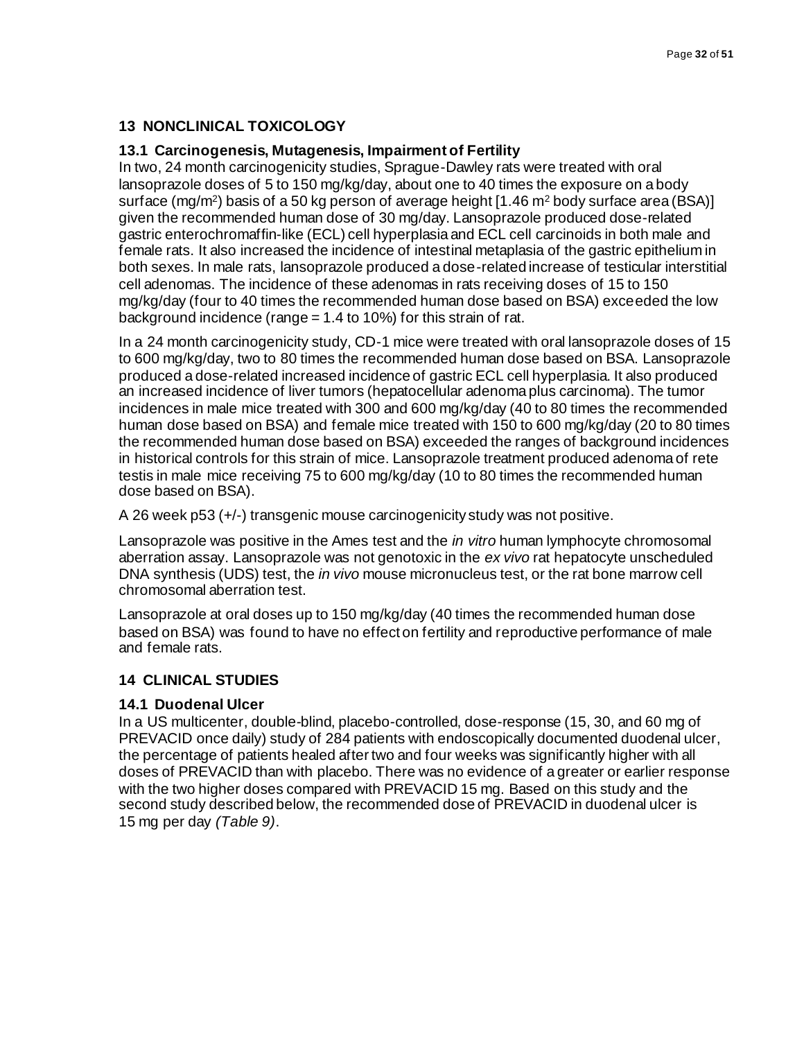# **13 NONCLINICAL TOXICOLOGY**

## **13.1 Carcinogenesis, Mutagenesis, Impairment of Fertility**

In two, 24 month carcinogenicity studies, Sprague-Dawley rats were treated with oral lansoprazole doses of 5 to 150 mg/kg/day, about one to 40 times the exposure on a body surface (mg/m<sup>2</sup>) basis of a 50 kg person of average height [1.46 m<sup>2</sup> body surface area (BSA)] given the recommended human dose of 30 mg/day. Lansoprazole produced dose-related gastric enterochromaffin-like (ECL) cell hyperplasia and ECL cell carcinoids in both male and female rats. It also increased the incidence of intestinal metaplasia of the gastric epithelium in both sexes. In male rats, lansoprazole produced a dose-related increase of testicular interstitial cell adenomas. The incidence of these adenomas in rats receiving doses of 15 to 150 mg/kg/day (four to 40 times the recommended human dose based on BSA) exceeded the low background incidence (range = 1.4 to 10%) for this strain of rat.

In a 24 month carcinogenicity study, CD-1 mice were treated with oral lansoprazole doses of 15 to 600 mg/kg/day, two to 80 times the recommended human dose based on BSA. Lansoprazole produced a dose-related increased incidence of gastric ECL cell hyperplasia. It also produced an increased incidence of liver tumors (hepatocellular adenoma plus carcinoma). The tumor incidences in male mice treated with 300 and 600 mg/kg/day (40 to 80 times the recommended human dose based on BSA) and female mice treated with 150 to 600 mg/kg/day (20 to 80 times the recommended human dose based on BSA) exceeded the ranges of background incidences in historical controls for this strain of mice. Lansoprazole treatment produced adenoma of rete testis in male mice receiving 75 to 600 mg/kg/day (10 to 80 times the recommended human dose based on BSA).

A 26 week p53 (+/-) transgenic mouse carcinogenicity study was not positive.

Lansoprazole was positive in the Ames test and the *in vitro* human lymphocyte chromosomal aberration assay. Lansoprazole was not genotoxic in the *ex vivo* rat hepatocyte unscheduled DNA synthesis (UDS) test, the *in vivo* mouse micronucleus test, or the rat bone marrow cell chromosomal aberration test.

Lansoprazole at oral doses up to 150 mg/kg/day (40 times the recommended human dose based on BSA) was found to have no effect on fertility and reproductive performance of male and female rats.

### **14 CLINICAL STUDIES**

### **14.1 Duodenal Ulcer**

In a US multicenter, double-blind, placebo-controlled, dose-response (15, 30, and 60 mg of PREVACID once daily) study of 284 patients with endoscopically documented duodenal ulcer, the percentage of patients healed after two and four weeks was significantly higher with all doses of PREVACID than with placebo. There was no evidence of a greater or earlier response with the two higher doses compared with PREVACID 15 mg. Based on this study and the second study described below, the recommended dose of PREVACID in duodenal ulcer is 15 mg per day *(Table 9)*.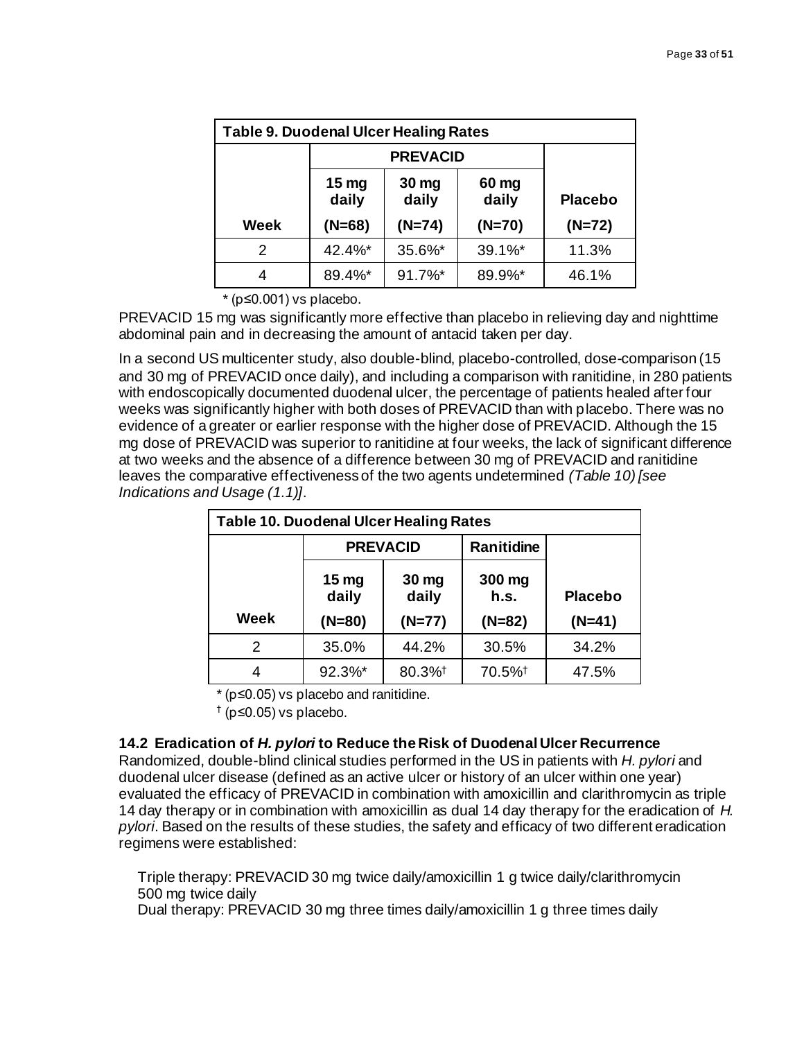| <b>Table 9. Duodenal Ulcer Healing Rates</b> |                           |                                  |        |       |  |
|----------------------------------------------|---------------------------|----------------------------------|--------|-------|--|
|                                              |                           |                                  |        |       |  |
|                                              | 15 <sub>mg</sub><br>daily | 30 mg<br>60 mg<br>daily<br>daily |        |       |  |
| <b>Week</b>                                  | $(N=68)$                  | $(N=74)$<br>$(N=70)$             |        |       |  |
| 2                                            | 42.4%*                    | 35.6%*                           | 39.1%* | 11.3% |  |
|                                              | 89.4%*                    | 91.7%*                           | 89.9%* | 46.1% |  |

 $*(p \le 0.001)$  vs placebo.

PREVACID 15 mg was significantly more effective than placebo in relieving day and nighttime abdominal pain and in decreasing the amount of antacid taken per day.

In a second US multicenter study, also double-blind, placebo-controlled, dose-comparison (15 and 30 mg of PREVACID once daily), and including a comparison with ranitidine, in 280 patients with endoscopically documented duodenal ulcer, the percentage of patients healed after four weeks was significantly higher with both doses of PREVACID than with placebo. There was no evidence of a greater or earlier response with the higher dose of PREVACID. Although the 15 mg dose of PREVACID was superior to ranitidine at four weeks, the lack of significant difference at two weeks and the absence of a difference between 30 mg of PREVACID and ranitidine leaves the comparative effectiveness of the two agents undetermined *(Table 10) [see Indications and Usage (1.1)]*.

| <b>Table 10. Duodenal Ulcer Healing Rates</b> |                                             |                               |                    |                |  |  |
|-----------------------------------------------|---------------------------------------------|-------------------------------|--------------------|----------------|--|--|
|                                               |                                             | Ranitidine<br><b>PREVACID</b> |                    |                |  |  |
|                                               | 15 <sub>mg</sub><br>30 mg<br>daily<br>daily |                               | 300 mg<br>h.s.     | <b>Placebo</b> |  |  |
| Week                                          | $(N=80)$<br>$(N=77)$                        |                               | $(N=82)$           | $(N=41)$       |  |  |
| 2                                             | 35.0%                                       | 44.2%                         | 30.5%              | 34.2%          |  |  |
| 4                                             | 92.3%*                                      | 80.3%+                        | 70.5% <sup>+</sup> | 47.5%          |  |  |

\* (p≤0.05) vs placebo and ranitidine.

† (p≤0.05) vs placebo.

### **14.2 Eradication of** *H. pylori* **to Reduce the Risk of Duodenal Ulcer Recurrence**

Randomized, double-blind clinical studies performed in the US in patients with *H. pylori* and duodenal ulcer disease (defined as an active ulcer or history of an ulcer within one year) evaluated the efficacy of PREVACID in combination with amoxicillin and clarithromycin as triple 14 day therapy or in combination with amoxicillin as dual 14 day therapy for the eradication of *H. pylori*. Based on the results of these studies, the safety and efficacy of two different eradication regimens were established:

Triple therapy: PREVACID 30 mg twice daily/amoxicillin 1 g twice daily/clarithromycin 500 mg twice daily

Dual therapy: PREVACID 30 mg three times daily/amoxicillin 1 g three times daily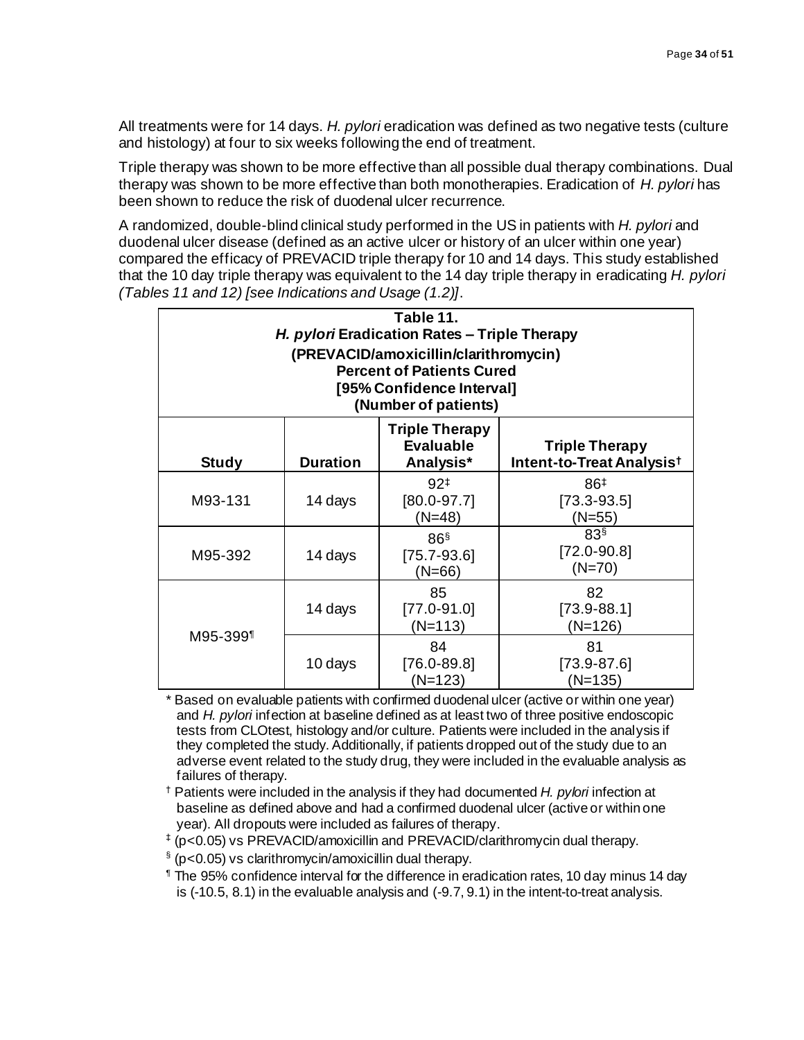All treatments were for 14 days. *H. pylori* eradication was defined as two negative tests (culture and histology) at four to six weeks following the end of treatment.

Triple therapy was shown to be more effective than all possible dual therapy combinations. Dual therapy was shown to be more effective than both monotherapies. Eradication of *H. pylori* has been shown to reduce the risk of duodenal ulcer recurrence.

A randomized, double-blind clinical study performed in the US in patients with *H. pylori* and duodenal ulcer disease (defined as an active ulcer or history of an ulcer within one year) compared the efficacy of PREVACID triple therapy for 10 and 14 days. This study established that the 10 day triple therapy was equivalent to the 14 day triple therapy in eradicating *H. pylori (Tables 11 and 12) [see Indications and Usage (1.2)]*.

| Table 11.<br>H. pylori Eradication Rates - Triple Therapy<br>(PREVACID/amoxicillin/clarithromycin)<br><b>Percent of Patients Cured</b><br>[95% Confidence Interval]<br>(Number of patients) |         |                                                |                                    |  |  |  |
|---------------------------------------------------------------------------------------------------------------------------------------------------------------------------------------------|---------|------------------------------------------------|------------------------------------|--|--|--|
| <b>Triple Therapy</b><br><b>Evaluable</b><br><b>Triple Therapy</b><br><b>Duration</b><br>Intent-to-Treat Analysis <sup>t</sup><br>Analysis*<br><b>Study</b>                                 |         |                                                |                                    |  |  |  |
| M93-131                                                                                                                                                                                     | 14 days | $92^{\ddagger}$<br>$[80.0 - 97.7]$<br>$(N=48)$ | 86‡<br>$[73.3 - 93.5]$<br>$(N=55)$ |  |  |  |
| M95-392                                                                                                                                                                                     | 14 days | 83 <sup>§</sup><br>$[72.0 - 90.8]$<br>$(N=70)$ |                                    |  |  |  |
|                                                                                                                                                                                             | 14 days | 85<br>$[77.0 - 91.0]$<br>(N=113)               | 82<br>$[73.9 - 88.1]$<br>(N=126)   |  |  |  |
| M95-399 <sup>1</sup>                                                                                                                                                                        | 10 days | 84<br>$[76.0 - 89.8]$<br>$(N=123)$             | 81<br>$[73.9 - 87.6]$<br>$(N=135)$ |  |  |  |

\* Based on evaluable patients with confirmed duodenal ulcer (active or within one year) and *H. pylori* infection at baseline defined as at least two of three positive endoscopic tests from CLOtest, histology and/or culture. Patients were included in the analysis if they completed the study. Additionally, if patients dropped out of the study due to an adverse event related to the study drug, they were included in the evaluable analysis as failures of therapy.

† Patients were included in the analysis if they had documented *H. pylori* infection at baseline as defined above and had a confirmed duodenal ulcer (active or within one year). All dropouts were included as failures of therapy.

‡ (p<0.05) vs PREVACID/amoxicillin and PREVACID/clarithromycin dual therapy.

§ (p<0.05) vs clarithromycin/amoxicillin dual therapy.

¶ The 95% confidence interval for the difference in eradication rates, 10 day minus 14 day is (-10.5, 8.1) in the evaluable analysis and (-9.7, 9.1) in the intent-to-treat analysis.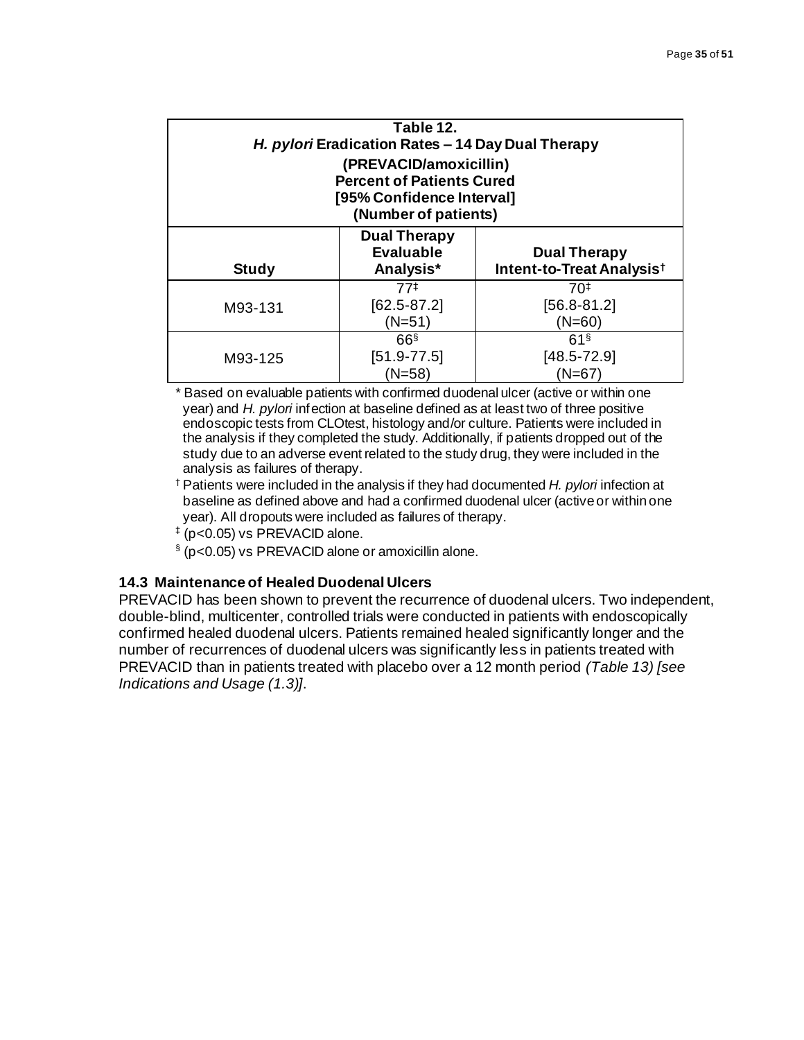| Table 12.<br>H. pylori Eradication Rates - 14 Day Dual Therapy<br>(PREVACID/amoxicillin)<br><b>Percent of Patients Cured</b><br>[95% Confidence Interval]<br>(Number of patients) |                                                  |                                                |  |  |
|-----------------------------------------------------------------------------------------------------------------------------------------------------------------------------------|--------------------------------------------------|------------------------------------------------|--|--|
| <b>Study</b>                                                                                                                                                                      | <b>Dual Therapy</b><br>Intent-to-Treat Analysist |                                                |  |  |
| M93-131                                                                                                                                                                           | 77 <sup>‡</sup><br>$[62.5 - 87.2]$<br>$(N=51)$   | 70 <sup>‡</sup><br>$[56.8 - 81.2]$<br>$(N=60)$ |  |  |
| M93-125                                                                                                                                                                           | 66<br>$[51.9 - 77.5]$<br>$(N=58)$                | 61 <sup>§</sup><br>$[48.5 - 72.9]$<br>N=67     |  |  |

\* Based on evaluable patients with confirmed duodenal ulcer (active or within one year) and *H. pylori* infection at baseline defined as at least two of three positive endoscopic tests from CLOtest, histology and/or culture. Patients were included in the analysis if they completed the study. Additionally, if patients dropped out of the study due to an adverse event related to the study drug, they were included in the analysis as failures of therapy.

† Patients were included in the analysis if they had documented *H. pylori* infection at baseline as defined above and had a confirmed duodenal ulcer (active or within one year). All dropouts were included as failures of therapy.

- ‡ (p<0.05) vs PREVACID alone.
- § (p<0.05) vs PREVACID alone or amoxicillin alone.

### **14.3 Maintenance of Healed Duodenal Ulcers**

PREVACID has been shown to prevent the recurrence of duodenal ulcers. Two independent, double-blind, multicenter, controlled trials were conducted in patients with endoscopically confirmed healed duodenal ulcers. Patients remained healed significantly longer and the number of recurrences of duodenal ulcers was significantly less in patients treated with PREVACID than in patients treated with placebo over a 12 month period *(Table 13) [see Indications and Usage (1.3)]*.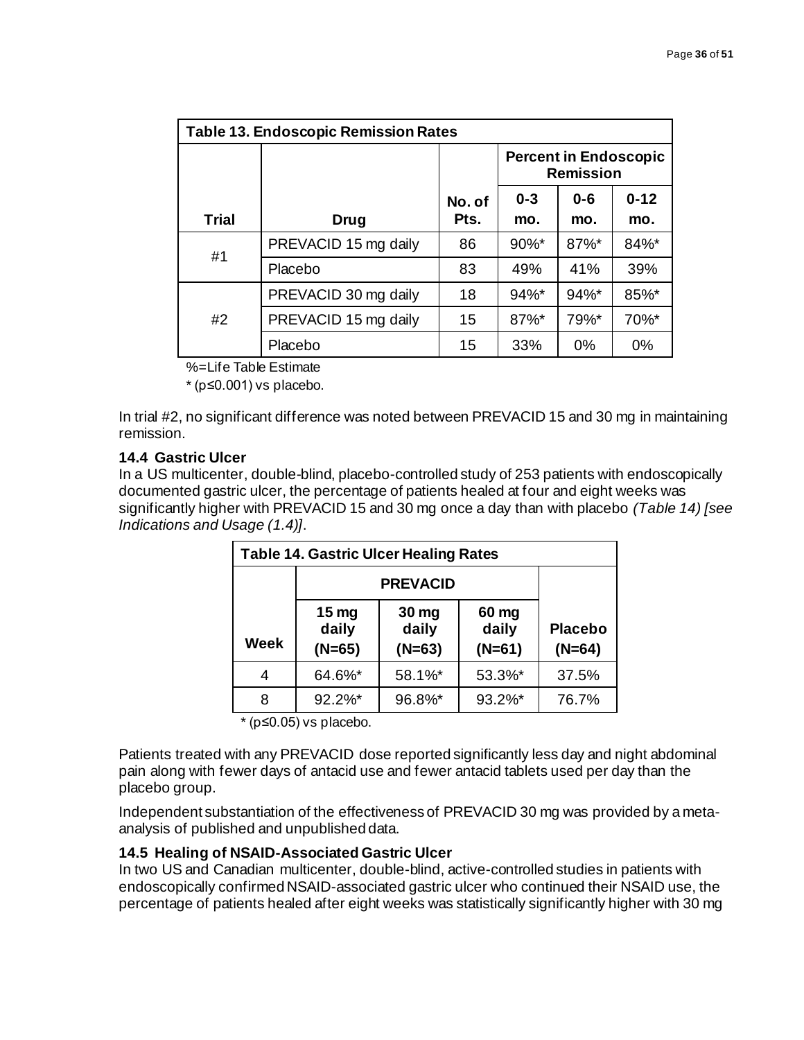| <b>Table 13. Endoscopic Remission Rates</b> |                      |                |                                                  |                |                 |  |  |
|---------------------------------------------|----------------------|----------------|--------------------------------------------------|----------------|-----------------|--|--|
|                                             |                      |                | <b>Percent in Endoscopic</b><br><b>Remission</b> |                |                 |  |  |
| <b>Trial</b>                                | Drug                 | No. of<br>Pts. | $0 - 3$<br>mo.                                   | $0 - 6$<br>mo. | $0 - 12$<br>mo. |  |  |
|                                             | PREVACID 15 mg daily | 86             | $90\%$ *                                         | 87%*           | 84%*            |  |  |
| #1                                          | Placebo              | 83             | 49%                                              | 41%            | 39%             |  |  |
|                                             | PREVACID 30 mg daily | 18             | $94\%$ *                                         | $94\%$ *       | 85%*            |  |  |
| #2                                          | PREVACID 15 mg daily | 15             | $87\%$ *                                         | 79%*           | 70%*            |  |  |
|                                             | Placebo              | 15             | 33%                                              | 0%             | 0%              |  |  |

%=Life Table Estimate

 $*(p \le 0.001)$  vs placebo.

In trial #2, no significant difference was noted between PREVACID 15 and 30 mg in maintaining remission.

### **14.4 Gastric Ulcer**

In a US multicenter, double-blind, placebo-controlled study of 253 patients with endoscopically documented gastric ulcer, the percentage of patients healed at four and eight weeks was significantly higher with PREVACID 15 and 30 mg once a day than with placebo *(Table 14) [see Indications and Usage (1.4)]*.

|             | <b>Table 14. Gastric Ulcer Healing Rates</b> |                            |        |       |  |  |
|-------------|----------------------------------------------|----------------------------|--------|-------|--|--|
|             |                                              |                            |        |       |  |  |
| <b>Week</b> | 15 <sub>mg</sub><br>daily<br>$(N=65)$        | <b>Placebo</b><br>$(N=64)$ |        |       |  |  |
| 4           | 64.6%*                                       | 58.1%*                     | 53.3%* | 37.5% |  |  |
| 8           | 92.2%*                                       | 96.8%*                     | 93.2%* | 76.7% |  |  |

 $*(p \le 0.05)$  vs placebo.

Patients treated with any PREVACID dose reported significantly less day and night abdominal pain along with fewer days of antacid use and fewer antacid tablets used per day than the placebo group.

Independent substantiation of the effectiveness of PREVACID 30 mg was provided by a metaanalysis of published and unpublished data.

### **14.5 Healing of NSAID-Associated Gastric Ulcer**

In two US and Canadian multicenter, double-blind, active-controlled studies in patients with endoscopically confirmed NSAID-associated gastric ulcer who continued their NSAID use, the percentage of patients healed after eight weeks was statistically significantly higher with 30 mg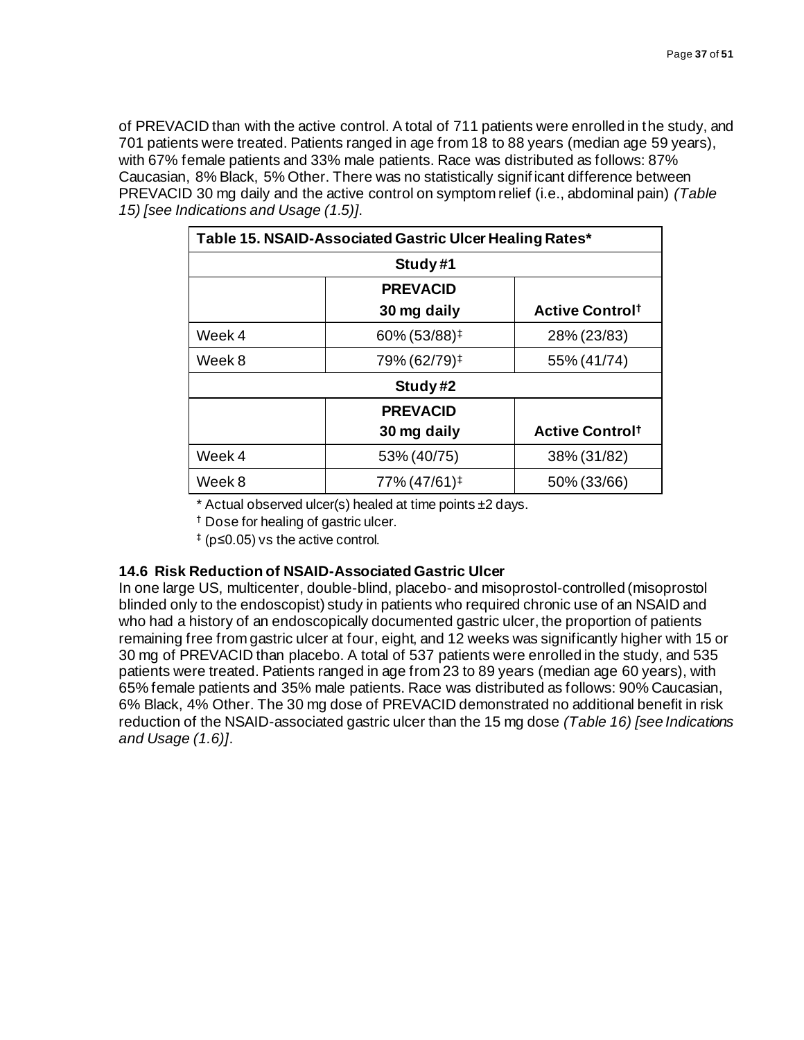of PREVACID than with the active control. A total of 711 patients were enrolled in the study, and 701 patients were treated. Patients ranged in age from 18 to 88 years (median age 59 years), with 67% female patients and 33% male patients. Race was distributed as follows: 87% Caucasian, 8% Black, 5% Other. There was no statistically signif icant difference between PREVACID 30 mg daily and the active control on symptom relief (i.e., abdominal pain) *(Table 15) [see Indications and Usage (1.5)]*.

|        | Table 15. NSAID-Associated Gastric Ulcer Healing Rates* |                                   |  |  |
|--------|---------------------------------------------------------|-----------------------------------|--|--|
|        | Study#1                                                 |                                   |  |  |
|        | <b>PREVACID</b>                                         |                                   |  |  |
|        | 30 mg daily                                             | <b>Active Control<sup>t</sup></b> |  |  |
| Week 4 | 60% (53/88) <sup>‡</sup>                                | 28% (23/83)                       |  |  |
| Week 8 | 79% (62/79)‡                                            | 55% (41/74)                       |  |  |
|        | Study#2                                                 |                                   |  |  |
|        | <b>PREVACID</b>                                         |                                   |  |  |
|        | 30 mg daily                                             | <b>Active Controlt</b>            |  |  |
| Week 4 | 53% (40/75)                                             | 38% (31/82)                       |  |  |
| Week 8 | 77% (47/61) <sup>‡</sup>                                | 50% (33/66)                       |  |  |

\* Actual observed ulcer(s) healed at time points ±2 days.

† Dose for healing of gastric ulcer.

‡ (p≤0.05) vs the active control.

### **14.6 Risk Reduction of NSAID-Associated Gastric Ulcer**

In one large US, multicenter, double-blind, placebo- and misoprostol-controlled (misoprostol blinded only to the endoscopist) study in patients who required chronic use of an NSAID and who had a history of an endoscopically documented gastric ulcer, the proportion of patients remaining free from gastric ulcer at four, eight, and 12 weeks was significantly higher with 15 or 30 mg of PREVACID than placebo. A total of 537 patients were enrolled in the study, and 535 patients were treated. Patients ranged in age from 23 to 89 years (median age 60 years), with 65% female patients and 35% male patients. Race was distributed as follows: 90% Caucasian, 6% Black, 4% Other. The 30 mg dose of PREVACID demonstrated no additional benefit in risk reduction of the NSAID-associated gastric ulcer than the 15 mg dose *(Table 16) [see Indications and Usage (1.6)]*.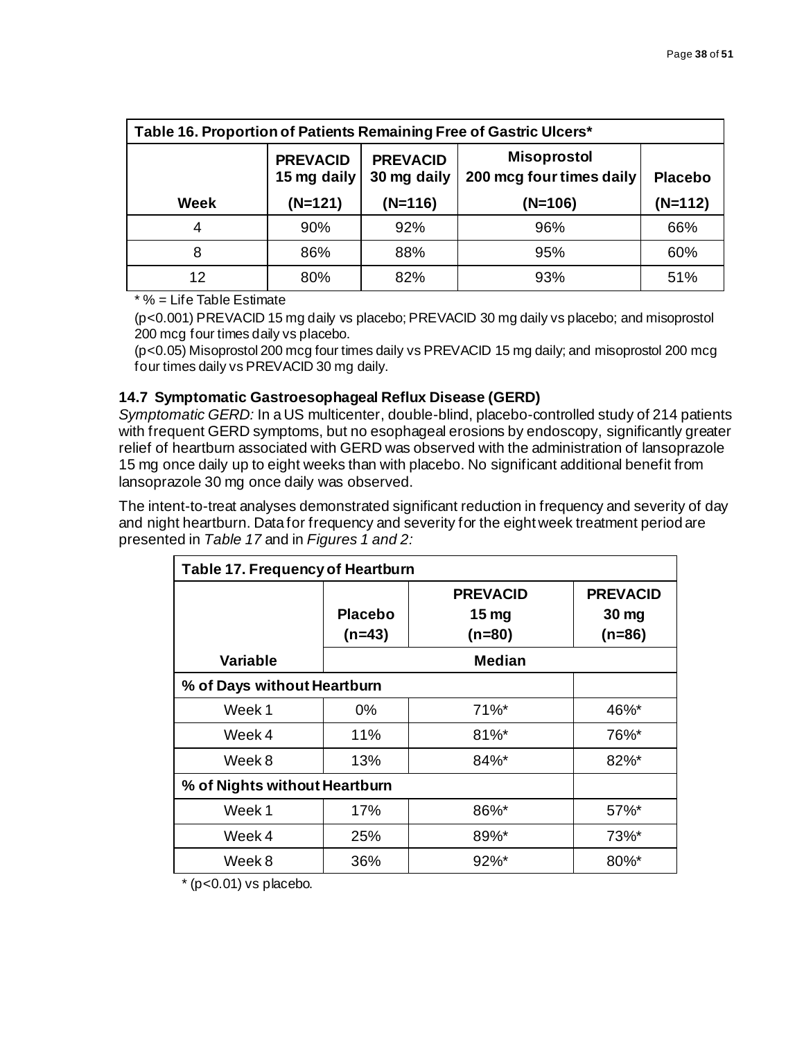| Table 16. Proportion of Patients Remaining Free of Gastric Ulcers* |                                                                                                                    |           |           |         |  |  |  |
|--------------------------------------------------------------------|--------------------------------------------------------------------------------------------------------------------|-----------|-----------|---------|--|--|--|
|                                                                    | <b>Misoprostol</b><br><b>PREVACID</b><br><b>PREVACID</b><br>15 mg daily<br>200 mcg four times daily<br>30 mg daily |           |           |         |  |  |  |
| <b>Week</b>                                                        | $(N=121)$                                                                                                          | $(N=116)$ | $(N=106)$ | (N=112) |  |  |  |
| 4                                                                  | 90%                                                                                                                | 92%       | 96%       | 66%     |  |  |  |
| 8                                                                  | 86%                                                                                                                | 88%       | 95%       | 60%     |  |  |  |
| 12                                                                 | 80%                                                                                                                | 82%       | 93%       | 51%     |  |  |  |

\* % = Life Table Estimate

(p<0.001) PREVACID 15 mg daily vs placebo; PREVACID 30 mg daily vs placebo; and misoprostol 200 mcg four times daily vs placebo.

(p<0.05) Misoprostol 200 mcg four times daily vs PREVACID 15 mg daily; and misoprostol 200 mcg four times daily vs PREVACID 30 mg daily.

## **14.7 Symptomatic Gastroesophageal Reflux Disease (GERD)**

*Symptomatic GERD:* In a US multicenter, double-blind, placebo-controlled study of 214 patients with frequent GERD symptoms, but no esophageal erosions by endoscopy, significantly greater relief of heartburn associated with GERD was observed with the administration of lansoprazole 15 mg once daily up to eight weeks than with placebo. No significant additional benefit from lansoprazole 30 mg once daily was observed.

The intent-to-treat analyses demonstrated significant reduction in frequency and severity of day and night heartburn. Data for frequency and severity for the eight week treatment period are presented in *Table 17* and in *Figures 1 and 2:*

| Table 17. Frequency of Heartburn |                            |                                                 |                                                 |
|----------------------------------|----------------------------|-------------------------------------------------|-------------------------------------------------|
|                                  | <b>Placebo</b><br>$(n=43)$ | <b>PREVACID</b><br>15 <sub>mg</sub><br>$(n=80)$ | <b>PREVACID</b><br>30 <sub>mg</sub><br>$(n=86)$ |
| <b>Variable</b>                  |                            | <b>Median</b>                                   |                                                 |
| % of Days without Heartburn      |                            |                                                 |                                                 |
| Week 1                           | 0%                         | 71%                                             | 46%*                                            |
| Week 4                           | 11%                        | $81\%$ *                                        | 76%*                                            |
| Week 8                           | 13%                        | 84%*                                            | 82%*                                            |
| % of Nights without Heartburn    |                            |                                                 |                                                 |
| Week 1                           | 17%                        | 86%*                                            | 57%*                                            |
| Week 4                           | 25%                        | 89%*                                            | 73%*                                            |
| Week 8                           | 36%                        | 92%*                                            | 80%*                                            |

 $*(p<0.01)$  vs placebo.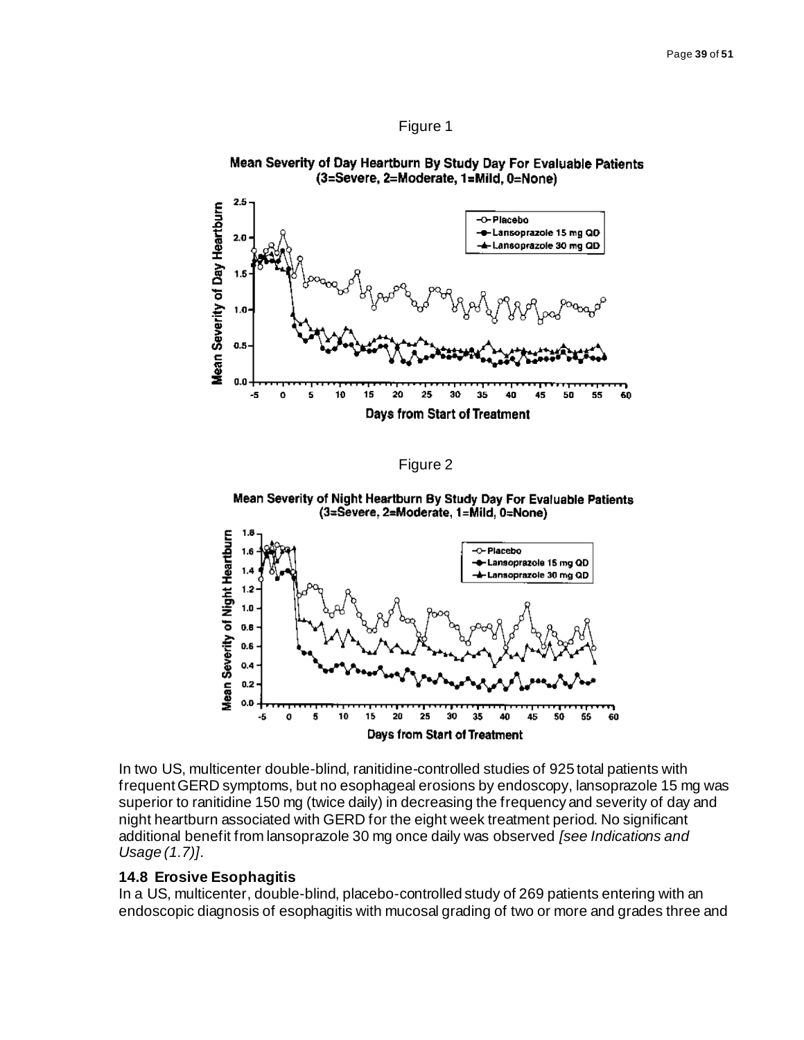



#### Mean Severity of Day Heartburn By Study Day For Evaluable Patients (3=Severe, 2=Moderate, 1=Mild, 0=None)

Figure 2

Mean Severity of Night Heartburn By Study Day For Evaluable Patients (3=Severe, 2=Moderate, 1=Mild, 0=None)



In two US, multicenter double-blind, ranitidine-controlled studies of 925 total patients with frequent GERD symptoms, but no esophageal erosions by endoscopy, lansoprazole 15 mg was superior to ranitidine 150 mg (twice daily) in decreasing the frequency and severity of day and night heartburn associated with GERD for the eight week treatment period. No significant additional benefit from lansoprazole 30 mg once daily was observed *[see Indications and Usage (1.7)]*.

#### **14.8 Erosive Esophagitis**

In a US, multicenter, double-blind, placebo-controlled study of 269 patients entering with an endoscopic diagnosis of esophagitis with mucosal grading of two or more and grades three and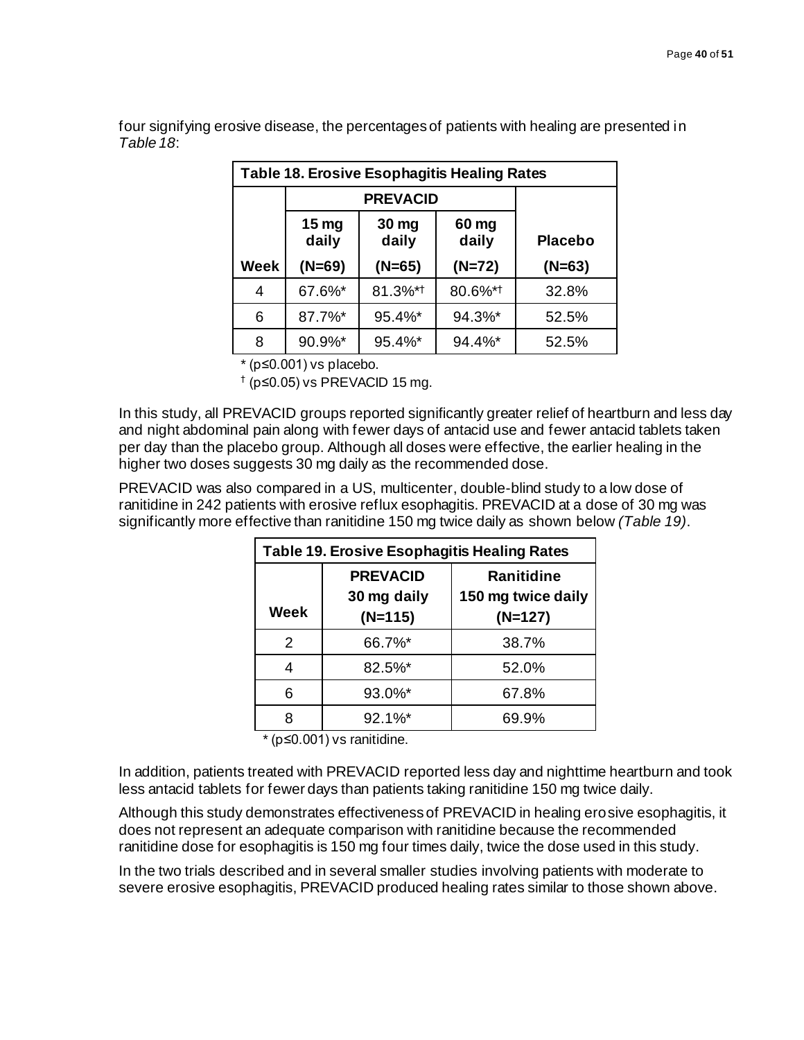four signifying erosive disease, the percentages of patients with healing are presented in *Table 18*:

| <b>Table 18. Erosive Esophagitis Healing Rates</b> |                           |                                  |          |                |  |
|----------------------------------------------------|---------------------------|----------------------------------|----------|----------------|--|
|                                                    | <b>PREVACID</b>           |                                  |          |                |  |
|                                                    | 15 <sub>mg</sub><br>daily | 30 mg<br>60 mg<br>daily<br>daily |          | <b>Placebo</b> |  |
| <b>Week</b>                                        | $(N=69)$                  | $(N=65)$                         | $(N=72)$ | $(N=63)$       |  |
| 4                                                  | 67.6%*                    | 81.3%*1                          | 80.6%*1  | 32.8%          |  |
| 6                                                  | 87.7%*                    | 95.4%*                           | 94.3%*   | 52.5%          |  |
| 8                                                  | 90.9%*                    | 95.4%*                           | 94.4%*   | 52.5%          |  |

\* (p≤0.001) vs placebo.

 $<sup>†</sup>$  (p≤0.05) vs PREVACID 15 mg.</sup>

In this study, all PREVACID groups reported significantly greater relief of heartburn and less day and night abdominal pain along with fewer days of antacid use and fewer antacid tablets taken per day than the placebo group. Although all doses were effective, the earlier healing in the higher two doses suggests 30 mg daily as the recommended dose.

PREVACID was also compared in a US, multicenter, double-blind study to a low dose of ranitidine in 242 patients with erosive reflux esophagitis. PREVACID at a dose of 30 mg was significantly more effective than ranitidine 150 mg twice daily as shown below *(Table 19)*.

| <b>Table 19. Erosive Esophagitis Healing Rates</b> |                                             |                                                      |  |
|----------------------------------------------------|---------------------------------------------|------------------------------------------------------|--|
| Week                                               | <b>PREVACID</b><br>30 mg daily<br>$(N=115)$ | <b>Ranitidine</b><br>150 mg twice daily<br>$(N=127)$ |  |
| 2                                                  | 66.7%*                                      | 38.7%                                                |  |
| 4                                                  | 82.5%*                                      | 52.0%                                                |  |
| 6                                                  | 93.0%*                                      | 67.8%                                                |  |
| я                                                  | 92.1%*                                      | 69.9%                                                |  |

 $*(p \le 0.001)$  vs ranitidine.

In addition, patients treated with PREVACID reported less day and nighttime heartburn and took less antacid tablets for fewer days than patients taking ranitidine 150 mg twice daily.

Although this study demonstrates effectiveness of PREVACID in healing erosive esophagitis, it does not represent an adequate comparison with ranitidine because the recommended ranitidine dose for esophagitis is 150 mg four times daily, twice the dose used in this study.

In the two trials described and in several smaller studies involving patients with moderate to severe erosive esophagitis, PREVACID produced healing rates similar to those shown above.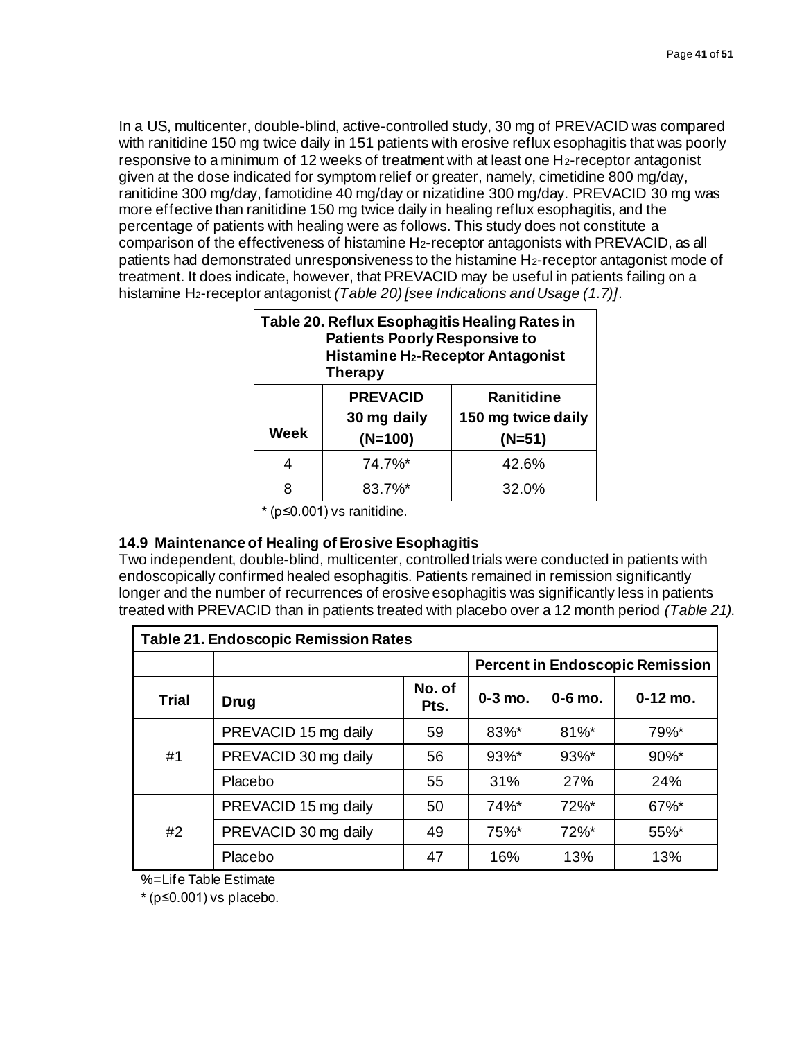In a US, multicenter, double-blind, active-controlled study, 30 mg of PREVACID was compared with ranitidine 150 mg twice daily in 151 patients with erosive reflux esophagitis that was poorly responsive to a minimum of 12 weeks of treatment with at least one H2-receptor antagonist given at the dose indicated for symptom relief or greater, namely, cimetidine 800 mg/day, ranitidine 300 mg/day, famotidine 40 mg/day or nizatidine 300 mg/day. PREVACID 30 mg was more effective than ranitidine 150 mg twice daily in healing reflux esophagitis, and the percentage of patients with healing were as follows. This study does not constitute a comparison of the effectiveness of histamine H2-receptor antagonists with PREVACID, as all patients had demonstrated unresponsiveness to the histamine H2-receptor antagonist mode of treatment. It does indicate, however, that PREVACID may be useful in patients failing on a histamine H2-receptor antagonist *(Table 20) [see Indications and Usage (1.7)]*.

| Table 20. Reflux Esophagitis Healing Rates in<br><b>Patients Poorly Responsive to</b><br>Histamine H <sub>2</sub> -Receptor Antagonist<br><b>Therapy</b> |                                             |                                              |
|----------------------------------------------------------------------------------------------------------------------------------------------------------|---------------------------------------------|----------------------------------------------|
| <b>Week</b>                                                                                                                                              | <b>PREVACID</b><br>30 mg daily<br>$(N=100)$ | Ranitidine<br>150 mg twice daily<br>$(N=51)$ |
| 4                                                                                                                                                        | 74.7%*                                      | 42.6%                                        |
|                                                                                                                                                          | 83.7%*                                      | 32.0%                                        |

 $*$  (p $\leq$ 0.001) vs ranitidine.

### **14.9 Maintenance of Healing of Erosive Esophagitis**

Two independent, double-blind, multicenter, controlled trials were conducted in patients with endoscopically confirmed healed esophagitis. Patients remained in remission significantly longer and the number of recurrences of erosive esophagitis was significantly less in patients treated with PREVACID than in patients treated with placebo over a 12 month period *(Table 21)*.

| <b>Table 21. Endoscopic Remission Rates</b> |                      |                |                                        |           |            |
|---------------------------------------------|----------------------|----------------|----------------------------------------|-----------|------------|
|                                             |                      |                | <b>Percent in Endoscopic Remission</b> |           |            |
| <b>Trial</b>                                | Drug                 | No. of<br>Pts. | $0-3$ mo.                              | $0-6$ mo. | $0-12$ mo. |
| #1                                          | PREVACID 15 mg daily | 59             | 83%*                                   | $81\%$ *  | 79%*       |
|                                             | PREVACID 30 mg daily | 56             | 93%*                                   | 93%*      | $90\%$ *   |
|                                             | Placebo              | 55             | 31%                                    | 27%       | 24%        |
| #2                                          | PREVACID 15 mg daily | 50             | 74%*                                   | $72\%$ *  | 67%*       |
|                                             | PREVACID 30 mg daily | 49             | <b>75%*</b>                            | 72%*      | 55%*       |
|                                             | Placebo              | 47             | 16%                                    | 13%       | 13%        |

%=Life Table Estimate

 $*(p \le 0.001)$  vs placebo.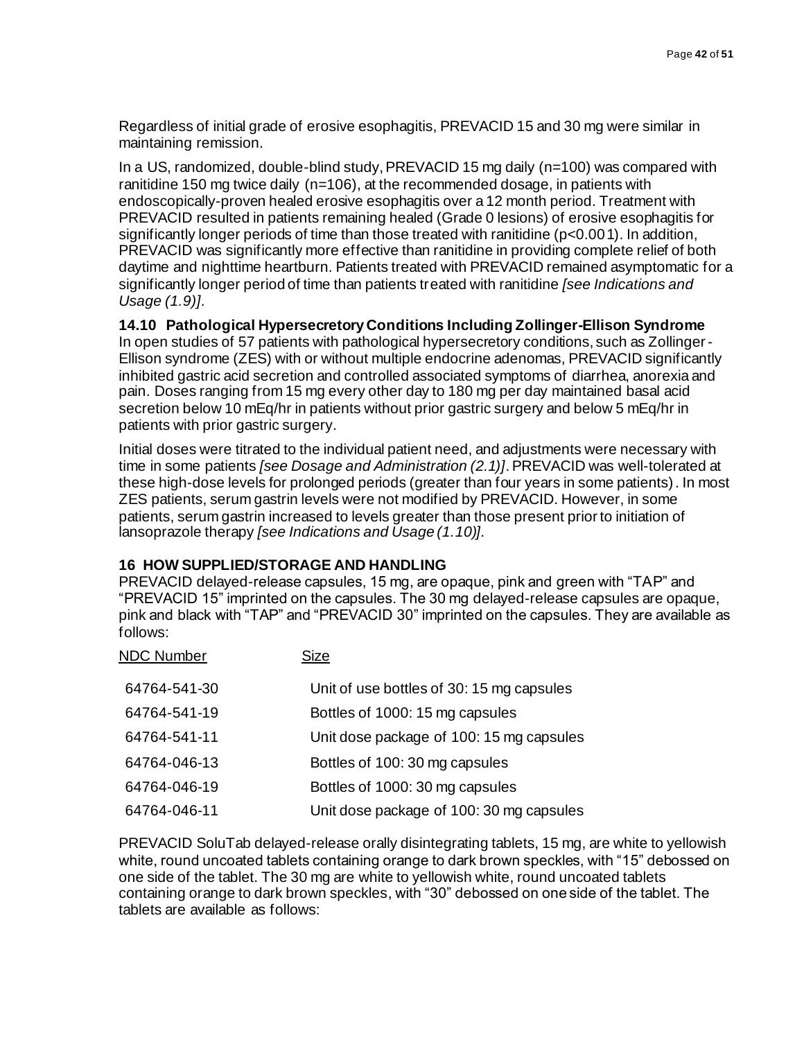Regardless of initial grade of erosive esophagitis, PREVACID 15 and 30 mg were similar in maintaining remission.

In a US, randomized, double-blind study, PREVACID 15 mg daily (n=100) was compared with ranitidine 150 mg twice daily (n=106), at the recommended dosage, in patients with endoscopically-proven healed erosive esophagitis over a 12 month period. Treatment with PREVACID resulted in patients remaining healed (Grade 0 lesions) of erosive esophagitis for significantly longer periods of time than those treated with ranitidine (p<0.001). In addition, PREVACID was significantly more effective than ranitidine in providing complete relief of both daytime and nighttime heartburn. Patients treated with PREVACID remained asymptomatic for a significantly longer period of time than patients treated with ranitidine *[see Indications and Usage (1.9)]*.

**14.10 Pathological Hypersecretory Conditions Including Zollinger-Ellison Syndrome** In open studies of 57 patients with pathological hypersecretory conditions, such as Zollinger-Ellison syndrome (ZES) with or without multiple endocrine adenomas, PREVACID significantly inhibited gastric acid secretion and controlled associated symptoms of diarrhea, anorexia and pain. Doses ranging from 15 mg every other day to 180 mg per day maintained basal acid secretion below 10 mEq/hr in patients without prior gastric surgery and below 5 mEq/hr in patients with prior gastric surgery.

Initial doses were titrated to the individual patient need, and adjustments were necessary with time in some patients *[see Dosage and Administration (2.1)]*. PREVACID was well-tolerated at these high-dose levels for prolonged periods (greater than four years in some patients). In most ZES patients, serum gastrin levels were not modified by PREVACID. However, in some patients, serum gastrin increased to levels greater than those present prior to initiation of lansoprazole therapy *[see Indications and Usage (1.10)]*.

### **16 HOW SUPPLIED/STORAGE AND HANDLING**

PREVACID delayed-release capsules, 15 mg, are opaque, pink and green with "TAP" and "PREVACID 15" imprinted on the capsules. The 30 mg delayed-release capsules are opaque, pink and black with "TAP" and "PREVACID 30" imprinted on the capsules. They are available as follows:

| NDC Number   | <b>Size</b>                               |
|--------------|-------------------------------------------|
| 64764-541-30 | Unit of use bottles of 30: 15 mg capsules |
| 64764-541-19 | Bottles of 1000: 15 mg capsules           |
| 64764-541-11 | Unit dose package of 100: 15 mg capsules  |
| 64764-046-13 | Bottles of 100: 30 mg capsules            |
| 64764-046-19 | Bottles of 1000: 30 mg capsules           |
| 64764-046-11 | Unit dose package of 100: 30 mg capsules  |

PREVACID SoluTab delayed-release orally disintegrating tablets, 15 mg, are white to yellowish white, round uncoated tablets containing orange to dark brown speckles, with "15" debossed on one side of the tablet. The 30 mg are white to yellowish white, round uncoated tablets containing orange to dark brown speckles, with "30" debossed on one side of the tablet. The tablets are available as follows: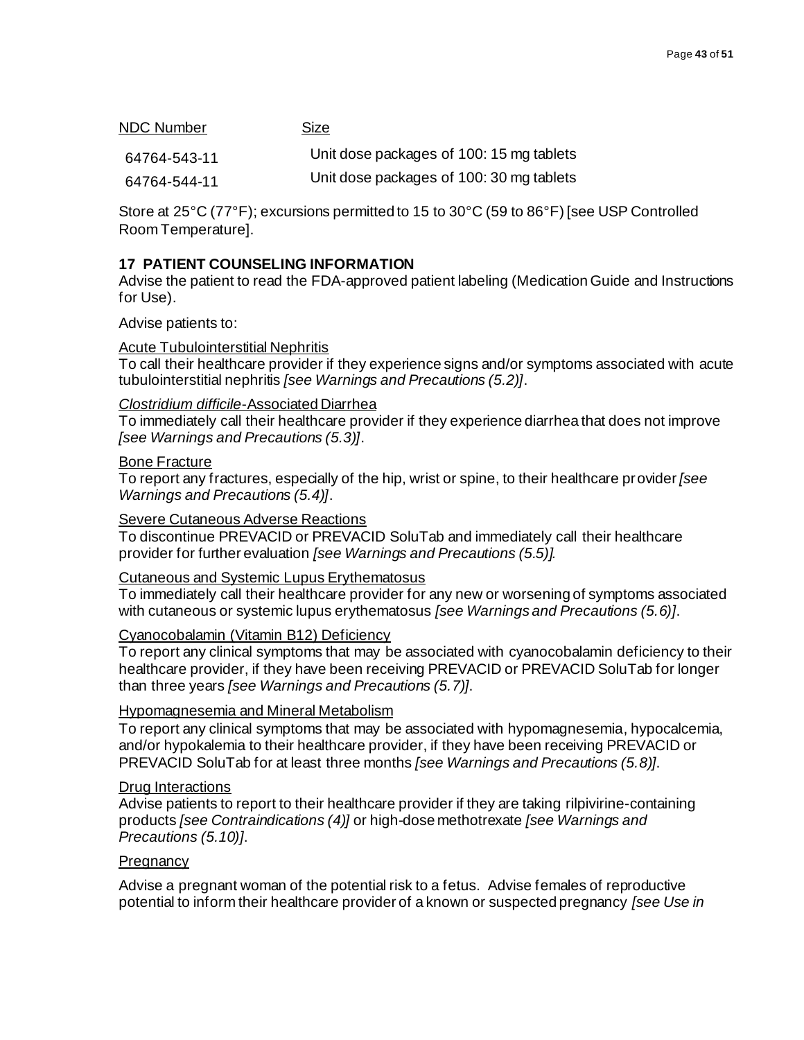| <b>NDC Number</b> | Size                                     |
|-------------------|------------------------------------------|
| 64764-543-11      | Unit dose packages of 100: 15 mg tablets |
| 64764-544-11      | Unit dose packages of 100: 30 mg tablets |

Store at 25°C (77°F); excursions permitted to 15 to 30°C (59 to 86°F) [see USP Controlled Room Temperature].

### **17 PATIENT COUNSELING INFORMATION**

Advise the patient to read the FDA-approved patient labeling (Medication Guide and Instructions for Use).

Advise patients to:

#### Acute Tubulointerstitial Nephritis

To call their healthcare provider if they experience signs and/or symptoms associated with acute tubulointerstitial nephritis *[see Warnings and Precautions (5.2)]*.

#### *Clostridium difficile*-Associated Diarrhea

To immediately call their healthcare provider if they experience diarrhea that does not improve *[see Warnings and Precautions (5.3)]*.

#### Bone Fracture

To report any fractures, especially of the hip, wrist or spine, to their healthcare provider *[see Warnings and Precautions (5.4)]*.

### Severe Cutaneous Adverse Reactions

To discontinue PREVACID or PREVACID SoluTab and immediately call their healthcare provider for further evaluation *[see Warnings and Precautions (5.5)].*

### Cutaneous and Systemic Lupus Erythematosus

To immediately call their healthcare provider for any new or worsening of symptoms associated with cutaneous or systemic lupus erythematosus *[see Warnings and Precautions (5.6)]*.

### Cyanocobalamin (Vitamin B12) Deficiency

To report any clinical symptoms that may be associated with cyanocobalamin deficiency to their healthcare provider, if they have been receiving PREVACID or PREVACID SoluTab for longer than three years *[see Warnings and Precautions (5.7)]*.

### Hypomagnesemia and Mineral Metabolism

To report any clinical symptoms that may be associated with hypomagnesemia, hypocalcemia, and/or hypokalemia to their healthcare provider, if they have been receiving PREVACID or PREVACID SoluTab for at least three months *[see Warnings and Precautions (5.8)]*.

### Drug Interactions

Advise patients to report to their healthcare provider if they are taking rilpivirine-containing products *[see Contraindications (4)]* or high-dose methotrexate *[see Warnings and Precautions (5.10)]*.

### **Pregnancy**

Advise a pregnant woman of the potential risk to a fetus. Advise females of reproductive potential to inform their healthcare provider of a known or suspected pregnancy *[see Use in*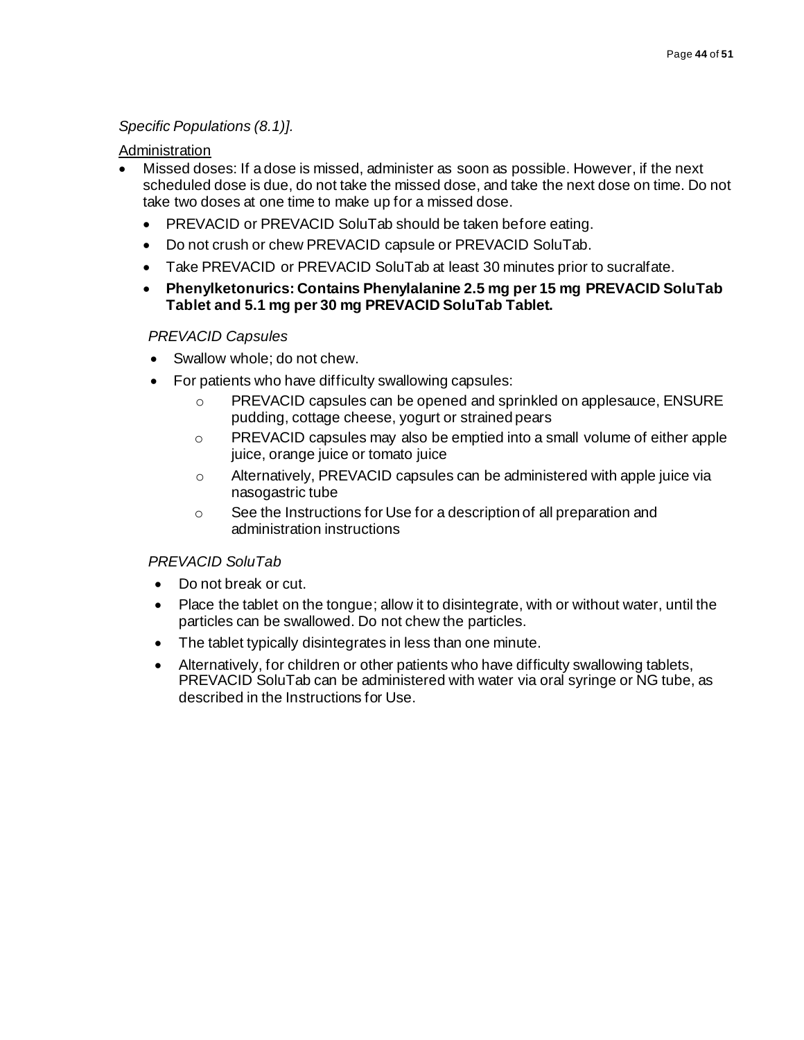### *Specific Populations (8.1)].*

### Administration

- Missed doses: If a dose is missed, administer as soon as possible. However, if the next scheduled dose is due, do not take the missed dose, and take the next dose on time. Do not take two doses at one time to make up for a missed dose.
	- PREVACID or PREVACID SoluTab should be taken before eating.
	- Do not crush or chew PREVACID capsule or PREVACID SoluTab.
	- Take PREVACID or PREVACID SoluTab at least 30 minutes prior to sucralfate.
	- **Phenylketonurics: Contains Phenylalanine 2.5 mg per 15 mg PREVACID SoluTab Tablet and 5.1 mg per 30 mg PREVACID SoluTab Tablet.**

### *PREVACID Capsules*

- Swallow whole; do not chew.
- For patients who have difficulty swallowing capsules:
	- o PREVACID capsules can be opened and sprinkled on applesauce, ENSURE pudding, cottage cheese, yogurt or strained pears
	- o PREVACID capsules may also be emptied into a small volume of either apple juice, orange juice or tomato juice
	- o Alternatively, PREVACID capsules can be administered with apple juice via nasogastric tube
	- o See the Instructions for Use for a description of all preparation and administration instructions

### *PREVACID SoluTab*

- Do not break or cut.
- Place the tablet on the tongue; allow it to disintegrate, with or without water, until the particles can be swallowed. Do not chew the particles.
- The tablet typically disintegrates in less than one minute.
- Alternatively, for children or other patients who have difficulty swallowing tablets, PREVACID SoluTab can be administered with water via oral syringe or NG tube, as described in the Instructions for Use.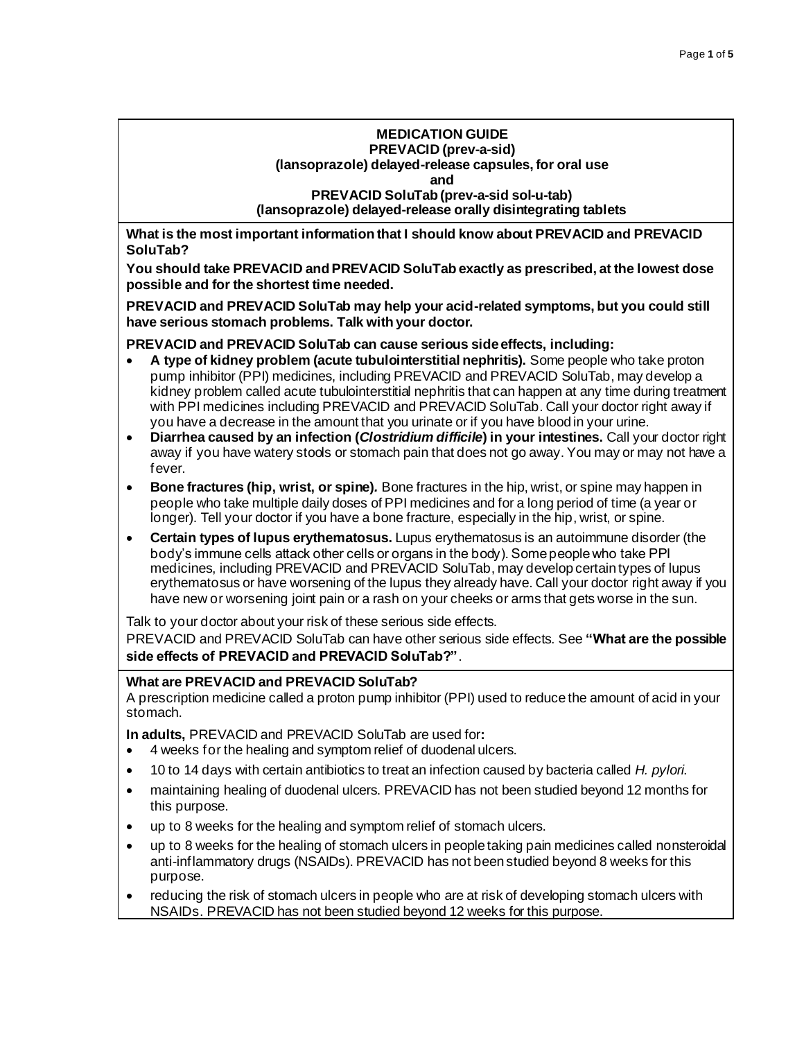#### **MEDICATION GUIDE PREVACID (prev-a-sid) (lansoprazole) delayed-release capsules, for oral use and PREVACID SoluTab (prev-a-sid sol-u-tab) (lansoprazole) delayed-release orally disintegrating tablets**

**What is the most important information that I should know about PREVACID and PREVACID SoluTab?**

**You should take PREVACID and PREVACID SoluTab exactly as prescribed, at the lowest dose possible and for the shortest time needed.**

**PREVACID and PREVACID SoluTab may help your acid-related symptoms, but you could still have serious stomach problems. Talk with your doctor.**

**PREVACID and PREVACID SoluTab can cause serious side effects, including:**

- **A type of kidney problem (acute tubulointerstitial nephritis).** Some people who take proton pump inhibitor (PPI) medicines, including PREVACID and PREVACID SoluTab, may develop a kidney problem called acute tubulointerstitial nephritis that can happen at any time during treatment with PPI medicines including PREVACID and PREVACID SoluTab. Call your doctor right away if you have a decrease in the amount that you urinate or if you have blood in your urine.
- **Diarrhea caused by an infection (***Clostridium difficile***) in your intestines.** Call your doctor right away if you have watery stools or stomach pain that does not go away. You may or may not have a fever.
- **Bone fractures (hip, wrist, or spine)***.* Bone fractures in the hip, wrist, or spine may happen in people who take multiple daily doses of PPI medicines and for a long period of time (a year or longer). Tell your doctor if you have a bone fracture, especially in the hip, wrist, or spine.
- **Certain types of lupus erythematosus.** Lupus erythematosus is an autoimmune disorder (the body's immune cells attack other cells or organs in the body). Some people who take PPI medicines, including PREVACID and PREVACID SoluTab, may develop certain types of lupus erythematosus or have worsening of the lupus they already have. Call your doctor right away if you have new or worsening joint pain or a rash on your cheeks or arms that gets worse in the sun.

Talk to your doctor about your risk of these serious side effects.

PREVACID and PREVACID SoluTab can have other serious side effects. See **"What are the possible side effects of PREVACID and PREVACID SoluTab?"**.

### **What are PREVACID and PREVACID SoluTab?**

A prescription medicine called a proton pump inhibitor (PPI) used to reduce the amount of acid in your stomach<sup>1</sup>

**In adults,** PREVACID and PREVACID SoluTab are used for**:**

- 4 weeks for the healing and symptom relief of duodenal ulcers.
- 10 to 14 days with certain antibiotics to treat an infection caused by bacteria called *H. pylori*.
- maintaining healing of duodenal ulcers. PREVACID has not been studied beyond 12 months for this purpose.
- up to 8 weeks for the healing and symptom relief of stomach ulcers.
- up to 8 weeks for the healing of stomach ulcers in people taking pain medicines called nonsteroidal anti-inflammatory drugs (NSAIDs). PREVACID has not been studied beyond 8 weeks for this purpose.
- reducing the risk of stomach ulcers in people who are at risk of developing stomach ulcers with NSAIDs. PREVACID has not been studied beyond 12 weeks for this purpose.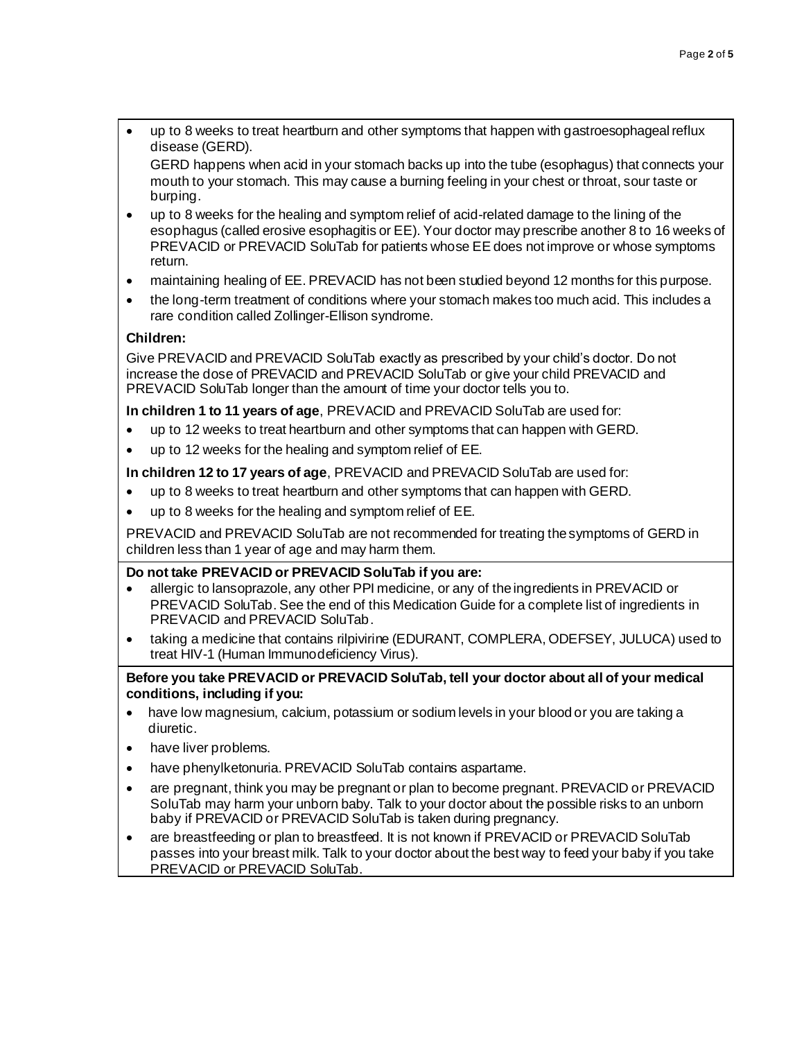• up to 8 weeks to treat heartburn and other symptoms that happen with gastroesophageal reflux disease (GERD).

GERD happens when acid in your stomach backs up into the tube (esophagus) that connects your mouth to your stomach. This may cause a burning feeling in your chest or throat, sour taste or burping.

- up to 8 weeks for the healing and symptom relief of acid-related damage to the lining of the esophagus (called erosive esophagitis or EE). Your doctor may prescribe another 8 to 16 weeks of PREVACID or PREVACID SoluTab for patients whose EE does not improve or whose symptoms return.
- maintaining healing of EE. PREVACID has not been studied beyond 12 months for this purpose.
- the long-term treatment of conditions where your stomach makes too much acid. This includes a rare condition called Zollinger-Ellison syndrome.

### **Children:**

Give PREVACID and PREVACID SoluTab exactly as prescribed by your child's doctor. Do not increase the dose of PREVACID and PREVACID SoluTab or give your child PREVACID and PREVACID SoluTab longer than the amount of time your doctor tells you to.

**In children 1 to 11 years of age**, PREVACID and PREVACID SoluTab are used for:

- up to 12 weeks to treat heartburn and other symptoms that can happen with GERD.
- up to 12 weeks for the healing and symptom relief of EE.

**In children 12 to 17 years of age**, PREVACID and PREVACID SoluTab are used for:

- up to 8 weeks to treat heartburn and other symptoms that can happen with GERD.
- up to 8 weeks for the healing and symptom relief of EE.

PREVACID and PREVACID SoluTab are not recommended for treating the symptoms of GERD in children less than 1 year of age and may harm them.

### **Do not take PREVACID or PREVACID SoluTab if you are:**

- allergic to lansoprazole, any other PPI medicine, or any of the ingredients in PREVACID or PREVACID SoluTab. See the end of this Medication Guide for a complete list of ingredients in PREVACID and PREVACID SoluTab.
- taking a medicine that contains rilpivirine (EDURANT, COMPLERA, ODEFSEY, JULUCA) used to treat HIV-1 (Human Immunodeficiency Virus).

### **Before you take PREVACID or PREVACID SoluTab, tell your doctor about all of your medical conditions, including if you:**

- have low magnesium, calcium, potassium or sodium levels in your blood or you are taking a diuretic.
- have liver problems.
- have phenylketonuria. PREVACID SoluTab contains aspartame.
- are pregnant, think you may be pregnant or plan to become pregnant. PREVACID or PREVACID SoluTab may harm your unborn baby. Talk to your doctor about the possible risks to an unborn baby if PREVACID or PREVACID SoluTab is taken during pregnancy.
- are breastfeeding or plan to breastfeed. It is not known if PREVACID or PREVACID SoluTab passes into your breast milk. Talk to your doctor about the best way to feed your baby if you take PREVACID or PREVACID SoluTab.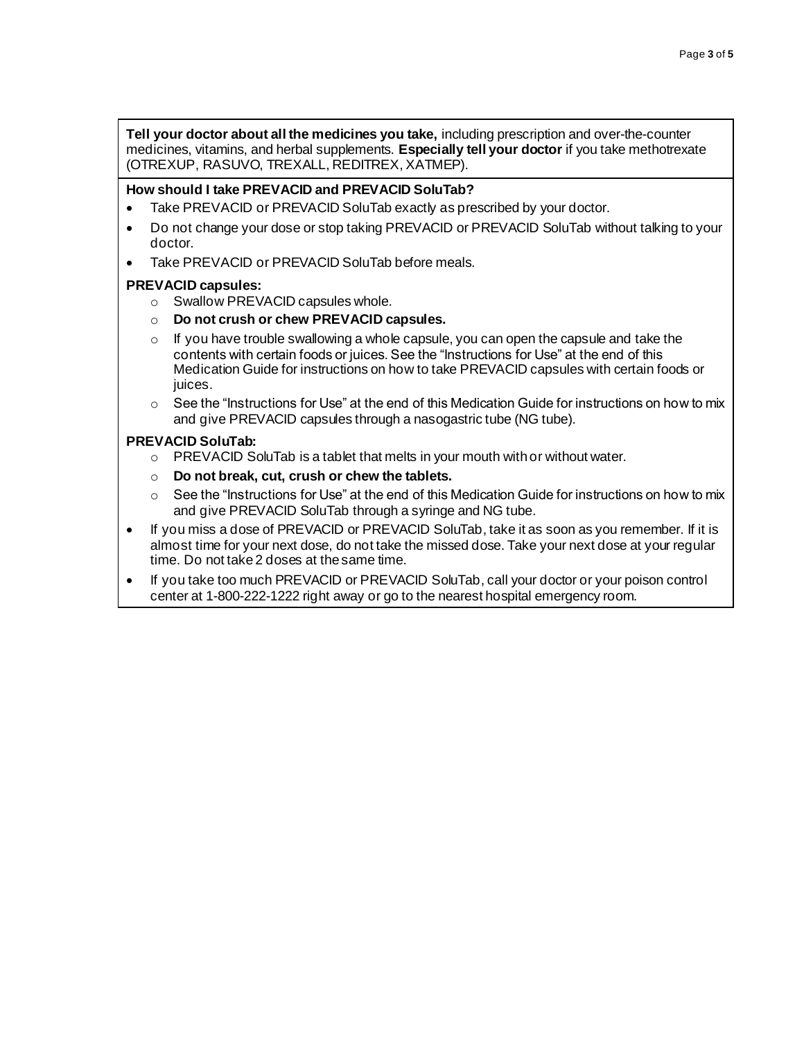**Tell your doctor about all the medicines you take,** including prescription and over-the-counter medicines, vitamins, and herbal supplements. **Especially tell your doctor** if you take methotrexate (OTREXUP, RASUVO, TREXALL, REDITREX, XATMEP).

#### **How should I take PREVACID and PREVACID SoluTab?**

- Take PREVACID or PREVACID SoluTab exactly as prescribed by your doctor.
- Do not change your dose or stop taking PREVACID or PREVACID SoluTab without talking to your doctor.
- Take PREVACID or PREVACID SoluTab before meals.

### **PREVACID capsules:**

- o Swallow PREVACID capsules whole.
- o **Do not crush or chew PREVACID capsules.**
- $\circ$  If you have trouble swallowing a whole capsule, you can open the capsule and take the contents with certain foods or juices. See the "Instructions for Use" at the end of this Medication Guide for instructions on how to take PREVACID capsules with certain foods or juices.
- $\circ$  See the "Instructions for Use" at the end of this Medication Guide for instructions on how to mix and give PREVACID capsules through a nasogastric tube (NG tube).

### **PREVACID SoluTab:**

- $\circ$  PREVACID SoluTab is a tablet that melts in your mouth with or without water.
- o **Do not break, cut, crush or chew the tablets.**
- $\circ$  See the "Instructions for Use" at the end of this Medication Guide for instructions on how to mix and give PREVACID SoluTab through a syringe and NG tube.
- If you miss a dose of PREVACID or PREVACID SoluTab, take it as soon as you remember. If it is almost time for your next dose, do not take the missed dose. Take your next dose at your regular time. Do not take 2 doses at the same time.
- If you take too much PREVACID or PREVACID SoluTab, call your doctor or your poison control center at 1-800-222-1222 right away or go to the nearest hospital emergency room.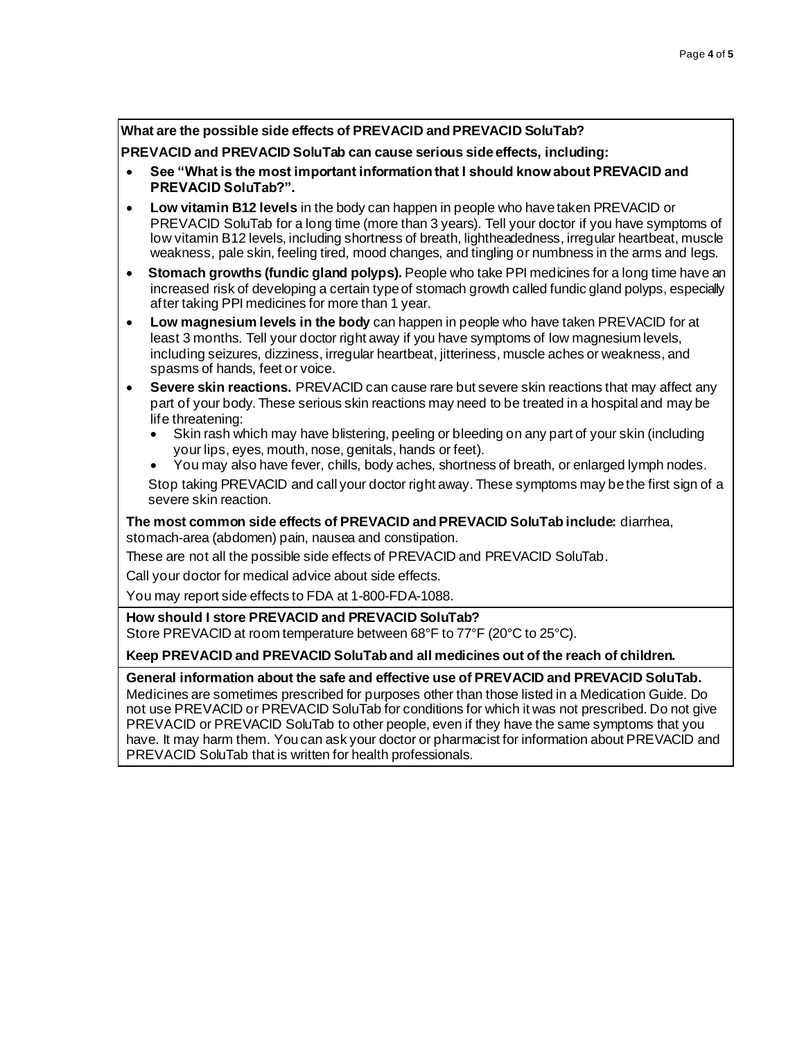### **What are the possible side effects of PREVACID and PREVACID SoluTab?**

**PREVACID and PREVACID SoluTab can cause serious side effects, including:**

- **See "What is the most important information that I should know about PREVACID and PREVACID SoluTab?".**
- **Low vitamin B12 levels** in the body can happen in people who have taken PREVACID or PREVACID SoluTab for a long time (more than 3 years). Tell your doctor if you have symptoms of low vitamin B12 levels, including shortness of breath, lightheadedness, irregular heartbeat, muscle weakness, pale skin, feeling tired, mood changes, and tingling or numbness in the arms and legs.
- **Stomach growths (fundic gland polyps).** People who take PPI medicines for a long time have an increased risk of developing a certain type of stomach growth called fundic gland polyps, especially after taking PPI medicines for more than 1 year.
- **Low magnesium levels in the body** can happen in people who have taken PREVACID for at least 3 months. Tell your doctor right away if you have symptoms of low magnesium levels, including seizures, dizziness, irregular heartbeat, jitteriness, muscle aches or weakness, and spasms of hands, feet or voice.
- **Severe skin reactions.** PREVACID can cause rare but severe skin reactions that may affect any part of your body. These serious skin reactions may need to be treated in a hospital and may be life threatening:
	- Skin rash which may have blistering, peeling or bleeding on any part of your skin (including your lips, eyes, mouth, nose, genitals, hands or feet).
	- You may also have fever, chills, body aches, shortness of breath, or enlarged lymph nodes. Stop taking PREVACID and call your doctor right away. These symptoms may be the first sign of a severe skin reaction.

# **The most common side effects of PREVACID and PREVACID SoluTab include:** diarrhea,

stomach-area (abdomen) pain, nausea and constipation.

These are not all the possible side effects of PREVACID and PREVACID SoluTab.

Call your doctor for medical advice about side effects.

You may report side effects to FDA at 1-800-FDA-1088.

### **How should I store PREVACID and PREVACID SoluTab?**

Store PREVACID at room temperature between 68°F to 77°F (20°C to 25°C).

### **Keep PREVACID and PREVACID SoluTab and all medicines out of the reach of children.**

**General information about the safe and effective use of PREVACID and PREVACID SoluTab.** Medicines are sometimes prescribed for purposes other than those listed in a Medication Guide. Do not use PREVACID or PREVACID SoluTab for conditions for which it was not prescribed. Do not give PREVACID or PREVACID SoluTab to other people, even if they have the same symptoms that you have. It may harm them. You can ask your doctor or pharmacist for information about PREVACID and PREVACID SoluTab that is written for health professionals.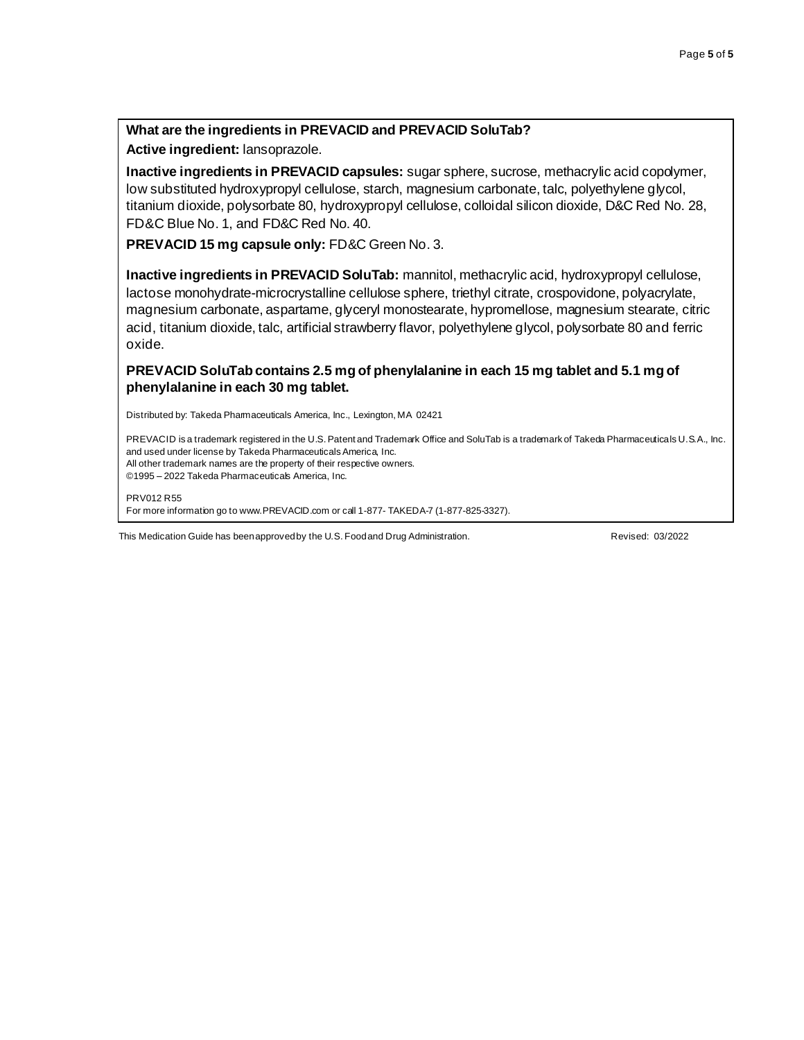### **What are the ingredients in PREVACID and PREVACID SoluTab?**

**Active ingredient:** lansoprazole.

**Inactive ingredients in PREVACID capsules:** sugar sphere, sucrose, methacrylic acid copolymer, low substituted hydroxypropyl cellulose, starch, magnesium carbonate, talc, polyethylene glycol, titanium dioxide, polysorbate 80, hydroxypropyl cellulose, colloidal silicon dioxide, D&C Red No. 28, FD&C Blue No. 1, and FD&C Red No. 40.

**PREVACID 15 mg capsule only:** FD&C Green No. 3.

**Inactive ingredients in PREVACID SoluTab:** mannitol, methacrylic acid, hydroxypropyl cellulose, lactose monohydrate-microcrystalline cellulose sphere, triethyl citrate, crospovidone, polyacrylate, magnesium carbonate, aspartame, glyceryl monostearate, hypromellose, magnesium stearate, citric acid, titanium dioxide, talc, artificial strawberry flavor, polyethylene glycol, polysorbate 80 and ferric oxide.

#### **PREVACID SoluTab contains 2.5 mg of phenylalanine in each 15 mg tablet and 5.1 mg of phenylalanine in each 30 mg tablet.**

Distributed by: Takeda Pharmaceuticals America, Inc., Lexington, MA 02421

PREVACID is a trademark registered in the U.S. Patent and Trademark Office and SoluTab is a trademark of Takeda Pharmaceuticals U.S.A., Inc. and used under license by Takeda Pharmaceuticals America, Inc.

All other trademark names are the property of their respective owners.

©1995 – 2022 Takeda Pharmaceuticals America, Inc.

PRV012 R55

For more information go to www.PREVACID.com or call 1-877- TAKEDA-7 (1-877-825-3327).

This Medication Guide has been approved by the U.S. Food and Drug Administration. Revised: 03/2022 Pevised: 03/2022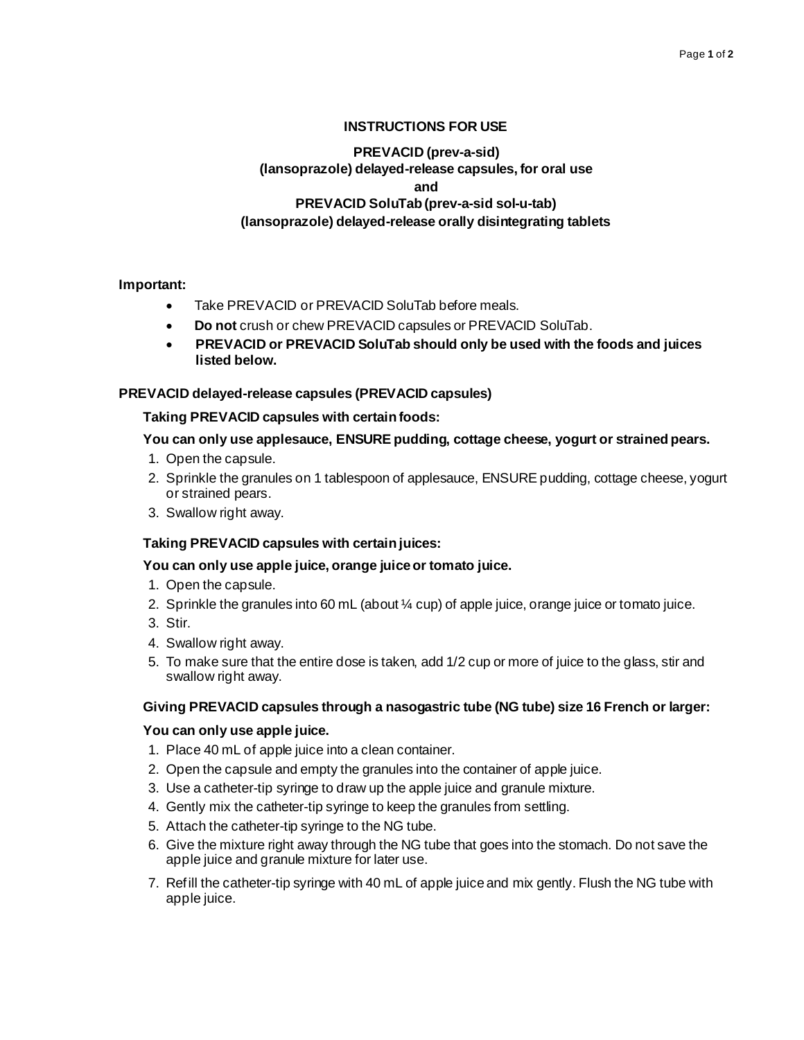### **INSTRUCTIONS FOR USE**

#### **PREVACID (prev-a-sid) (lansoprazole) delayed-release capsules, for oral use**

# **and**

## **PREVACID SoluTab (prev-a-sid sol-u-tab)**

### **(lansoprazole) delayed-release orally disintegrating tablets**

#### **Important:**

- Take PREVACID or PREVACID SoluTab before meals.
- **Do not** crush or chew PREVACID capsules or PREVACID SoluTab.
- **PREVACID or PREVACID SoluTab should only be used with the foods and juices listed below.**

#### **PREVACID delayed-release capsules (PREVACID capsules)**

#### **Taking PREVACID capsules with certain foods:**

#### **You can only use applesauce, ENSURE pudding, cottage cheese, yogurt or strained pears.**

- 1. Open the capsule.
- 2. Sprinkle the granules on 1 tablespoon of applesauce, ENSURE pudding, cottage cheese, yogurt or strained pears.
- 3. Swallow right away.

#### **Taking PREVACID capsules with certain juices:**

#### **You can only use apple juice, orange juice or tomato juice.**

- 1. Open the capsule.
- 2. Sprinkle the granules into 60 mL (about ¼ cup) of apple juice, orange juice or tomato juice.
- 3. Stir.
- 4. Swallow right away.
- 5. To make sure that the entire dose is taken, add 1/2 cup or more of juice to the glass, stir and swallow right away.

#### **Giving PREVACID capsules through a nasogastric tube (NG tube) size 16 French or larger:**

#### **You can only use apple juice.**

- 1. Place 40 mL of apple juice into a clean container.
- 2. Open the capsule and empty the granules into the container of apple juice.
- 3. Use a catheter-tip syringe to draw up the apple juice and granule mixture.
- 4. Gently mix the catheter-tip syringe to keep the granules from settling.
- 5. Attach the catheter-tip syringe to the NG tube.
- 6. Give the mixture right away through the NG tube that goes into the stomach. Do not save the apple juice and granule mixture for later use.
- 7. Refill the catheter-tip syringe with 40 mL of apple juice and mix gently. Flush the NG tube with apple juice.